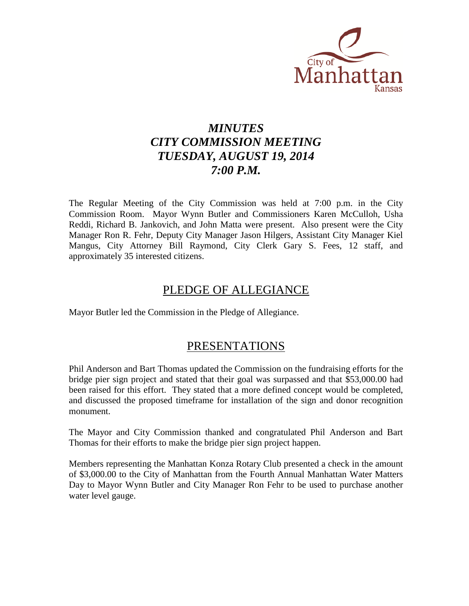

# *MINUTES CITY COMMISSION MEETING TUESDAY, AUGUST 19, 2014 7:00 P.M.*

The Regular Meeting of the City Commission was held at 7:00 p.m. in the City Commission Room. Mayor Wynn Butler and Commissioners Karen McCulloh, Usha Reddi, Richard B. Jankovich, and John Matta were present. Also present were the City Manager Ron R. Fehr, Deputy City Manager Jason Hilgers, Assistant City Manager Kiel Mangus, City Attorney Bill Raymond, City Clerk Gary S. Fees, 12 staff, and approximately 35 interested citizens.

# PLEDGE OF ALLEGIANCE

Mayor Butler led the Commission in the Pledge of Allegiance.

# PRESENTATIONS

Phil Anderson and Bart Thomas updated the Commission on the fundraising efforts for the bridge pier sign project and stated that their goal was surpassed and that \$53,000.00 had been raised for this effort. They stated that a more defined concept would be completed, and discussed the proposed timeframe for installation of the sign and donor recognition monument.

The Mayor and City Commission thanked and congratulated Phil Anderson and Bart Thomas for their efforts to make the bridge pier sign project happen.

Members representing the Manhattan Konza Rotary Club presented a check in the amount of \$3,000.00 to the City of Manhattan from the Fourth Annual Manhattan Water Matters Day to Mayor Wynn Butler and City Manager Ron Fehr to be used to purchase another water level gauge.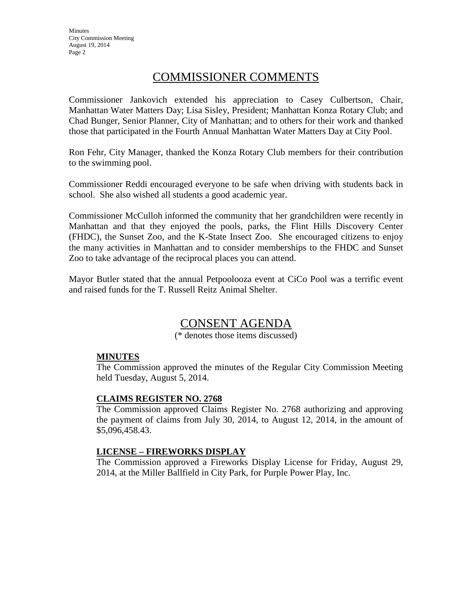**Minutes** City Commission Meeting August 19, 2014 Page 2

# COMMISSIONER COMMENTS

Commissioner Jankovich extended his appreciation to Casey Culbertson, Chair, Manhattan Water Matters Day; Lisa Sisley, President; Manhattan Konza Rotary Club; and Chad Bunger, Senior Planner, City of Manhattan; and to others for their work and thanked those that participated in the Fourth Annual Manhattan Water Matters Day at City Pool.

Ron Fehr, City Manager, thanked the Konza Rotary Club members for their contribution to the swimming pool.

Commissioner Reddi encouraged everyone to be safe when driving with students back in school. She also wished all students a good academic year.

Commissioner McCulloh informed the community that her grandchildren were recently in Manhattan and that they enjoyed the pools, parks, the Flint Hills Discovery Center (FHDC), the Sunset Zoo, and the K-State Insect Zoo. She encouraged citizens to enjoy the many activities in Manhattan and to consider memberships to the FHDC and Sunset Zoo to take advantage of the reciprocal places you can attend.

Mayor Butler stated that the annual Petpoolooza event at CiCo Pool was a terrific event and raised funds for the T. Russell Reitz Animal Shelter.

# CONSENT AGENDA

(\* denotes those items discussed)

# **MINUTES**

The Commission approved the minutes of the Regular City Commission Meeting held Tuesday, August 5, 2014.

#### **CLAIMS REGISTER NO. 2768**

The Commission approved Claims Register No. 2768 authorizing and approving the payment of claims from July 30, 2014, to August 12, 2014, in the amount of \$5,096,458.43.

#### **LICENSE – FIREWORKS DISPLAY**

The Commission approved a Fireworks Display License for Friday, August 29, 2014, at the Miller Ballfield in City Park, for Purple Power Play, Inc.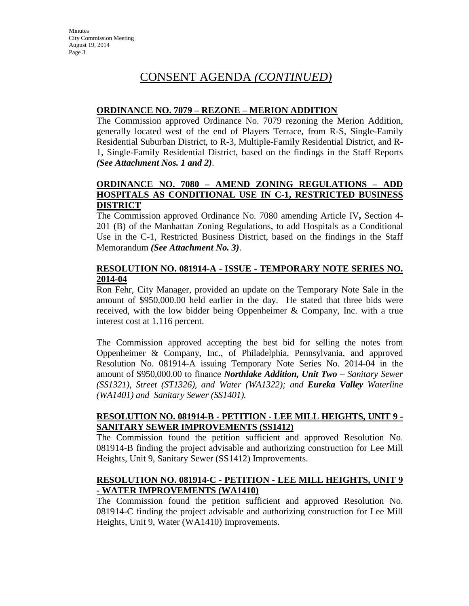# **ORDINANCE NO. 7079 – REZONE – MERION ADDITION**

The Commission approved Ordinance No. 7079 rezoning the Merion Addition, generally located west of the end of Players Terrace, from R-S, Single-Family Residential Suburban District, to R-3, Multiple-Family Residential District, and R-1, Single-Family Residential District, based on the findings in the Staff Reports *(See Attachment Nos. 1 and 2)*.

# **ORDINANCE NO. 7080 – AMEND ZONING REGULATIONS – ADD HOSPITALS AS CONDITIONAL USE IN C-1, RESTRICTED BUSINESS DISTRICT**

The Commission approved Ordinance No. 7080 amending Article IV**,** Section 4- 201 (B) of the Manhattan Zoning Regulations, to add Hospitals as a Conditional Use in the C-1, Restricted Business District, based on the findings in the Staff Memorandum *(See Attachment No. 3)*.

# **RESOLUTION NO. 081914-A - ISSUE - TEMPORARY NOTE SERIES NO. 2014-04**

Ron Fehr, City Manager, provided an update on the Temporary Note Sale in the amount of \$950,000.00 held earlier in the day. He stated that three bids were received, with the low bidder being Oppenheimer & Company, Inc. with a true interest cost at 1.116 percent.

The Commission approved accepting the best bid for selling the notes from Oppenheimer & Company, Inc., of Philadelphia, Pennsylvania, and approved Resolution No. 081914-A issuing Temporary Note Series No. 2014-04 in the amount of \$950,000.00 to finance *Northlake Addition, Unit Two – Sanitary Sewer (SS1321), Street (ST1326), and Water (WA1322); and Eureka Valley Waterline (WA1401) and Sanitary Sewer (SS1401).*

# **RESOLUTION NO. 081914-B - PETITION - LEE MILL HEIGHTS, UNIT 9 - SANITARY SEWER IMPROVEMENTS (SS1412)**

The Commission found the petition sufficient and approved Resolution No. 081914-B finding the project advisable and authorizing construction for Lee Mill Heights, Unit 9, Sanitary Sewer (SS1412) Improvements.

# **RESOLUTION NO. 081914-C - PETITION - LEE MILL HEIGHTS, UNIT 9 - WATER IMPROVEMENTS (WA1410)**

The Commission found the petition sufficient and approved Resolution No. 081914-C finding the project advisable and authorizing construction for Lee Mill Heights, Unit 9, Water (WA1410) Improvements.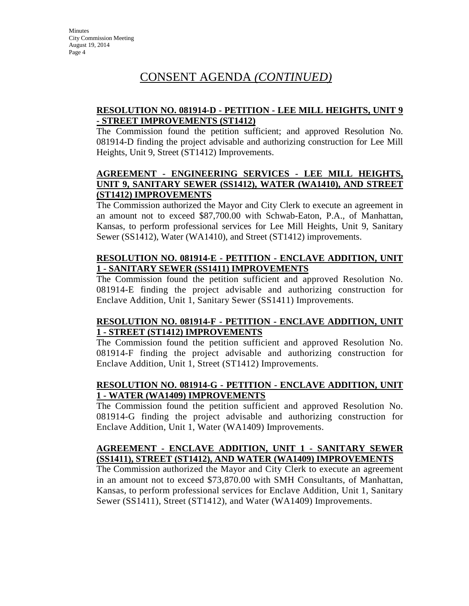# **RESOLUTION NO. 081914-D - PETITION - LEE MILL HEIGHTS, UNIT 9 - STREET IMPROVEMENTS (ST1412)**

The Commission found the petition sufficient; and approved Resolution No. 081914-D finding the project advisable and authorizing construction for Lee Mill Heights, Unit 9, Street (ST1412) Improvements.

# **AGREEMENT - ENGINEERING SERVICES - LEE MILL HEIGHTS, UNIT 9, SANITARY SEWER (SS1412), WATER (WA1410), AND STREET (ST1412) IMPROVEMENTS**

The Commission authorized the Mayor and City Clerk to execute an agreement in an amount not to exceed \$87,700.00 with Schwab-Eaton, P.A., of Manhattan, Kansas, to perform professional services for Lee Mill Heights, Unit 9, Sanitary Sewer (SS1412), Water (WA1410), and Street (ST1412) improvements.

# **RESOLUTION NO. 081914-E - PETITION - ENCLAVE ADDITION, UNIT 1 - SANITARY SEWER (SS1411) IMPROVEMENTS**

The Commission found the petition sufficient and approved Resolution No. 081914-E finding the project advisable and authorizing construction for Enclave Addition, Unit 1, Sanitary Sewer (SS1411) Improvements.

# **RESOLUTION NO. 081914-F - PETITION - ENCLAVE ADDITION, UNIT 1 - STREET (ST1412) IMPROVEMENTS**

The Commission found the petition sufficient and approved Resolution No. 081914-F finding the project advisable and authorizing construction for Enclave Addition, Unit 1, Street (ST1412) Improvements.

# **RESOLUTION NO. 081914-G - PETITION - ENCLAVE ADDITION, UNIT 1 - WATER (WA1409) IMPROVEMENTS**

The Commission found the petition sufficient and approved Resolution No. 081914-G finding the project advisable and authorizing construction for Enclave Addition, Unit 1, Water (WA1409) Improvements.

# **AGREEMENT - ENCLAVE ADDITION, UNIT 1 - SANITARY SEWER (SS1411), STREET (ST1412), AND WATER (WA1409) IMPROVEMENTS**

The Commission authorized the Mayor and City Clerk to execute an agreement in an amount not to exceed \$73,870.00 with SMH Consultants, of Manhattan, Kansas, to perform professional services for Enclave Addition, Unit 1, Sanitary Sewer (SS1411), Street (ST1412), and Water (WA1409) Improvements.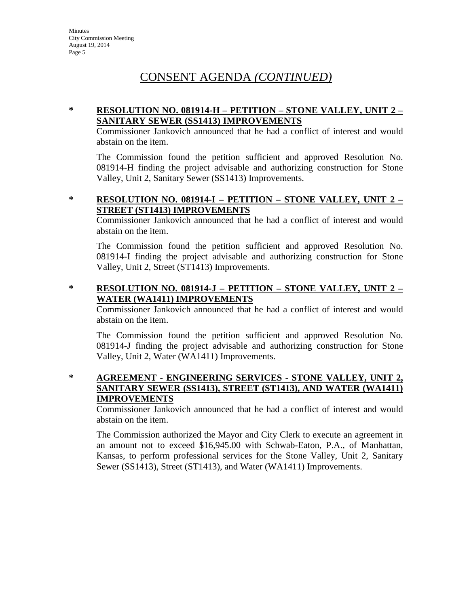### **\* RESOLUTION NO. 081914-H – PETITION – STONE VALLEY, UNIT 2 – SANITARY SEWER (SS1413) IMPROVEMENTS**

Commissioner Jankovich announced that he had a conflict of interest and would abstain on the item.

The Commission found the petition sufficient and approved Resolution No. 081914-H finding the project advisable and authorizing construction for Stone Valley, Unit 2, Sanitary Sewer (SS1413) Improvements.

# **\* RESOLUTION NO. 081914-I – PETITION – STONE VALLEY, UNIT 2 – STREET (ST1413) IMPROVEMENTS**

Commissioner Jankovich announced that he had a conflict of interest and would abstain on the item.

The Commission found the petition sufficient and approved Resolution No. 081914-I finding the project advisable and authorizing construction for Stone Valley, Unit 2, Street (ST1413) Improvements.

# **\* RESOLUTION NO. 081914-J – PETITION – STONE VALLEY, UNIT 2 – WATER (WA1411) IMPROVEMENTS**

Commissioner Jankovich announced that he had a conflict of interest and would abstain on the item.

The Commission found the petition sufficient and approved Resolution No. 081914-J finding the project advisable and authorizing construction for Stone Valley, Unit 2, Water (WA1411) Improvements.

#### **\* AGREEMENT - ENGINEERING SERVICES - STONE VALLEY, UNIT 2, SANITARY SEWER (SS1413), STREET (ST1413), AND WATER (WA1411) IMPROVEMENTS**

Commissioner Jankovich announced that he had a conflict of interest and would abstain on the item.

The Commission authorized the Mayor and City Clerk to execute an agreement in an amount not to exceed \$16,945.00 with Schwab-Eaton, P.A., of Manhattan, Kansas, to perform professional services for the Stone Valley, Unit 2, Sanitary Sewer (SS1413), Street (ST1413), and Water (WA1411) Improvements.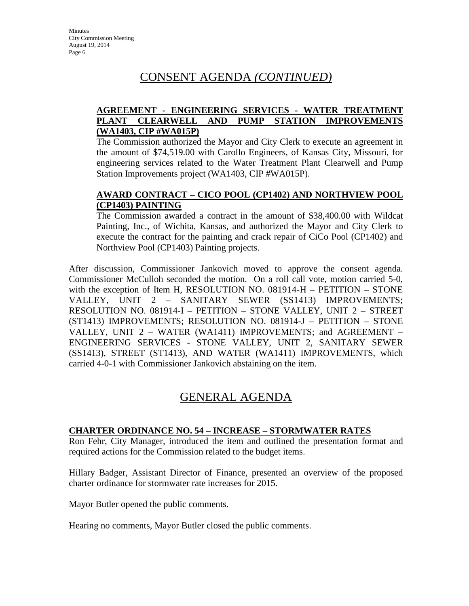### **AGREEMENT - ENGINEERING SERVICES - WATER TREATMENT PLANT CLEARWELL AND PUMP STATION IMPROVEMENTS (WA1403, CIP #WA015P)**

The Commission authorized the Mayor and City Clerk to execute an agreement in the amount of \$74,519.00 with Carollo Engineers, of Kansas City, Missouri, for engineering services related to the Water Treatment Plant Clearwell and Pump Station Improvements project (WA1403, CIP #WA015P).

### **AWARD CONTRACT – CICO POOL (CP1402) AND NORTHVIEW POOL (CP1403) PAINTING**

The Commission awarded a contract in the amount of \$38,400.00 with Wildcat Painting, Inc., of Wichita, Kansas, and authorized the Mayor and City Clerk to execute the contract for the painting and crack repair of CiCo Pool (CP1402) and Northview Pool (CP1403) Painting projects.

After discussion, Commissioner Jankovich moved to approve the consent agenda. Commissioner McCulloh seconded the motion. On a roll call vote, motion carried 5-0, with the exception of Item H, RESOLUTION NO. 081914-H – PETITION – STONE VALLEY, UNIT 2 – SANITARY SEWER (SS1413) IMPROVEMENTS; RESOLUTION NO. 081914-I – PETITION – STONE VALLEY, UNIT 2 – STREET (ST1413) IMPROVEMENTS; RESOLUTION NO. 081914-J – PETITION – STONE VALLEY, UNIT 2 – WATER (WA1411) IMPROVEMENTS; and AGREEMENT – ENGINEERING SERVICES - STONE VALLEY, UNIT 2, SANITARY SEWER (SS1413), STREET (ST1413), AND WATER (WA1411) IMPROVEMENTS, which carried 4-0-1 with Commissioner Jankovich abstaining on the item.

# GENERAL AGENDA

# **CHARTER ORDINANCE NO. 54 – INCREASE – STORMWATER RATES**

Ron Fehr, City Manager, introduced the item and outlined the presentation format and required actions for the Commission related to the budget items.

Hillary Badger, Assistant Director of Finance, presented an overview of the proposed charter ordinance for stormwater rate increases for 2015.

Mayor Butler opened the public comments.

Hearing no comments, Mayor Butler closed the public comments.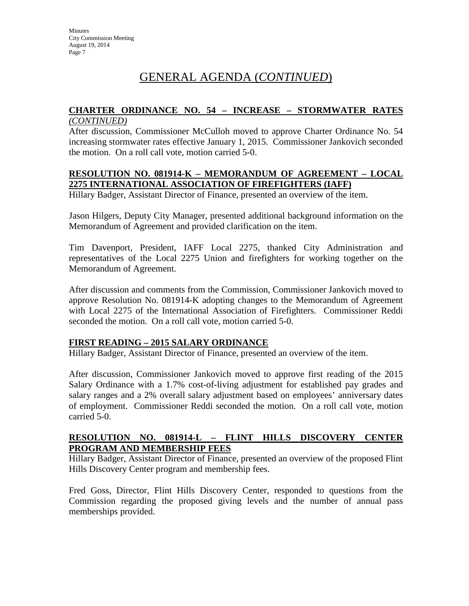# **CHARTER ORDINANCE NO. 54 – INCREASE – STORMWATER RATES**

#### *(CONTINUED)*

After discussion, Commissioner McCulloh moved to approve Charter Ordinance No. 54 increasing stormwater rates effective January 1, 2015. Commissioner Jankovich seconded the motion. On a roll call vote, motion carried 5-0.

#### **RESOLUTION NO. 081914-K – MEMORANDUM OF AGREEMENT – LOCAL 2275 INTERNATIONAL ASSOCIATION OF FIREFIGHTERS (IAFF)**

Hillary Badger, Assistant Director of Finance, presented an overview of the item.

Jason Hilgers, Deputy City Manager, presented additional background information on the Memorandum of Agreement and provided clarification on the item.

Tim Davenport, President, IAFF Local 2275, thanked City Administration and representatives of the Local 2275 Union and firefighters for working together on the Memorandum of Agreement.

After discussion and comments from the Commission, Commissioner Jankovich moved to approve Resolution No. 081914-K adopting changes to the Memorandum of Agreement with Local 2275 of the International Association of Firefighters. Commissioner Reddi seconded the motion. On a roll call vote, motion carried 5-0.

# **FIRST READING – 2015 SALARY ORDINANCE**

Hillary Badger, Assistant Director of Finance, presented an overview of the item.

After discussion, Commissioner Jankovich moved to approve first reading of the 2015 Salary Ordinance with a 1.7% cost-of-living adjustment for established pay grades and salary ranges and a 2% overall salary adjustment based on employees' anniversary dates of employment. Commissioner Reddi seconded the motion. On a roll call vote, motion carried 5-0.

#### **RESOLUTION NO. 081914-L – FLINT HILLS DISCOVERY CENTER PROGRAM AND MEMBERSHIP FEES**

Hillary Badger, Assistant Director of Finance, presented an overview of the proposed Flint Hills Discovery Center program and membership fees.

Fred Goss, Director, Flint Hills Discovery Center, responded to questions from the Commission regarding the proposed giving levels and the number of annual pass memberships provided.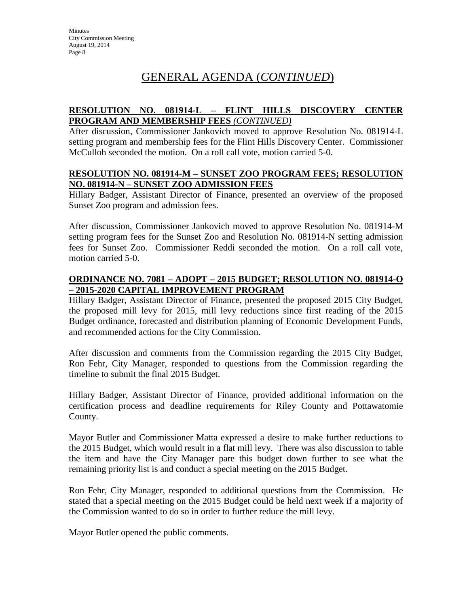# **RESOLUTION NO. 081914-L – FLINT HILLS DISCOVERY CENTER PROGRAM AND MEMBERSHIP FEES** *(CONTINUED)*

After discussion, Commissioner Jankovich moved to approve Resolution No. 081914-L setting program and membership fees for the Flint Hills Discovery Center. Commissioner McCulloh seconded the motion. On a roll call vote, motion carried 5-0.

#### **RESOLUTION NO. 081914-M – SUNSET ZOO PROGRAM FEES; RESOLUTION NO. 081914-N – SUNSET ZOO ADMISSION FEES**

Hillary Badger, Assistant Director of Finance, presented an overview of the proposed Sunset Zoo program and admission fees.

After discussion, Commissioner Jankovich moved to approve Resolution No. 081914-M setting program fees for the Sunset Zoo and Resolution No. 081914-N setting admission fees for Sunset Zoo. Commissioner Reddi seconded the motion. On a roll call vote, motion carried 5-0.

### **ORDINANCE NO. 7081 – ADOPT – 2015 BUDGET; RESOLUTION NO. 081914-O – 2015-2020 CAPITAL IMPROVEMENT PROGRAM**

Hillary Badger, Assistant Director of Finance, presented the proposed 2015 City Budget, the proposed mill levy for 2015, mill levy reductions since first reading of the 2015 Budget ordinance, forecasted and distribution planning of Economic Development Funds, and recommended actions for the City Commission.

After discussion and comments from the Commission regarding the 2015 City Budget, Ron Fehr, City Manager, responded to questions from the Commission regarding the timeline to submit the final 2015 Budget.

Hillary Badger, Assistant Director of Finance, provided additional information on the certification process and deadline requirements for Riley County and Pottawatomie County.

Mayor Butler and Commissioner Matta expressed a desire to make further reductions to the 2015 Budget, which would result in a flat mill levy. There was also discussion to table the item and have the City Manager pare this budget down further to see what the remaining priority list is and conduct a special meeting on the 2015 Budget.

Ron Fehr, City Manager, responded to additional questions from the Commission. He stated that a special meeting on the 2015 Budget could be held next week if a majority of the Commission wanted to do so in order to further reduce the mill levy.

Mayor Butler opened the public comments.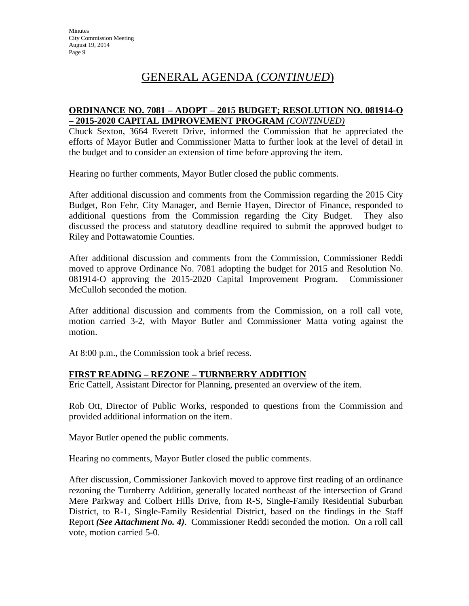#### **ORDINANCE NO. 7081 – ADOPT – 2015 BUDGET; RESOLUTION NO. 081914-O – 2015-2020 CAPITAL IMPROVEMENT PROGRAM** *(CONTINUED)*

Chuck Sexton, 3664 Everett Drive, informed the Commission that he appreciated the efforts of Mayor Butler and Commissioner Matta to further look at the level of detail in the budget and to consider an extension of time before approving the item.

Hearing no further comments, Mayor Butler closed the public comments.

After additional discussion and comments from the Commission regarding the 2015 City Budget, Ron Fehr, City Manager, and Bernie Hayen, Director of Finance, responded to additional questions from the Commission regarding the City Budget. They also discussed the process and statutory deadline required to submit the approved budget to Riley and Pottawatomie Counties.

After additional discussion and comments from the Commission, Commissioner Reddi moved to approve Ordinance No. 7081 adopting the budget for 2015 and Resolution No. 081914-O approving the 2015-2020 Capital Improvement Program. Commissioner McCulloh seconded the motion.

After additional discussion and comments from the Commission, on a roll call vote, motion carried 3-2, with Mayor Butler and Commissioner Matta voting against the motion.

At 8:00 p.m., the Commission took a brief recess.

# **FIRST READING – REZONE – TURNBERRY ADDITION**

Eric Cattell, Assistant Director for Planning, presented an overview of the item.

Rob Ott, Director of Public Works, responded to questions from the Commission and provided additional information on the item.

Mayor Butler opened the public comments.

Hearing no comments, Mayor Butler closed the public comments.

After discussion, Commissioner Jankovich moved to approve first reading of an ordinance rezoning the Turnberry Addition, generally located northeast of the intersection of Grand Mere Parkway and Colbert Hills Drive, from R-S, Single-Family Residential Suburban District, to R-1, Single-Family Residential District, based on the findings in the Staff Report *(See Attachment No. 4)*. Commissioner Reddi seconded the motion. On a roll call vote, motion carried 5-0.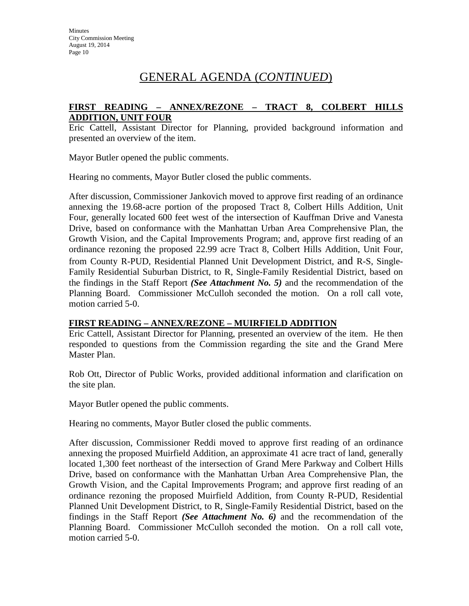### **FIRST READING – ANNEX/REZONE – TRACT 8, COLBERT HILLS ADDITION, UNIT FOUR**

Eric Cattell, Assistant Director for Planning, provided background information and presented an overview of the item.

Mayor Butler opened the public comments.

Hearing no comments, Mayor Butler closed the public comments.

After discussion, Commissioner Jankovich moved to approve first reading of an ordinance annexing the 19.68-acre portion of the proposed Tract 8, Colbert Hills Addition, Unit Four, generally located 600 feet west of the intersection of Kauffman Drive and Vanesta Drive, based on conformance with the Manhattan Urban Area Comprehensive Plan, the Growth Vision, and the Capital Improvements Program; and, approve first reading of an ordinance rezoning the proposed 22.99 acre Tract 8, Colbert Hills Addition, Unit Four, from County R-PUD, Residential Planned Unit Development District, and R-S, Single-Family Residential Suburban District, to R, Single-Family Residential District, based on the findings in the Staff Report *(See Attachment No. 5)* and the recommendation of the Planning Board. Commissioner McCulloh seconded the motion. On a roll call vote, motion carried 5-0.

# **FIRST READING – ANNEX/REZONE – MUIRFIELD ADDITION**

Eric Cattell, Assistant Director for Planning, presented an overview of the item. He then responded to questions from the Commission regarding the site and the Grand Mere Master Plan.

Rob Ott, Director of Public Works, provided additional information and clarification on the site plan.

Mayor Butler opened the public comments.

Hearing no comments, Mayor Butler closed the public comments.

After discussion, Commissioner Reddi moved to approve first reading of an ordinance annexing the proposed Muirfield Addition, an approximate 41 acre tract of land, generally located 1,300 feet northeast of the intersection of Grand Mere Parkway and Colbert Hills Drive, based on conformance with the Manhattan Urban Area Comprehensive Plan, the Growth Vision, and the Capital Improvements Program; and approve first reading of an ordinance rezoning the proposed Muirfield Addition, from County R-PUD, Residential Planned Unit Development District, to R, Single-Family Residential District, based on the findings in the Staff Report *(See Attachment No. 6)* and the recommendation of the Planning Board. Commissioner McCulloh seconded the motion. On a roll call vote, motion carried 5-0.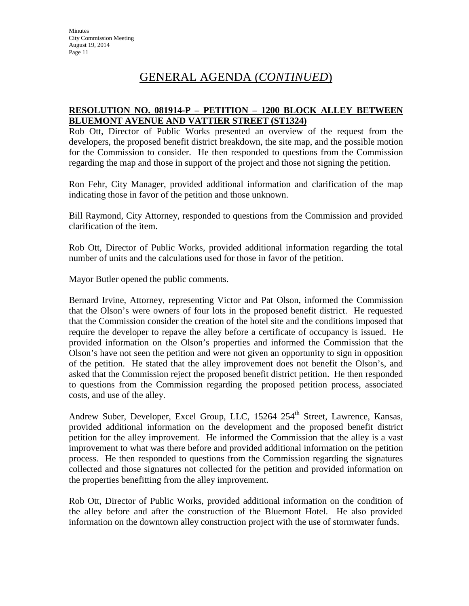### **RESOLUTION NO. 081914-P – PETITION – 1200 BLOCK ALLEY BETWEEN BLUEMONT AVENUE AND VATTIER STREET (ST1324)**

Rob Ott, Director of Public Works presented an overview of the request from the developers, the proposed benefit district breakdown, the site map, and the possible motion for the Commission to consider. He then responded to questions from the Commission regarding the map and those in support of the project and those not signing the petition.

Ron Fehr, City Manager, provided additional information and clarification of the map indicating those in favor of the petition and those unknown.

Bill Raymond, City Attorney, responded to questions from the Commission and provided clarification of the item.

Rob Ott, Director of Public Works, provided additional information regarding the total number of units and the calculations used for those in favor of the petition.

Mayor Butler opened the public comments.

Bernard Irvine, Attorney, representing Victor and Pat Olson, informed the Commission that the Olson's were owners of four lots in the proposed benefit district. He requested that the Commission consider the creation of the hotel site and the conditions imposed that require the developer to repave the alley before a certificate of occupancy is issued. He provided information on the Olson's properties and informed the Commission that the Olson's have not seen the petition and were not given an opportunity to sign in opposition of the petition. He stated that the alley improvement does not benefit the Olson's, and asked that the Commission reject the proposed benefit district petition. He then responded to questions from the Commission regarding the proposed petition process, associated costs, and use of the alley.

Andrew Suber, Developer, Excel Group, LLC, 15264 254<sup>th</sup> Street, Lawrence, Kansas, provided additional information on the development and the proposed benefit district petition for the alley improvement. He informed the Commission that the alley is a vast improvement to what was there before and provided additional information on the petition process. He then responded to questions from the Commission regarding the signatures collected and those signatures not collected for the petition and provided information on the properties benefitting from the alley improvement.

Rob Ott, Director of Public Works, provided additional information on the condition of the alley before and after the construction of the Bluemont Hotel. He also provided information on the downtown alley construction project with the use of stormwater funds.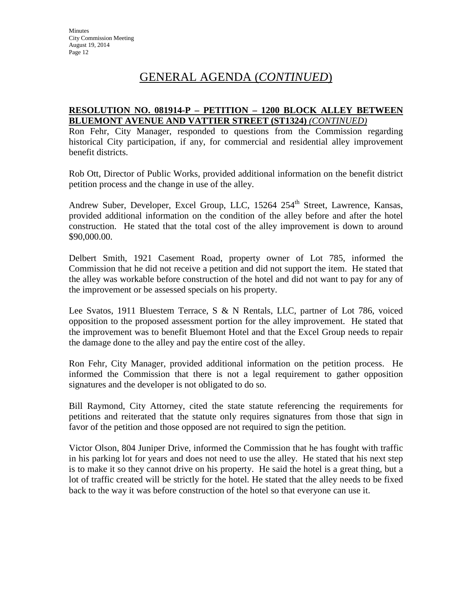#### **RESOLUTION NO. 081914-P – PETITION – 1200 BLOCK ALLEY BETWEEN BLUEMONT AVENUE AND VATTIER STREET (ST1324)** *(CONTINUED)*

Ron Fehr, City Manager, responded to questions from the Commission regarding historical City participation, if any, for commercial and residential alley improvement benefit districts.

Rob Ott, Director of Public Works, provided additional information on the benefit district petition process and the change in use of the alley.

Andrew Suber, Developer, Excel Group, LLC, 15264 254<sup>th</sup> Street, Lawrence, Kansas, provided additional information on the condition of the alley before and after the hotel construction. He stated that the total cost of the alley improvement is down to around \$90,000.00.

Delbert Smith, 1921 Casement Road, property owner of Lot 785, informed the Commission that he did not receive a petition and did not support the item. He stated that the alley was workable before construction of the hotel and did not want to pay for any of the improvement or be assessed specials on his property.

Lee Svatos, 1911 Bluestem Terrace, S & N Rentals, LLC, partner of Lot 786, voiced opposition to the proposed assessment portion for the alley improvement. He stated that the improvement was to benefit Bluemont Hotel and that the Excel Group needs to repair the damage done to the alley and pay the entire cost of the alley.

Ron Fehr, City Manager, provided additional information on the petition process. He informed the Commission that there is not a legal requirement to gather opposition signatures and the developer is not obligated to do so.

Bill Raymond, City Attorney, cited the state statute referencing the requirements for petitions and reiterated that the statute only requires signatures from those that sign in favor of the petition and those opposed are not required to sign the petition.

Victor Olson, 804 Juniper Drive, informed the Commission that he has fought with traffic in his parking lot for years and does not need to use the alley. He stated that his next step is to make it so they cannot drive on his property. He said the hotel is a great thing, but a lot of traffic created will be strictly for the hotel. He stated that the alley needs to be fixed back to the way it was before construction of the hotel so that everyone can use it.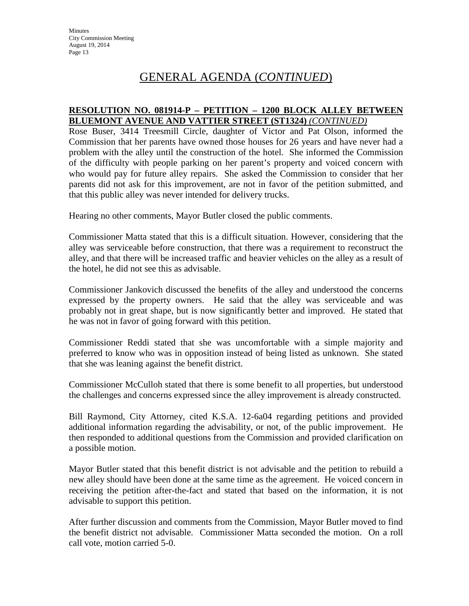#### **RESOLUTION NO. 081914-P – PETITION – 1200 BLOCK ALLEY BETWEEN BLUEMONT AVENUE AND VATTIER STREET (ST1324)** *(CONTINUED)*

Rose Buser, 3414 Treesmill Circle, daughter of Victor and Pat Olson, informed the Commission that her parents have owned those houses for 26 years and have never had a problem with the alley until the construction of the hotel. She informed the Commission of the difficulty with people parking on her parent's property and voiced concern with who would pay for future alley repairs. She asked the Commission to consider that her parents did not ask for this improvement, are not in favor of the petition submitted, and that this public alley was never intended for delivery trucks.

Hearing no other comments, Mayor Butler closed the public comments.

Commissioner Matta stated that this is a difficult situation. However, considering that the alley was serviceable before construction, that there was a requirement to reconstruct the alley, and that there will be increased traffic and heavier vehicles on the alley as a result of the hotel, he did not see this as advisable.

Commissioner Jankovich discussed the benefits of the alley and understood the concerns expressed by the property owners. He said that the alley was serviceable and was probably not in great shape, but is now significantly better and improved. He stated that he was not in favor of going forward with this petition.

Commissioner Reddi stated that she was uncomfortable with a simple majority and preferred to know who was in opposition instead of being listed as unknown. She stated that she was leaning against the benefit district.

Commissioner McCulloh stated that there is some benefit to all properties, but understood the challenges and concerns expressed since the alley improvement is already constructed.

Bill Raymond, City Attorney, cited K.S.A. 12-6a04 regarding petitions and provided additional information regarding the advisability, or not, of the public improvement. He then responded to additional questions from the Commission and provided clarification on a possible motion.

Mayor Butler stated that this benefit district is not advisable and the petition to rebuild a new alley should have been done at the same time as the agreement. He voiced concern in receiving the petition after-the-fact and stated that based on the information, it is not advisable to support this petition.

After further discussion and comments from the Commission, Mayor Butler moved to find the benefit district not advisable. Commissioner Matta seconded the motion. On a roll call vote, motion carried 5-0.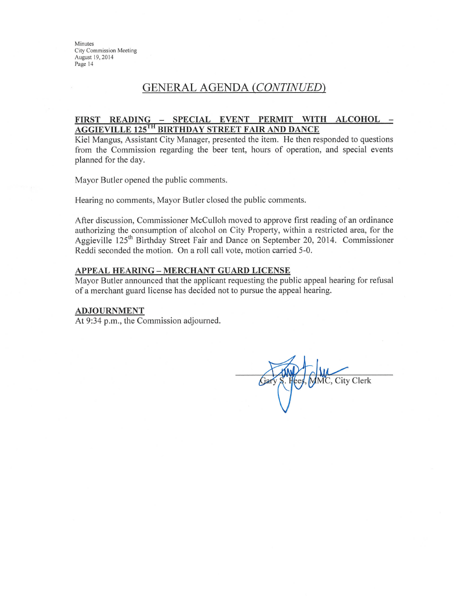Minutes **City Commission Meeting** August 19, 2014 Page 14

# **GENERAL AGENDA (CONTINUED)**

#### FIRST READING - SPECIAL EVENT PERMIT WITH ALCOHOL -**AGGIEVILLE 125TH BIRTHDAY STREET FAIR AND DANCE**

Kiel Mangus, Assistant City Manager, presented the item. He then responded to questions from the Commission regarding the beer tent, hours of operation, and special events planned for the day.

Mayor Butler opened the public comments.

Hearing no comments, Mayor Butler closed the public comments.

After discussion, Commissioner McCulloh moved to approve first reading of an ordinance authorizing the consumption of alcohol on City Property, within a restricted area, for the Aggieville 125<sup>th</sup> Birthday Street Fair and Dance on September 20, 2014. Commissioner Reddi seconded the motion. On a roll call vote, motion carried 5-0.

#### **APPEAL HEARING - MERCHANT GUARD LICENSE**

Mayor Butler announced that the applicant requesting the public appeal hearing for refusal of a merchant guard license has decided not to pursue the appeal hearing.

#### **ADJOURNMENT**

At 9:34 p.m., the Commission adjourned.

MMC, City Clerk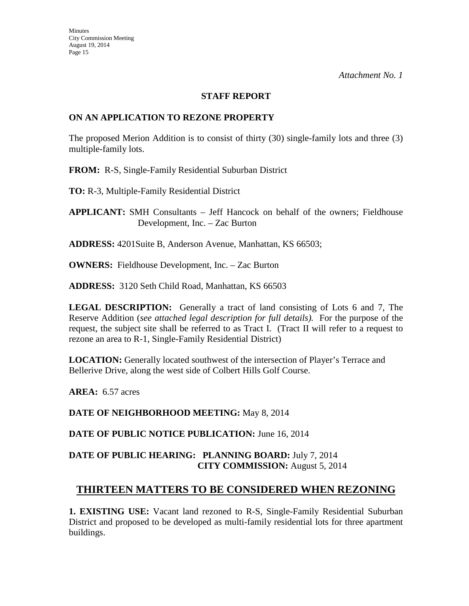#### **STAFF REPORT**

### **ON AN APPLICATION TO REZONE PROPERTY**

The proposed Merion Addition is to consist of thirty (30) single-family lots and three (3) multiple-family lots.

**FROM:** R-S, Single-Family Residential Suburban District

**TO:** R-3, Multiple-Family Residential District

**APPLICANT:** SMH Consultants – Jeff Hancock on behalf of the owners; Fieldhouse Development, Inc. – Zac Burton

**ADDRESS:** 4201Suite B, Anderson Avenue, Manhattan, KS 66503;

**OWNERS:** Fieldhouse Development, Inc. – Zac Burton

**ADDRESS:** 3120 Seth Child Road, Manhattan, KS 66503

**LEGAL DESCRIPTION:** Generally a tract of land consisting of Lots 6 and 7, The Reserve Addition (*see attached legal description for full details).* For the purpose of the request, the subject site shall be referred to as Tract I. (Tract II will refer to a request to rezone an area to R-1, Single-Family Residential District)

**LOCATION:** Generally located southwest of the intersection of Player's Terrace and Bellerive Drive, along the west side of Colbert Hills Golf Course.

**AREA:** 6.57 acres

**DATE OF NEIGHBORHOOD MEETING:** May 8, 2014

**DATE OF PUBLIC NOTICE PUBLICATION:** June 16, 2014

# **DATE OF PUBLIC HEARING: PLANNING BOARD:** July 7, 2014 **CITY COMMISSION:** August 5, 2014

# **THIRTEEN MATTERS TO BE CONSIDERED WHEN REZONING**

**1. EXISTING USE:** Vacant land rezoned to R-S, Single-Family Residential Suburban District and proposed to be developed as multi-family residential lots for three apartment buildings.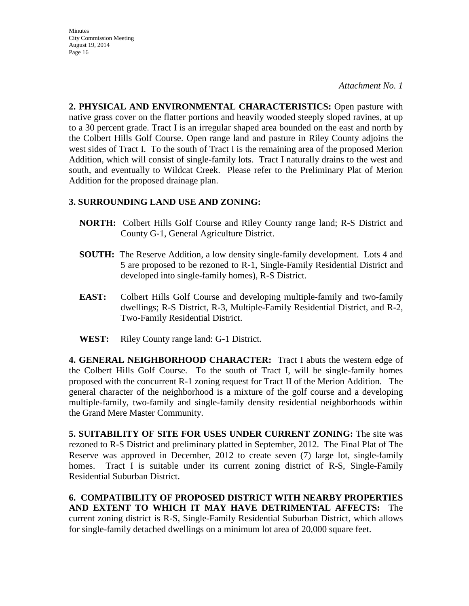**Minutes** City Commission Meeting August 19, 2014 Page 16

*Attachment No. 1*

**2. PHYSICAL AND ENVIRONMENTAL CHARACTERISTICS:** Open pasture with native grass cover on the flatter portions and heavily wooded steeply sloped ravines, at up to a 30 percent grade. Tract I is an irregular shaped area bounded on the east and north by the Colbert Hills Golf Course. Open range land and pasture in Riley County adjoins the west sides of Tract I. To the south of Tract I is the remaining area of the proposed Merion Addition, which will consist of single-family lots. Tract I naturally drains to the west and south, and eventually to Wildcat Creek. Please refer to the Preliminary Plat of Merion Addition for the proposed drainage plan.

# **3. SURROUNDING LAND USE AND ZONING:**

- **NORTH:** Colbert Hills Golf Course and Riley County range land; R-S District and County G-1, General Agriculture District.
- **SOUTH:** The Reserve Addition, a low density single-family development. Lots 4 and 5 are proposed to be rezoned to R-1, Single-Family Residential District and developed into single-family homes), R-S District.
- **EAST:** Colbert Hills Golf Course and developing multiple-family and two-family dwellings; R-S District, R-3, Multiple-Family Residential District, and R-2, Two-Family Residential District.
- **WEST:** Riley County range land: G-1 District.

**4. GENERAL NEIGHBORHOOD CHARACTER:** Tract I abuts the western edge of the Colbert Hills Golf Course. To the south of Tract I, will be single-family homes proposed with the concurrent R-1 zoning request for Tract II of the Merion Addition. The general character of the neighborhood is a mixture of the golf course and a developing multiple-family, two-family and single-family density residential neighborhoods within the Grand Mere Master Community.

**5. SUITABILITY OF SITE FOR USES UNDER CURRENT ZONING:** The site was rezoned to R-S District and preliminary platted in September, 2012. The Final Plat of The Reserve was approved in December, 2012 to create seven (7) large lot, single-family homes. Tract I is suitable under its current zoning district of R-S, Single-Family Residential Suburban District.

**6. COMPATIBILITY OF PROPOSED DISTRICT WITH NEARBY PROPERTIES AND EXTENT TO WHICH IT MAY HAVE DETRIMENTAL AFFECTS:** The current zoning district is R-S, Single-Family Residential Suburban District, which allows for single-family detached dwellings on a minimum lot area of 20,000 square feet.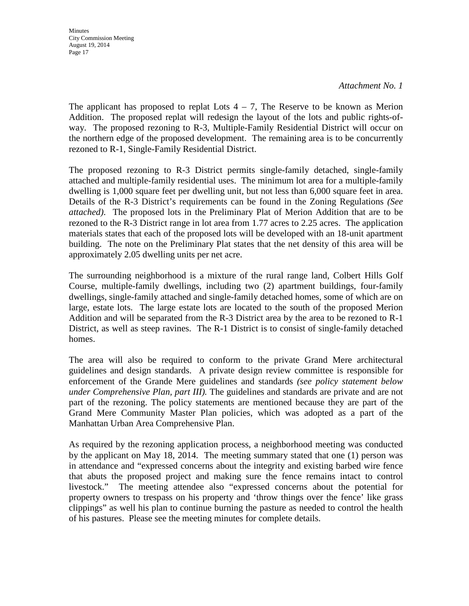**Minutes** City Commission Meeting August 19, 2014 Page 17

*Attachment No. 1*

The applicant has proposed to replat Lots  $4 - 7$ , The Reserve to be known as Merion Addition. The proposed replat will redesign the layout of the lots and public rights-ofway. The proposed rezoning to R-3, Multiple-Family Residential District will occur on the northern edge of the proposed development. The remaining area is to be concurrently rezoned to R-1, Single-Family Residential District.

The proposed rezoning to R-3 District permits single-family detached, single-family attached and multiple-family residential uses. The minimum lot area for a multiple-family dwelling is 1,000 square feet per dwelling unit, but not less than 6,000 square feet in area. Details of the R-3 District's requirements can be found in the Zoning Regulations *(See attached)*.The proposed lots in the Preliminary Plat of Merion Addition that are to be rezoned to the R-3 District range in lot area from 1.77 acres to 2.25 acres. The application materials states that each of the proposed lots will be developed with an 18-unit apartment building. The note on the Preliminary Plat states that the net density of this area will be approximately 2.05 dwelling units per net acre.

The surrounding neighborhood is a mixture of the rural range land, Colbert Hills Golf Course, multiple-family dwellings, including two (2) apartment buildings, four-family dwellings, single-family attached and single-family detached homes, some of which are on large, estate lots. The large estate lots are located to the south of the proposed Merion Addition and will be separated from the R-3 District area by the area to be rezoned to R-1 District, as well as steep ravines. The R-1 District is to consist of single-family detached homes.

The area will also be required to conform to the private Grand Mere architectural guidelines and design standards. A private design review committee is responsible for enforcement of the Grande Mere guidelines and standards *(see policy statement below under Comprehensive Plan, part III).* The guidelines and standards are private and are not part of the rezoning. The policy statements are mentioned because they are part of the Grand Mere Community Master Plan policies, which was adopted as a part of the Manhattan Urban Area Comprehensive Plan.

As required by the rezoning application process, a neighborhood meeting was conducted by the applicant on May 18, 2014. The meeting summary stated that one (1) person was in attendance and "expressed concerns about the integrity and existing barbed wire fence that abuts the proposed project and making sure the fence remains intact to control livestock." The meeting attendee also "expressed concerns about the potential for property owners to trespass on his property and 'throw things over the fence' like grass clippings" as well his plan to continue burning the pasture as needed to control the health of his pastures. Please see the meeting minutes for complete details.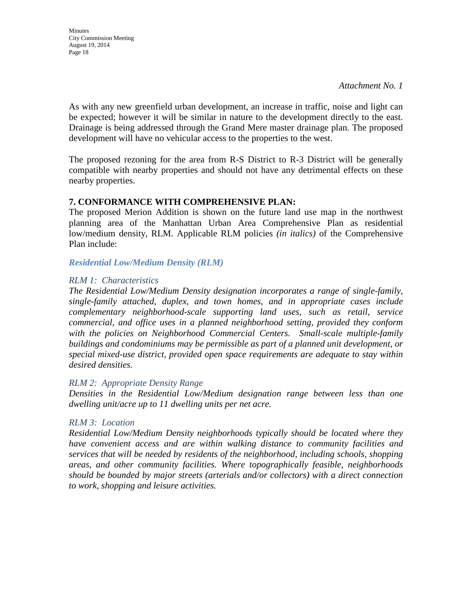As with any new greenfield urban development, an increase in traffic, noise and light can be expected; however it will be similar in nature to the development directly to the east. Drainage is being addressed through the Grand Mere master drainage plan. The proposed development will have no vehicular access to the properties to the west.

The proposed rezoning for the area from R-S District to R-3 District will be generally compatible with nearby properties and should not have any detrimental effects on these nearby properties.

#### **7. CONFORMANCE WITH COMPREHENSIVE PLAN:**

The proposed Merion Addition is shown on the future land use map in the northwest planning area of the Manhattan Urban Area Comprehensive Plan as residential low/medium density, RLM. Applicable RLM policies *(in italics)* of the Comprehensive Plan include:

*Residential Low/Medium Density (RLM)*

#### *RLM 1: Characteristics*

*The Residential Low/Medium Density designation incorporates a range of single-family, single-family attached, duplex, and town homes, and in appropriate cases include complementary neighborhood-scale supporting land uses, such as retail, service commercial, and office uses in a planned neighborhood setting, provided they conform with the policies on Neighborhood Commercial Centers. Small-scale multiple-family buildings and condominiums may be permissible as part of a planned unit development, or special mixed-use district, provided open space requirements are adequate to stay within desired densities.* 

#### *RLM 2: Appropriate Density Range*

*Densities in the Residential Low/Medium designation range between less than one dwelling unit/acre up to 11 dwelling units per net acre.* 

# *RLM 3: Location*

*Residential Low/Medium Density neighborhoods typically should be located where they have convenient access and are within walking distance to community facilities and services that will be needed by residents of the neighborhood, including schools, shopping areas, and other community facilities. Where topographically feasible, neighborhoods should be bounded by major streets (arterials and/or collectors) with a direct connection to work, shopping and leisure activities.*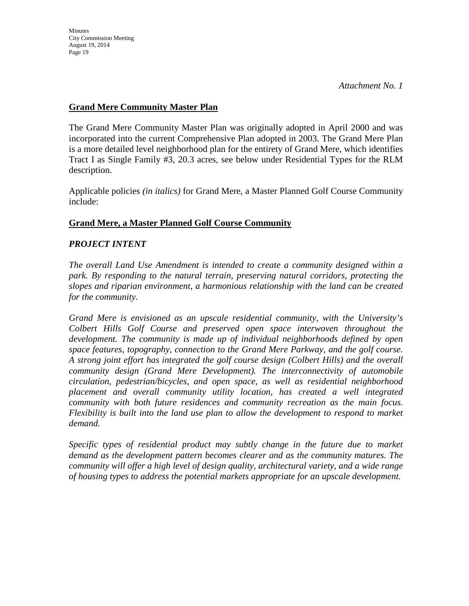# **Grand Mere Community Master Plan**

The Grand Mere Community Master Plan was originally adopted in April 2000 and was incorporated into the current Comprehensive Plan adopted in 2003. The Grand Mere Plan is a more detailed level neighborhood plan for the entirety of Grand Mere, which identifies Tract I as Single Family #3, 20.3 acres, see below under Residential Types for the RLM description.

Applicable policies *(in italics)* for Grand Mere, a Master Planned Golf Course Community include:

# **Grand Mere, a Master Planned Golf Course Community**

# *PROJECT INTENT*

*The overall Land Use Amendment is intended to create a community designed within a park. By responding to the natural terrain, preserving natural corridors, protecting the slopes and riparian environment, a harmonious relationship with the land can be created for the community.*

*Grand Mere is envisioned as an upscale residential community, with the University's Colbert Hills Golf Course and preserved open space interwoven throughout the development. The community is made up of individual neighborhoods defined by open space features, topography, connection to the Grand Mere Parkway, and the golf course. A strong joint effort has integrated the golf course design (Colbert Hills) and the overall community design (Grand Mere Development). The interconnectivity of automobile circulation, pedestrian/bicycles, and open space, as well as residential neighborhood placement and overall community utility location, has created a well integrated community with both future residences and community recreation as the main focus. Flexibility is built into the land use plan to allow the development to respond to market demand.*

*Specific types of residential product may subtly change in the future due to market demand as the development pattern becomes clearer and as the community matures. The community will offer a high level of design quality, architectural variety, and a wide range of housing types to address the potential markets appropriate for an upscale development.*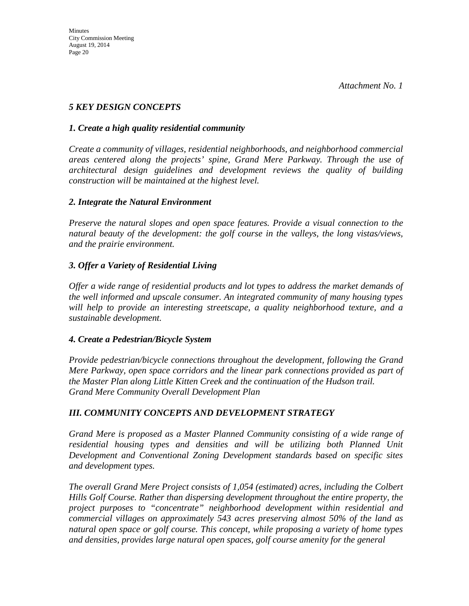# *5 KEY DESIGN CONCEPTS*

# *1. Create a high quality residential community*

*Create a community of villages, residential neighborhoods, and neighborhood commercial areas centered along the projects' spine, Grand Mere Parkway. Through the use of architectural design guidelines and development reviews the quality of building construction will be maintained at the highest level.*

# *2. Integrate the Natural Environment*

*Preserve the natural slopes and open space features. Provide a visual connection to the natural beauty of the development: the golf course in the valleys, the long vistas/views, and the prairie environment.*

# *3. Offer a Variety of Residential Living*

*Offer a wide range of residential products and lot types to address the market demands of the well informed and upscale consumer. An integrated community of many housing types will help to provide an interesting streetscape, a quality neighborhood texture, and a sustainable development.*

# *4. Create a Pedestrian/Bicycle System*

*Provide pedestrian/bicycle connections throughout the development, following the Grand Mere Parkway, open space corridors and the linear park connections provided as part of the Master Plan along Little Kitten Creek and the continuation of the Hudson trail. Grand Mere Community Overall Development Plan* 

# *III. COMMUNITY CONCEPTS AND DEVELOPMENT STRATEGY*

*Grand Mere is proposed as a Master Planned Community consisting of a wide range of residential housing types and densities and will be utilizing both Planned Unit Development and Conventional Zoning Development standards based on specific sites and development types.*

*The overall Grand Mere Project consists of 1,054 (estimated) acres, including the Colbert Hills Golf Course. Rather than dispersing development throughout the entire property, the project purposes to "concentrate" neighborhood development within residential and commercial villages on approximately 543 acres preserving almost 50% of the land as natural open space or golf course. This concept, while proposing a variety of home types and densities, provides large natural open spaces, golf course amenity for the general*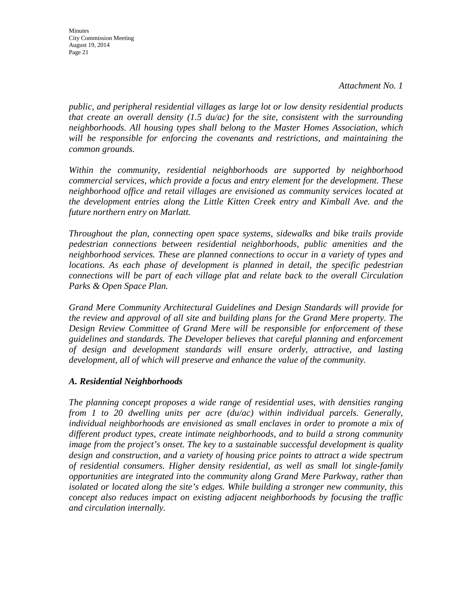**Minutes** City Commission Meeting August 19, 2014 Page 21

*public, and peripheral residential villages as large lot or low density residential products that create an overall density (1.5 du/ac) for the site, consistent with the surrounding neighborhoods. All housing types shall belong to the Master Homes Association, which will be responsible for enforcing the covenants and restrictions, and maintaining the common grounds.*

*Within the community, residential neighborhoods are supported by neighborhood commercial services, which provide a focus and entry element for the development. These neighborhood office and retail villages are envisioned as community services located at the development entries along the Little Kitten Creek entry and Kimball Ave. and the future northern entry on Marlatt.*

*Throughout the plan, connecting open space systems, sidewalks and bike trails provide pedestrian connections between residential neighborhoods, public amenities and the neighborhood services. These are planned connections to occur in a variety of types and locations. As each phase of development is planned in detail, the specific pedestrian connections will be part of each village plat and relate back to the overall Circulation Parks & Open Space Plan.*

*Grand Mere Community Architectural Guidelines and Design Standards will provide for the review and approval of all site and building plans for the Grand Mere property. The Design Review Committee of Grand Mere will be responsible for enforcement of these guidelines and standards. The Developer believes that careful planning and enforcement of design and development standards will ensure orderly, attractive, and lasting development, all of which will preserve and enhance the value of the community.*

# *A. Residential Neighborhoods*

*The planning concept proposes a wide range of residential uses, with densities ranging from 1 to 20 dwelling units per acre (du/ac) within individual parcels. Generally, individual neighborhoods are envisioned as small enclaves in order to promote a mix of different product types, create intimate neighborhoods, and to build a strong community image from the project's onset. The key to a sustainable successful development is quality design and construction, and a variety of housing price points to attract a wide spectrum of residential consumers. Higher density residential, as well as small lot single-family opportunities are integrated into the community along Grand Mere Parkway, rather than isolated or located along the site's edges. While building a stronger new community, this concept also reduces impact on existing adjacent neighborhoods by focusing the traffic and circulation internally.*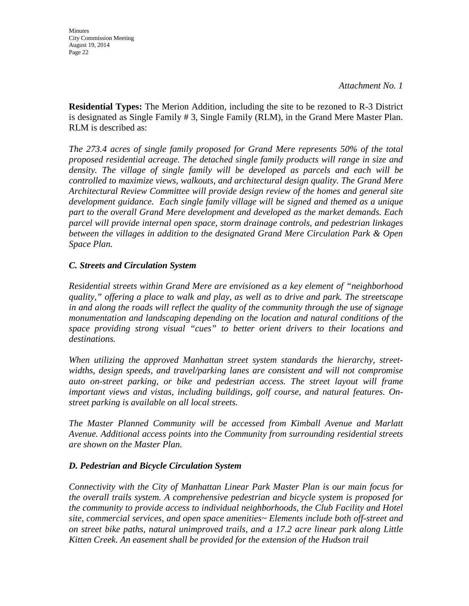**Residential Types:** The Merion Addition, including the site to be rezoned to R-3 District is designated as Single Family # 3, Single Family (RLM), in the Grand Mere Master Plan. RLM is described as:

*The 273.4 acres of single family proposed for Grand Mere represents 50% of the total proposed residential acreage. The detached single family products will range in size and*  density. The village of single family will be developed as parcels and each will be *controlled to maximize views, walkouts, and architectural design quality. The Grand Mere Architectural Review Committee will provide design review of the homes and general site development guidance. Each single family village will be signed and themed as a unique part to the overall Grand Mere development and developed as the market demands. Each parcel will provide internal open space, storm drainage controls, and pedestrian linkages between the villages in addition to the designated Grand Mere Circulation Park & Open Space Plan.*

# *C. Streets and Circulation System*

*Residential streets within Grand Mere are envisioned as a key element of "neighborhood quality," offering a place to walk and play, as well as to drive and park. The streetscape in and along the roads will reflect the quality of the community through the use of signage monumentation and landscaping depending on the location and natural conditions of the space providing strong visual "cues" to better orient drivers to their locations and destinations.*

*When utilizing the approved Manhattan street system standards the hierarchy, streetwidths, design speeds, and travel/parking lanes are consistent and will not compromise auto on-street parking, or bike and pedestrian access. The street layout will frame important views and vistas, including buildings, golf course, and natural features. Onstreet parking is available on all local streets.*

*The Master Planned Community will be accessed from Kimball Avenue and Marlatt Avenue. Additional access points into the Community from surrounding residential streets are shown on the Master Plan.*

# *D. Pedestrian and Bicycle Circulation System*

*Connectivity with the City of Manhattan Linear Park Master Plan is our main focus for the overall trails system. A comprehensive pedestrian and bicycle system is proposed for the community to provide access to individual neighborhoods, the Club Facility and Hotel site, commercial services, and open space amenities~ Elements include both off-street and on street bike paths, natural unimproved trails, and a 17.2 acre linear park along Little Kitten Creek. An easement shall be provided for the extension of the Hudson trail*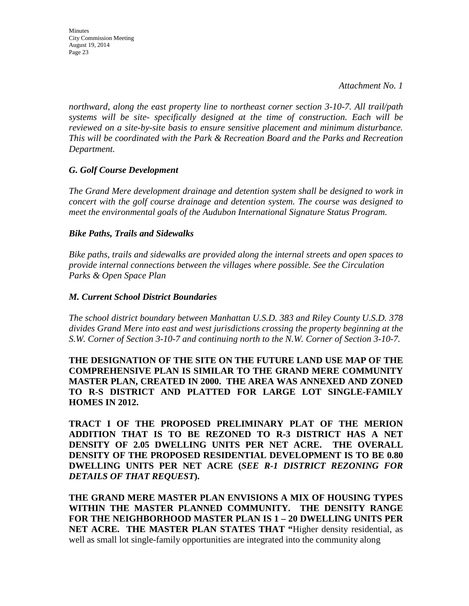*northward, along the east property line to northeast corner section 3-10-7. All trail/path systems will be site- specifically designed at the time of construction. Each will be reviewed on a site-by-site basis to ensure sensitive placement and minimum disturbance. This will be coordinated with the Park & Recreation Board and the Parks and Recreation Department.*

# *G. Golf Course Development*

*The Grand Mere development drainage and detention system shall be designed to work in concert with the golf course drainage and detention system. The course was designed to meet the environmental goals of the Audubon International Signature Status Program.*

#### *Bike Paths, Trails and Sidewalks*

*Bike paths, trails and sidewalks are provided along the internal streets and open spaces to provide internal connections between the villages where possible. See the Circulation Parks & Open Space Plan*

#### *M. Current School District Boundaries*

*The school district boundary between Manhattan U.S.D. 383 and Riley County U.S.D. 378 divides Grand Mere into east and west jurisdictions crossing the property beginning at the S.W. Corner of Section 3-10-7 and continuing north to the N.W. Corner of Section 3-10-7.*

**THE DESIGNATION OF THE SITE ON THE FUTURE LAND USE MAP OF THE COMPREHENSIVE PLAN IS SIMILAR TO THE GRAND MERE COMMUNITY MASTER PLAN, CREATED IN 2000. THE AREA WAS ANNEXED AND ZONED TO R-S DISTRICT AND PLATTED FOR LARGE LOT SINGLE-FAMILY HOMES IN 2012.**

**TRACT I OF THE PROPOSED PRELIMINARY PLAT OF THE MERION ADDITION THAT IS TO BE REZONED TO R-3 DISTRICT HAS A NET DENSITY OF 2.05 DWELLING UNITS PER NET ACRE. THE OVERALL DENSITY OF THE PROPOSED RESIDENTIAL DEVELOPMENT IS TO BE 0.80 DWELLING UNITS PER NET ACRE (***SEE R-1 DISTRICT REZONING FOR DETAILS OF THAT REQUEST***).**

**THE GRAND MERE MASTER PLAN ENVISIONS A MIX OF HOUSING TYPES WITHIN THE MASTER PLANNED COMMUNITY. THE DENSITY RANGE FOR THE NEIGHBORHOOD MASTER PLAN IS 1 – 20 DWELLING UNITS PER NET ACRE. THE MASTER PLAN STATES THAT "**Higher density residential, as well as small lot single-family opportunities are integrated into the community along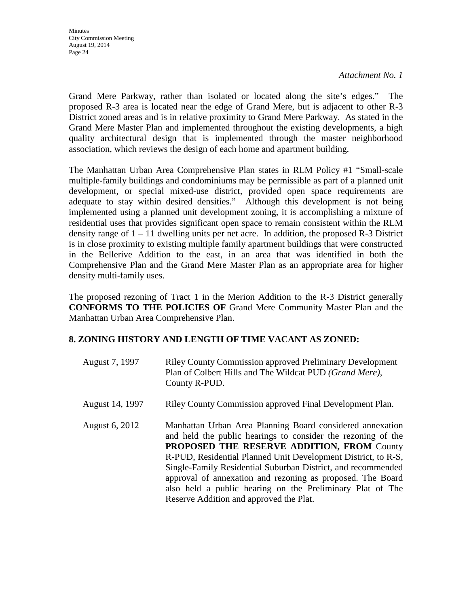**Minutes** City Commission Meeting August 19, 2014 Page 24

*Attachment No. 1*

Grand Mere Parkway, rather than isolated or located along the site's edges." The proposed R-3 area is located near the edge of Grand Mere, but is adjacent to other R-3 District zoned areas and is in relative proximity to Grand Mere Parkway. As stated in the Grand Mere Master Plan and implemented throughout the existing developments, a high quality architectural design that is implemented through the master neighborhood association, which reviews the design of each home and apartment building.

The Manhattan Urban Area Comprehensive Plan states in RLM Policy #1 "Small-scale multiple-family buildings and condominiums may be permissible as part of a planned unit development, or special mixed-use district, provided open space requirements are adequate to stay within desired densities." Although this development is not being implemented using a planned unit development zoning, it is accomplishing a mixture of residential uses that provides significant open space to remain consistent within the RLM density range of  $1 - 11$  dwelling units per net acre. In addition, the proposed R-3 District is in close proximity to existing multiple family apartment buildings that were constructed in the Bellerive Addition to the east, in an area that was identified in both the Comprehensive Plan and the Grand Mere Master Plan as an appropriate area for higher density multi-family uses.

The proposed rezoning of Tract 1 in the Merion Addition to the R-3 District generally **CONFORMS TO THE POLICIES OF** Grand Mere Community Master Plan and the Manhattan Urban Area Comprehensive Plan.

# **8. ZONING HISTORY AND LENGTH OF TIME VACANT AS ZONED:**

| August 7, 1997  | <b>Riley County Commission approved Preliminary Development</b><br>Plan of Colbert Hills and The Wildcat PUD (Grand Mere),<br>County R-PUD.                                                                                                                                                                                                                                                                                                                                           |
|-----------------|---------------------------------------------------------------------------------------------------------------------------------------------------------------------------------------------------------------------------------------------------------------------------------------------------------------------------------------------------------------------------------------------------------------------------------------------------------------------------------------|
| August 14, 1997 | Riley County Commission approved Final Development Plan.                                                                                                                                                                                                                                                                                                                                                                                                                              |
| August 6, 2012  | Manhattan Urban Area Planning Board considered annexation<br>and held the public hearings to consider the rezoning of the<br><b>PROPOSED THE RESERVE ADDITION, FROM County</b><br>R-PUD, Residential Planned Unit Development District, to R-S,<br>Single-Family Residential Suburban District, and recommended<br>approval of annexation and rezoning as proposed. The Board<br>also held a public hearing on the Preliminary Plat of The<br>Reserve Addition and approved the Plat. |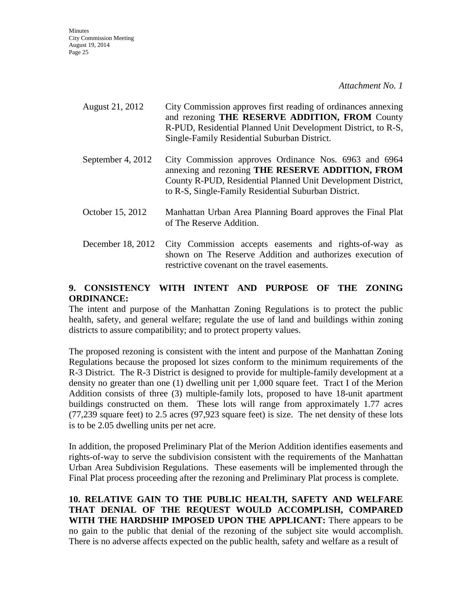**Minutes** City Commission Meeting August 19, 2014 Page 25

*Attachment No. 1*

- August 21, 2012 City Commission approves first reading of ordinances annexing and rezoning **THE RESERVE ADDITION, FROM** County R-PUD, Residential Planned Unit Development District, to R-S, Single-Family Residential Suburban District.
- September 4, 2012 City Commission approves Ordinance Nos. 6963 and 6964 annexing and rezoning **THE RESERVE ADDITION, FROM**  County R-PUD, Residential Planned Unit Development District, to R-S, Single-Family Residential Suburban District.
- October 15, 2012 Manhattan Urban Area Planning Board approves the Final Plat of The Reserve Addition.
- December 18, 2012 City Commission accepts easements and rights-of-way as shown on The Reserve Addition and authorizes execution of restrictive covenant on the travel easements.

# **9. CONSISTENCY WITH INTENT AND PURPOSE OF THE ZONING ORDINANCE:**

The intent and purpose of the Manhattan Zoning Regulations is to protect the public health, safety, and general welfare; regulate the use of land and buildings within zoning districts to assure compatibility; and to protect property values.

The proposed rezoning is consistent with the intent and purpose of the Manhattan Zoning Regulations because the proposed lot sizes conform to the minimum requirements of the R-3 District. The R-3 District is designed to provide for multiple-family development at a density no greater than one (1) dwelling unit per 1,000 square feet. Tract I of the Merion Addition consists of three (3) multiple-family lots, proposed to have 18-unit apartment buildings constructed on them. These lots will range from approximately 1.77 acres (77,239 square feet) to 2.5 acres (97,923 square feet) is size. The net density of these lots is to be 2.05 dwelling units per net acre.

In addition, the proposed Preliminary Plat of the Merion Addition identifies easements and rights-of-way to serve the subdivision consistent with the requirements of the Manhattan Urban Area Subdivision Regulations. These easements will be implemented through the Final Plat process proceeding after the rezoning and Preliminary Plat process is complete.

**10. RELATIVE GAIN TO THE PUBLIC HEALTH, SAFETY AND WELFARE THAT DENIAL OF THE REQUEST WOULD ACCOMPLISH, COMPARED WITH THE HARDSHIP IMPOSED UPON THE APPLICANT:** There appears to be no gain to the public that denial of the rezoning of the subject site would accomplish. There is no adverse affects expected on the public health, safety and welfare as a result of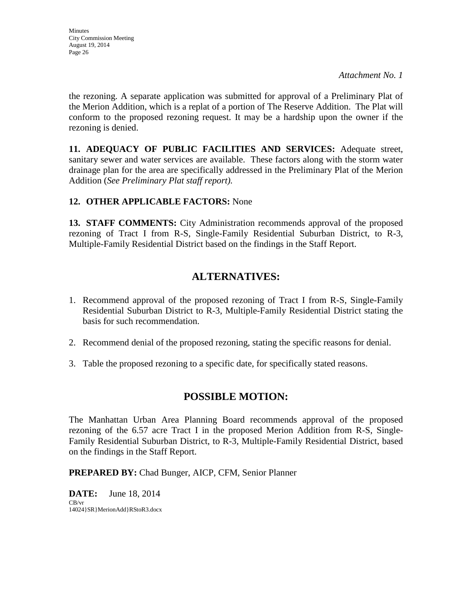the rezoning. A separate application was submitted for approval of a Preliminary Plat of the Merion Addition, which is a replat of a portion of The Reserve Addition. The Plat will conform to the proposed rezoning request. It may be a hardship upon the owner if the rezoning is denied.

**11. ADEQUACY OF PUBLIC FACILITIES AND SERVICES:** Adequate street, sanitary sewer and water services are available. These factors along with the storm water drainage plan for the area are specifically addressed in the Preliminary Plat of the Merion Addition (*See Preliminary Plat staff report).*

# **12. OTHER APPLICABLE FACTORS:** None

**13. STAFF COMMENTS:** City Administration recommends approval of the proposed rezoning of Tract I from R-S, Single-Family Residential Suburban District, to R-3, Multiple-Family Residential District based on the findings in the Staff Report.

# **ALTERNATIVES:**

- 1. Recommend approval of the proposed rezoning of Tract I from R-S, Single-Family Residential Suburban District to R-3, Multiple-Family Residential District stating the basis for such recommendation.
- 2. Recommend denial of the proposed rezoning, stating the specific reasons for denial.
- 3. Table the proposed rezoning to a specific date, for specifically stated reasons.

# **POSSIBLE MOTION:**

The Manhattan Urban Area Planning Board recommends approval of the proposed rezoning of the 6.57 acre Tract I in the proposed Merion Addition from R-S, Single-Family Residential Suburban District, to R-3, Multiple-Family Residential District, based on the findings in the Staff Report.

**PREPARED BY:** Chad Bunger, AICP, CFM, Senior Planner

**DATE:** June 18, 2014 CB/vr 14024}SR}MerionAdd}RStoR3.docx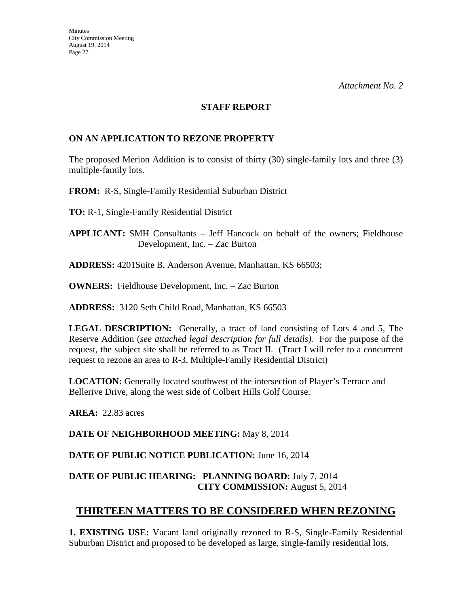#### **STAFF REPORT**

# **ON AN APPLICATION TO REZONE PROPERTY**

The proposed Merion Addition is to consist of thirty (30) single-family lots and three (3) multiple-family lots.

**FROM:** R-S, Single-Family Residential Suburban District

**TO:** R-1, Single-Family Residential District

**APPLICANT:** SMH Consultants – Jeff Hancock on behalf of the owners; Fieldhouse Development, Inc. – Zac Burton

**ADDRESS:** 4201Suite B, Anderson Avenue, Manhattan, KS 66503;

**OWNERS:** Fieldhouse Development, Inc. – Zac Burton

**ADDRESS:** 3120 Seth Child Road, Manhattan, KS 66503

**LEGAL DESCRIPTION:** Generally, a tract of land consisting of Lots 4 and 5, The Reserve Addition (*see attached legal description for full details).* For the purpose of the request, the subject site shall be referred to as Tract II. (Tract I will refer to a concurrent request to rezone an area to R-3, Multiple-Family Residential District)

**LOCATION:** Generally located southwest of the intersection of Player's Terrace and Bellerive Drive, along the west side of Colbert Hills Golf Course.

**AREA:** 22.83 acres

**DATE OF NEIGHBORHOOD MEETING:** May 8, 2014

**DATE OF PUBLIC NOTICE PUBLICATION:** June 16, 2014

# **DATE OF PUBLIC HEARING: PLANNING BOARD:** July 7, 2014 **CITY COMMISSION:** August 5, 2014

# **THIRTEEN MATTERS TO BE CONSIDERED WHEN REZONING**

**1. EXISTING USE:** Vacant land originally rezoned to R-S, Single-Family Residential Suburban District and proposed to be developed as large, single-family residential lots.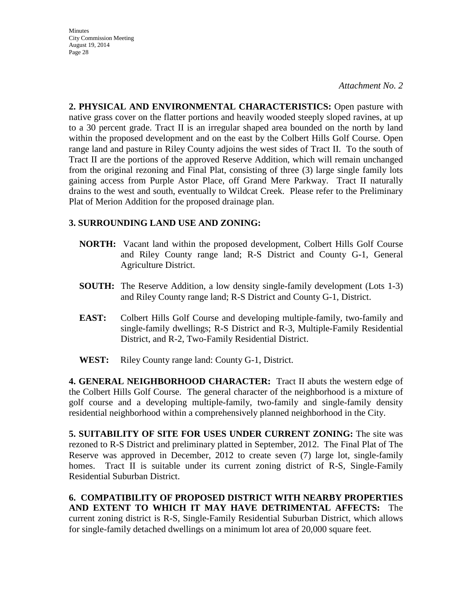**Minutes** City Commission Meeting August 19, 2014 Page 28

*Attachment No. 2*

**2. PHYSICAL AND ENVIRONMENTAL CHARACTERISTICS:** Open pasture with native grass cover on the flatter portions and heavily wooded steeply sloped ravines, at up to a 30 percent grade. Tract II is an irregular shaped area bounded on the north by land within the proposed development and on the east by the Colbert Hills Golf Course. Open range land and pasture in Riley County adjoins the west sides of Tract II. To the south of Tract II are the portions of the approved Reserve Addition, which will remain unchanged from the original rezoning and Final Plat, consisting of three (3) large single family lots gaining access from Purple Astor Place, off Grand Mere Parkway. Tract II naturally drains to the west and south, eventually to Wildcat Creek. Please refer to the Preliminary Plat of Merion Addition for the proposed drainage plan.

# **3. SURROUNDING LAND USE AND ZONING:**

- **NORTH:** Vacant land within the proposed development, Colbert Hills Golf Course and Riley County range land; R-S District and County G-1, General Agriculture District.
- **SOUTH:** The Reserve Addition, a low density single-family development (Lots 1-3) and Riley County range land; R-S District and County G-1, District.
- **EAST:** Colbert Hills Golf Course and developing multiple-family, two-family and single-family dwellings; R-S District and R-3, Multiple-Family Residential District, and R-2, Two-Family Residential District.
- **WEST:** Riley County range land: County G-1, District.

**4. GENERAL NEIGHBORHOOD CHARACTER:** Tract II abuts the western edge of the Colbert Hills Golf Course. The general character of the neighborhood is a mixture of golf course and a developing multiple-family, two-family and single-family density residential neighborhood within a comprehensively planned neighborhood in the City.

**5. SUITABILITY OF SITE FOR USES UNDER CURRENT ZONING:** The site was rezoned to R-S District and preliminary platted in September, 2012. The Final Plat of The Reserve was approved in December, 2012 to create seven (7) large lot, single-family homes. Tract II is suitable under its current zoning district of R-S, Single-Family Residential Suburban District.

**6. COMPATIBILITY OF PROPOSED DISTRICT WITH NEARBY PROPERTIES AND EXTENT TO WHICH IT MAY HAVE DETRIMENTAL AFFECTS:** The current zoning district is R-S, Single-Family Residential Suburban District, which allows for single-family detached dwellings on a minimum lot area of 20,000 square feet.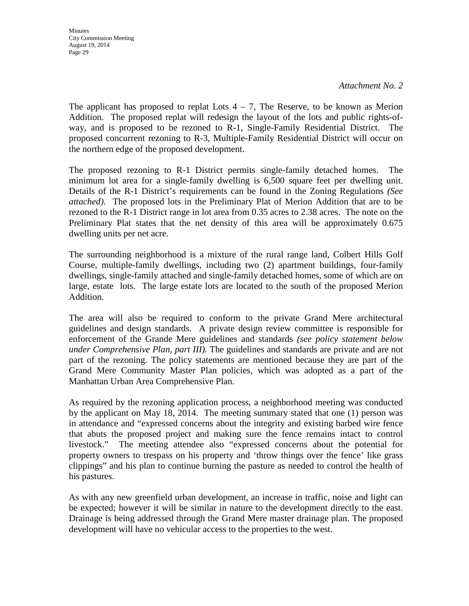The applicant has proposed to replat Lots  $4 - 7$ , The Reserve, to be known as Merion Addition. The proposed replat will redesign the layout of the lots and public rights-ofway, and is proposed to be rezoned to R-1, Single-Family Residential District. The proposed concurrent rezoning to R-3, Multiple-Family Residential District will occur on the northern edge of the proposed development.

The proposed rezoning to R-1 District permits single-family detached homes. The minimum lot area for a single-family dwelling is 6,500 square feet per dwelling unit. Details of the R-1 District's requirements can be found in the Zoning Regulations *(See attached)*.The proposed lots in the Preliminary Plat of Merion Addition that are to be rezoned to the R-1 District range in lot area from 0.35 acres to 2.38 acres. The note on the Preliminary Plat states that the net density of this area will be approximately 0.675 dwelling units per net acre.

The surrounding neighborhood is a mixture of the rural range land, Colbert Hills Golf Course, multiple-family dwellings, including two (2) apartment buildings, four-family dwellings, single-family attached and single-family detached homes, some of which are on large, estate lots. The large estate lots are located to the south of the proposed Merion Addition.

The area will also be required to conform to the private Grand Mere architectural guidelines and design standards. A private design review committee is responsible for enforcement of the Grande Mere guidelines and standards *(see policy statement below under Comprehensive Plan, part III).* The guidelines and standards are private and are not part of the rezoning. The policy statements are mentioned because they are part of the Grand Mere Community Master Plan policies, which was adopted as a part of the Manhattan Urban Area Comprehensive Plan.

As required by the rezoning application process, a neighborhood meeting was conducted by the applicant on May 18, 2014. The meeting summary stated that one (1) person was in attendance and "expressed concerns about the integrity and existing barbed wire fence that abuts the proposed project and making sure the fence remains intact to control livestock." The meeting attendee also "expressed concerns about the potential for property owners to trespass on his property and 'throw things over the fence' like grass clippings" and his plan to continue burning the pasture as needed to control the health of his pastures.

As with any new greenfield urban development, an increase in traffic, noise and light can be expected; however it will be similar in nature to the development directly to the east. Drainage is being addressed through the Grand Mere master drainage plan. The proposed development will have no vehicular access to the properties to the west.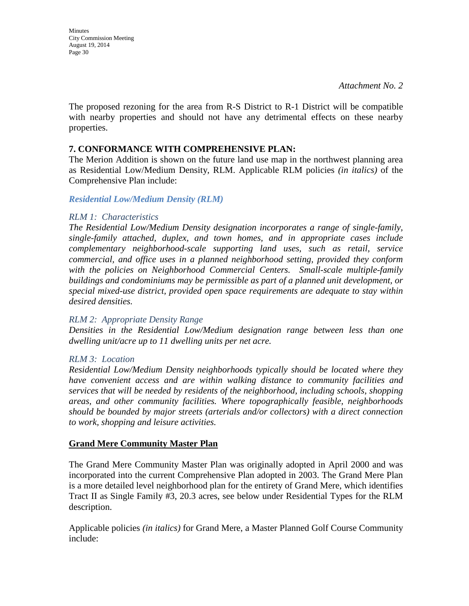The proposed rezoning for the area from R-S District to R-1 District will be compatible with nearby properties and should not have any detrimental effects on these nearby properties.

### **7. CONFORMANCE WITH COMPREHENSIVE PLAN:**

The Merion Addition is shown on the future land use map in the northwest planning area as Residential Low/Medium Density, RLM. Applicable RLM policies *(in italics)* of the Comprehensive Plan include:

#### *Residential Low/Medium Density (RLM)*

#### *RLM 1: Characteristics*

*The Residential Low/Medium Density designation incorporates a range of single-family, single-family attached, duplex, and town homes, and in appropriate cases include complementary neighborhood-scale supporting land uses, such as retail, service commercial, and office uses in a planned neighborhood setting, provided they conform with the policies on Neighborhood Commercial Centers. Small-scale multiple-family buildings and condominiums may be permissible as part of a planned unit development, or special mixed-use district, provided open space requirements are adequate to stay within desired densities.* 

#### *RLM 2: Appropriate Density Range*

*Densities in the Residential Low/Medium designation range between less than one dwelling unit/acre up to 11 dwelling units per net acre.* 

#### *RLM 3: Location*

*Residential Low/Medium Density neighborhoods typically should be located where they have convenient access and are within walking distance to community facilities and services that will be needed by residents of the neighborhood, including schools, shopping areas, and other community facilities. Where topographically feasible, neighborhoods should be bounded by major streets (arterials and/or collectors) with a direct connection to work, shopping and leisure activities.* 

# **Grand Mere Community Master Plan**

The Grand Mere Community Master Plan was originally adopted in April 2000 and was incorporated into the current Comprehensive Plan adopted in 2003. The Grand Mere Plan is a more detailed level neighborhood plan for the entirety of Grand Mere, which identifies Tract II as Single Family #3, 20.3 acres, see below under Residential Types for the RLM description.

Applicable policies *(in italics)* for Grand Mere, a Master Planned Golf Course Community include: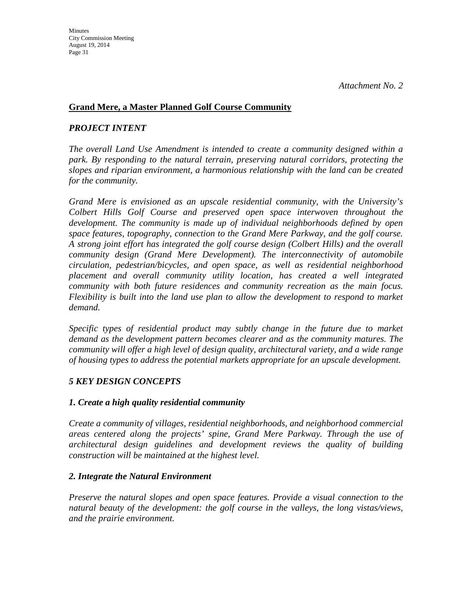### **Grand Mere, a Master Planned Golf Course Community**

#### *PROJECT INTENT*

*The overall Land Use Amendment is intended to create a community designed within a park. By responding to the natural terrain, preserving natural corridors, protecting the slopes and riparian environment, a harmonious relationship with the land can be created for the community.*

*Grand Mere is envisioned as an upscale residential community, with the University's Colbert Hills Golf Course and preserved open space interwoven throughout the development. The community is made up of individual neighborhoods defined by open space features, topography, connection to the Grand Mere Parkway, and the golf course. A strong joint effort has integrated the golf course design (Colbert Hills) and the overall community design (Grand Mere Development). The interconnectivity of automobile circulation, pedestrian/bicycles, and open space, as well as residential neighborhood placement and overall community utility location, has created a well integrated community with both future residences and community recreation as the main focus. Flexibility is built into the land use plan to allow the development to respond to market demand.*

*Specific types of residential product may subtly change in the future due to market demand as the development pattern becomes clearer and as the community matures. The community will offer a high level of design quality, architectural variety, and a wide range of housing types to address the potential markets appropriate for an upscale development.*

# *5 KEY DESIGN CONCEPTS*

#### *1. Create a high quality residential community*

*Create a community of villages, residential neighborhoods, and neighborhood commercial areas centered along the projects' spine, Grand Mere Parkway. Through the use of architectural design guidelines and development reviews the quality of building construction will be maintained at the highest level.*

#### *2. Integrate the Natural Environment*

*Preserve the natural slopes and open space features. Provide a visual connection to the natural beauty of the development: the golf course in the valleys, the long vistas/views, and the prairie environment.*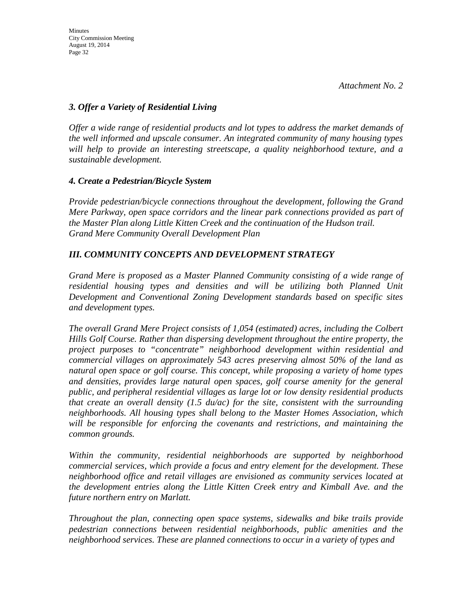# *3. Offer a Variety of Residential Living*

*Offer a wide range of residential products and lot types to address the market demands of the well informed and upscale consumer. An integrated community of many housing types will help to provide an interesting streetscape, a quality neighborhood texture, and a sustainable development.*

# *4. Create a Pedestrian/Bicycle System*

*Provide pedestrian/bicycle connections throughout the development, following the Grand Mere Parkway, open space corridors and the linear park connections provided as part of the Master Plan along Little Kitten Creek and the continuation of the Hudson trail. Grand Mere Community Overall Development Plan* 

# *III. COMMUNITY CONCEPTS AND DEVELOPMENT STRATEGY*

*Grand Mere is proposed as a Master Planned Community consisting of a wide range of*  residential housing types and densities and will be utilizing both Planned Unit *Development and Conventional Zoning Development standards based on specific sites and development types.*

*The overall Grand Mere Project consists of 1,054 (estimated) acres, including the Colbert Hills Golf Course. Rather than dispersing development throughout the entire property, the project purposes to "concentrate" neighborhood development within residential and commercial villages on approximately 543 acres preserving almost 50% of the land as natural open space or golf course. This concept, while proposing a variety of home types and densities, provides large natural open spaces, golf course amenity for the general public, and peripheral residential villages as large lot or low density residential products that create an overall density (1.5 du/ac) for the site, consistent with the surrounding neighborhoods. All housing types shall belong to the Master Homes Association, which will be responsible for enforcing the covenants and restrictions, and maintaining the common grounds.*

*Within the community, residential neighborhoods are supported by neighborhood commercial services, which provide a focus and entry element for the development. These neighborhood office and retail villages are envisioned as community services located at the development entries along the Little Kitten Creek entry and Kimball Ave. and the future northern entry on Marlatt.*

*Throughout the plan, connecting open space systems, sidewalks and bike trails provide pedestrian connections between residential neighborhoods, public amenities and the neighborhood services. These are planned connections to occur in a variety of types and*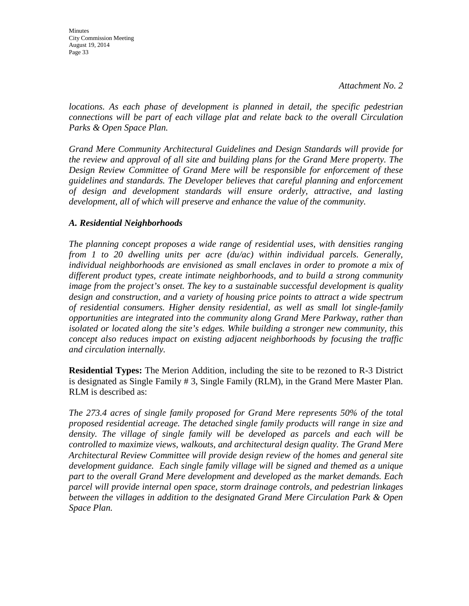Minutes City Commission Meeting August 19, 2014 Page 33

*locations. As each phase of development is planned in detail, the specific pedestrian connections will be part of each village plat and relate back to the overall Circulation Parks & Open Space Plan.*

*Grand Mere Community Architectural Guidelines and Design Standards will provide for the review and approval of all site and building plans for the Grand Mere property. The Design Review Committee of Grand Mere will be responsible for enforcement of these guidelines and standards. The Developer believes that careful planning and enforcement of design and development standards will ensure orderly, attractive, and lasting development, all of which will preserve and enhance the value of the community.*

# *A. Residential Neighborhoods*

*The planning concept proposes a wide range of residential uses, with densities ranging from 1 to 20 dwelling units per acre (du/ac) within individual parcels. Generally, individual neighborhoods are envisioned as small enclaves in order to promote a mix of different product types, create intimate neighborhoods, and to build a strong community image from the project's onset. The key to a sustainable successful development is quality design and construction, and a variety of housing price points to attract a wide spectrum of residential consumers. Higher density residential, as well as small lot single-family opportunities are integrated into the community along Grand Mere Parkway, rather than isolated or located along the site's edges. While building a stronger new community, this concept also reduces impact on existing adjacent neighborhoods by focusing the traffic and circulation internally.*

**Residential Types:** The Merion Addition, including the site to be rezoned to R-3 District is designated as Single Family # 3, Single Family (RLM), in the Grand Mere Master Plan. RLM is described as:

*The 273.4 acres of single family proposed for Grand Mere represents 50% of the total proposed residential acreage. The detached single family products will range in size and*  density. The village of single family will be developed as parcels and each will be *controlled to maximize views, walkouts, and architectural design quality. The Grand Mere Architectural Review Committee will provide design review of the homes and general site development guidance. Each single family village will be signed and themed as a unique part to the overall Grand Mere development and developed as the market demands. Each parcel will provide internal open space, storm drainage controls, and pedestrian linkages between the villages in addition to the designated Grand Mere Circulation Park & Open Space Plan.*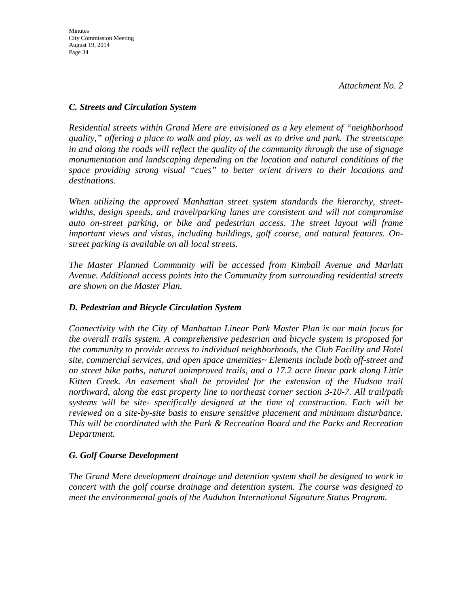# *C. Streets and Circulation System*

*Residential streets within Grand Mere are envisioned as a key element of "neighborhood quality," offering a place to walk and play, as well as to drive and park. The streetscape in and along the roads will reflect the quality of the community through the use of signage monumentation and landscaping depending on the location and natural conditions of the space providing strong visual "cues" to better orient drivers to their locations and destinations.*

*When utilizing the approved Manhattan street system standards the hierarchy, streetwidths, design speeds, and travel/parking lanes are consistent and will not compromise*  auto on-street parking, or bike and pedestrian access. The street layout will frame *important views and vistas, including buildings, golf course, and natural features. Onstreet parking is available on all local streets.*

*The Master Planned Community will be accessed from Kimball Avenue and Marlatt Avenue. Additional access points into the Community from surrounding residential streets are shown on the Master Plan.*

# *D. Pedestrian and Bicycle Circulation System*

*Connectivity with the City of Manhattan Linear Park Master Plan is our main focus for the overall trails system. A comprehensive pedestrian and bicycle system is proposed for the community to provide access to individual neighborhoods, the Club Facility and Hotel site, commercial services, and open space amenities~ Elements include both off-street and on street bike paths, natural unimproved trails, and a 17.2 acre linear park along Little Kitten Creek. An easement shall be provided for the extension of the Hudson trail northward, along the east property line to northeast corner section 3-10-7. All trail/path systems will be site- specifically designed at the time of construction. Each will be reviewed on a site-by-site basis to ensure sensitive placement and minimum disturbance. This will be coordinated with the Park & Recreation Board and the Parks and Recreation Department.*

# *G. Golf Course Development*

*The Grand Mere development drainage and detention system shall be designed to work in concert with the golf course drainage and detention system. The course was designed to meet the environmental goals of the Audubon International Signature Status Program.*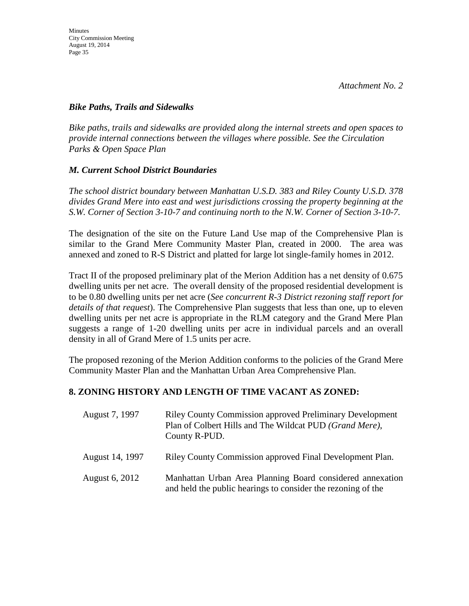### *Bike Paths, Trails and Sidewalks*

*Bike paths, trails and sidewalks are provided along the internal streets and open spaces to provide internal connections between the villages where possible. See the Circulation Parks & Open Space Plan*

# *M. Current School District Boundaries*

*The school district boundary between Manhattan U.S.D. 383 and Riley County U.S.D. 378 divides Grand Mere into east and west jurisdictions crossing the property beginning at the S.W. Corner of Section 3-10-7 and continuing north to the N.W. Corner of Section 3-10-7.*

The designation of the site on the Future Land Use map of the Comprehensive Plan is similar to the Grand Mere Community Master Plan, created in 2000. The area was annexed and zoned to R-S District and platted for large lot single-family homes in 2012.

Tract II of the proposed preliminary plat of the Merion Addition has a net density of 0.675 dwelling units per net acre. The overall density of the proposed residential development is to be 0.80 dwelling units per net acre (*See concurrent R-3 District rezoning staff report for details of that request*). The Comprehensive Plan suggests that less than one, up to eleven dwelling units per net acre is appropriate in the RLM category and the Grand Mere Plan suggests a range of 1-20 dwelling units per acre in individual parcels and an overall density in all of Grand Mere of 1.5 units per acre.

The proposed rezoning of the Merion Addition conforms to the policies of the Grand Mere Community Master Plan and the Manhattan Urban Area Comprehensive Plan.

# **8. ZONING HISTORY AND LENGTH OF TIME VACANT AS ZONED:**

| August 7, 1997  | <b>Riley County Commission approved Preliminary Development</b><br>Plan of Colbert Hills and The Wildcat PUD (Grand Mere),<br>County R-PUD. |
|-----------------|---------------------------------------------------------------------------------------------------------------------------------------------|
| August 14, 1997 | Riley County Commission approved Final Development Plan.                                                                                    |
| August 6, 2012  | Manhattan Urban Area Planning Board considered annexation<br>and held the public hearings to consider the rezoning of the                   |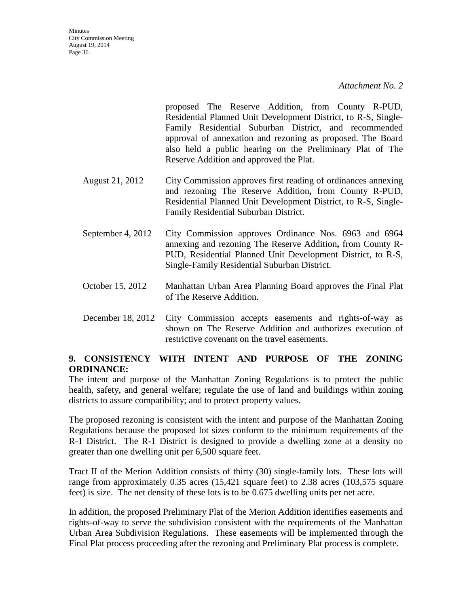proposed The Reserve Addition, from County R-PUD, Residential Planned Unit Development District, to R-S, Single-Family Residential Suburban District, and recommended approval of annexation and rezoning as proposed. The Board also held a public hearing on the Preliminary Plat of The Reserve Addition and approved the Plat.

- August 21, 2012 City Commission approves first reading of ordinances annexing and rezoning The Reserve Addition**,** from County R-PUD, Residential Planned Unit Development District, to R-S, Single-Family Residential Suburban District.
- September 4, 2012 City Commission approves Ordinance Nos. 6963 and 6964 annexing and rezoning The Reserve Addition**,** from County R-PUD, Residential Planned Unit Development District, to R-S, Single-Family Residential Suburban District.
- October 15, 2012 Manhattan Urban Area Planning Board approves the Final Plat of The Reserve Addition.
- December 18, 2012 City Commission accepts easements and rights-of-way as shown on The Reserve Addition and authorizes execution of restrictive covenant on the travel easements.

# **9. CONSISTENCY WITH INTENT AND PURPOSE OF THE ZONING ORDINANCE:**

The intent and purpose of the Manhattan Zoning Regulations is to protect the public health, safety, and general welfare; regulate the use of land and buildings within zoning districts to assure compatibility; and to protect property values.

The proposed rezoning is consistent with the intent and purpose of the Manhattan Zoning Regulations because the proposed lot sizes conform to the minimum requirements of the R-1 District. The R-1 District is designed to provide a dwelling zone at a density no greater than one dwelling unit per 6,500 square feet.

Tract II of the Merion Addition consists of thirty (30) single-family lots. These lots will range from approximately 0.35 acres (15,421 square feet) to 2.38 acres (103,575 square feet) is size. The net density of these lots is to be 0.675 dwelling units per net acre.

In addition, the proposed Preliminary Plat of the Merion Addition identifies easements and rights-of-way to serve the subdivision consistent with the requirements of the Manhattan Urban Area Subdivision Regulations. These easements will be implemented through the Final Plat process proceeding after the rezoning and Preliminary Plat process is complete.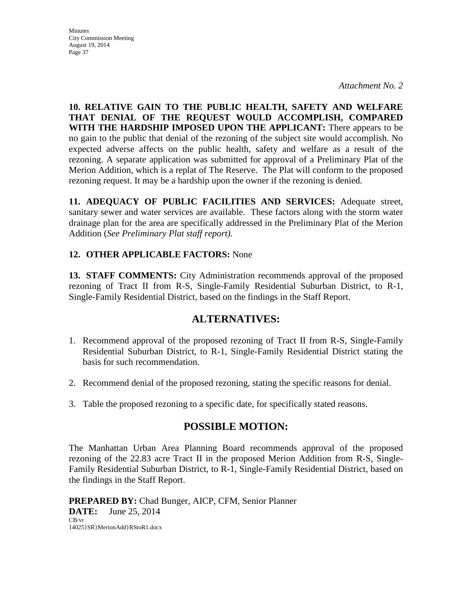**Minutes** City Commission Meeting August 19, 2014 Page 37

*Attachment No. 2*

**10. RELATIVE GAIN TO THE PUBLIC HEALTH, SAFETY AND WELFARE THAT DENIAL OF THE REQUEST WOULD ACCOMPLISH, COMPARED WITH THE HARDSHIP IMPOSED UPON THE APPLICANT:** There appears to be no gain to the public that denial of the rezoning of the subject site would accomplish. No expected adverse affects on the public health, safety and welfare as a result of the rezoning. A separate application was submitted for approval of a Preliminary Plat of the Merion Addition, which is a replat of The Reserve. The Plat will conform to the proposed rezoning request. It may be a hardship upon the owner if the rezoning is denied.

**11. ADEQUACY OF PUBLIC FACILITIES AND SERVICES:** Adequate street, sanitary sewer and water services are available. These factors along with the storm water drainage plan for the area are specifically addressed in the Preliminary Plat of the Merion Addition (*See Preliminary Plat staff report).*

### **12. OTHER APPLICABLE FACTORS:** None

**13. STAFF COMMENTS:** City Administration recommends approval of the proposed rezoning of Tract II from R-S, Single-Family Residential Suburban District, to R-1, Single-Family Residential District, based on the findings in the Staff Report.

# **ALTERNATIVES:**

- 1. Recommend approval of the proposed rezoning of Tract II from R-S, Single-Family Residential Suburban District, to R-1, Single-Family Residential District stating the basis for such recommendation.
- 2. Recommend denial of the proposed rezoning, stating the specific reasons for denial.
- 3. Table the proposed rezoning to a specific date, for specifically stated reasons.

# **POSSIBLE MOTION:**

The Manhattan Urban Area Planning Board recommends approval of the proposed rezoning of the 22.83 acre Tract II in the proposed Merion Addition from R-S, Single-Family Residential Suburban District, to R-1, Single-Family Residential District, based on the findings in the Staff Report.

**PREPARED BY:** Chad Bunger, AICP, CFM, Senior Planner **DATE:** June 25, 2014 CB/vr 14025}SR}MerionAdd}RStoR1.docx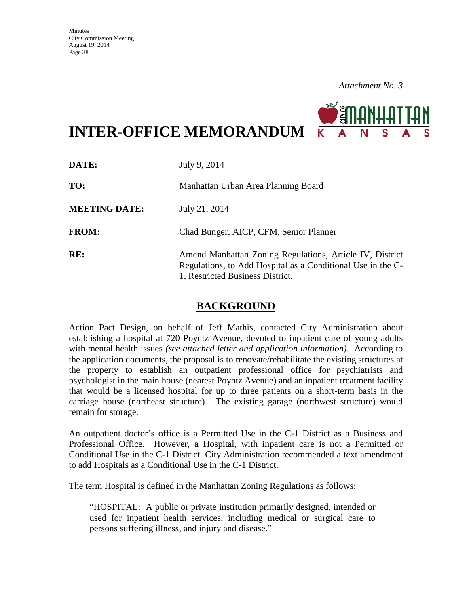

**INTER-OFFICE MEMORANDUM**

| DATE:                | July 9, 2014                                                                                                                                                |
|----------------------|-------------------------------------------------------------------------------------------------------------------------------------------------------------|
| TO:                  | Manhattan Urban Area Planning Board                                                                                                                         |
| <b>MEETING DATE:</b> | July 21, 2014                                                                                                                                               |
| <b>FROM:</b>         | Chad Bunger, AICP, CFM, Senior Planner                                                                                                                      |
| RE:                  | Amend Manhattan Zoning Regulations, Article IV, District<br>Regulations, to Add Hospital as a Conditional Use in the C-<br>1, Restricted Business District. |

# **BACKGROUND**

Action Pact Design, on behalf of Jeff Mathis, contacted City Administration about establishing a hospital at 720 Poyntz Avenue, devoted to inpatient care of young adults with mental health issues *(see attached letter and application information)*. According to the application documents, the proposal is to renovate/rehabilitate the existing structures at the property to establish an outpatient professional office for psychiatrists and psychologist in the main house (nearest Poyntz Avenue) and an inpatient treatment facility that would be a licensed hospital for up to three patients on a short-term basis in the carriage house (northeast structure). The existing garage (northwest structure) would remain for storage.

An outpatient doctor's office is a Permitted Use in the C-1 District as a Business and Professional Office. However, a Hospital, with inpatient care is not a Permitted or Conditional Use in the C-1 District. City Administration recommended a text amendment to add Hospitals as a Conditional Use in the C-1 District.

The term Hospital is defined in the Manhattan Zoning Regulations as follows:

"HOSPITAL: A public or private institution primarily designed, intended or used for inpatient health services, including medical or surgical care to persons suffering illness, and injury and disease."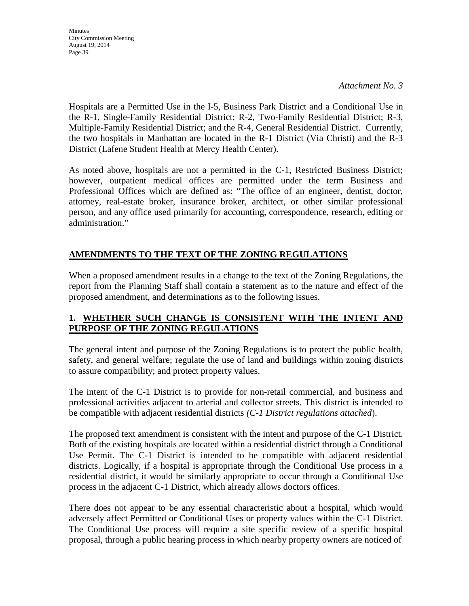**Minutes** City Commission Meeting August 19, 2014 Page 39

*Attachment No. 3*

Hospitals are a Permitted Use in the I-5, Business Park District and a Conditional Use in the R-1, Single-Family Residential District; R-2, Two-Family Residential District; R-3, Multiple-Family Residential District; and the R-4, General Residential District. Currently, the two hospitals in Manhattan are located in the R-1 District (Via Christi) and the R-3 District (Lafene Student Health at Mercy Health Center).

As noted above, hospitals are not a permitted in the C-1, Restricted Business District; however, outpatient medical offices are permitted under the term Business and Professional Offices which are defined as: "The office of an engineer, dentist, doctor, attorney, real-estate broker, insurance broker, architect, or other similar professional person, and any office used primarily for accounting, correspondence, research, editing or administration."

# **AMENDMENTS TO THE TEXT OF THE ZONING REGULATIONS**

When a proposed amendment results in a change to the text of the Zoning Regulations, the report from the Planning Staff shall contain a statement as to the nature and effect of the proposed amendment, and determinations as to the following issues.

# **1. WHETHER SUCH CHANGE IS CONSISTENT WITH THE INTENT AND PURPOSE OF THE ZONING REGULATIONS**

The general intent and purpose of the Zoning Regulations is to protect the public health, safety, and general welfare; regulate the use of land and buildings within zoning districts to assure compatibility; and protect property values.

The intent of the C-1 District is to provide for non-retail commercial, and business and professional activities adjacent to arterial and collector streets. This district is intended to be compatible with adjacent residential districts *(C-1 District regulations attached*).

The proposed text amendment is consistent with the intent and purpose of the C-1 District. Both of the existing hospitals are located within a residential district through a Conditional Use Permit. The C-1 District is intended to be compatible with adjacent residential districts. Logically, if a hospital is appropriate through the Conditional Use process in a residential district, it would be similarly appropriate to occur through a Conditional Use process in the adjacent C-1 District, which already allows doctors offices.

There does not appear to be any essential characteristic about a hospital, which would adversely affect Permitted or Conditional Uses or property values within the C-1 District. The Conditional Use process will require a site specific review of a specific hospital proposal, through a public hearing process in which nearby property owners are noticed of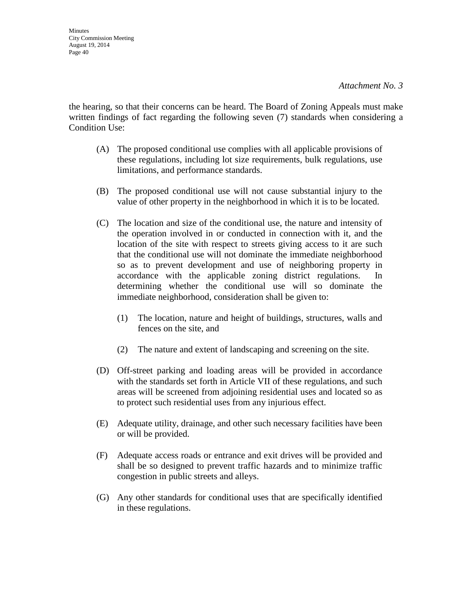the hearing, so that their concerns can be heard. The Board of Zoning Appeals must make written findings of fact regarding the following seven (7) standards when considering a Condition Use:

- (A) The proposed conditional use complies with all applicable provisions of these regulations, including lot size requirements, bulk regulations, use limitations, and performance standards.
- (B) The proposed conditional use will not cause substantial injury to the value of other property in the neighborhood in which it is to be located.
- (C) The location and size of the conditional use, the nature and intensity of the operation involved in or conducted in connection with it, and the location of the site with respect to streets giving access to it are such that the conditional use will not dominate the immediate neighborhood so as to prevent development and use of neighboring property in accordance with the applicable zoning district regulations. In determining whether the conditional use will so dominate the immediate neighborhood, consideration shall be given to:
	- (1) The location, nature and height of buildings, structures, walls and fences on the site, and
	- (2) The nature and extent of landscaping and screening on the site.
- (D) Off-street parking and loading areas will be provided in accordance with the standards set forth in Article VII of these regulations, and such areas will be screened from adjoining residential uses and located so as to protect such residential uses from any injurious effect.
- (E) Adequate utility, drainage, and other such necessary facilities have been or will be provided.
- (F) Adequate access roads or entrance and exit drives will be provided and shall be so designed to prevent traffic hazards and to minimize traffic congestion in public streets and alleys.
- (G) Any other standards for conditional uses that are specifically identified in these regulations.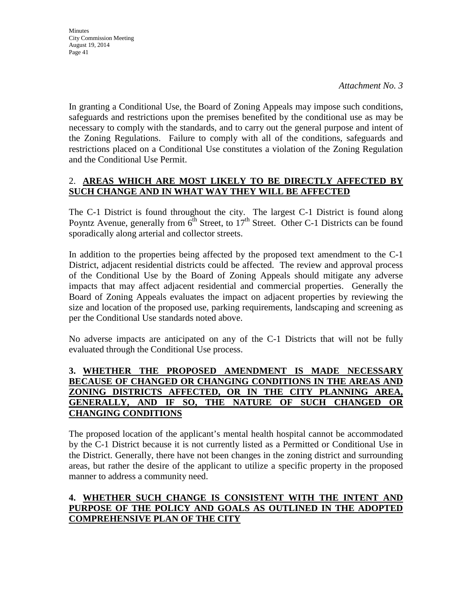In granting a Conditional Use, the Board of Zoning Appeals may impose such conditions, safeguards and restrictions upon the premises benefited by the conditional use as may be necessary to comply with the standards, and to carry out the general purpose and intent of the Zoning Regulations. Failure to comply with all of the conditions, safeguards and restrictions placed on a Conditional Use constitutes a violation of the Zoning Regulation and the Conditional Use Permit.

# 2. **AREAS WHICH ARE MOST LIKELY TO BE DIRECTLY AFFECTED BY SUCH CHANGE AND IN WHAT WAY THEY WILL BE AFFECTED**

The C-1 District is found throughout the city. The largest C-1 District is found along Poyntz Avenue, generally from 6<sup>th</sup> Street, to 17<sup>th</sup> Street. Other C-1 Districts can be found sporadically along arterial and collector streets.

In addition to the properties being affected by the proposed text amendment to the C-1 District, adjacent residential districts could be affected. The review and approval process of the Conditional Use by the Board of Zoning Appeals should mitigate any adverse impacts that may affect adjacent residential and commercial properties. Generally the Board of Zoning Appeals evaluates the impact on adjacent properties by reviewing the size and location of the proposed use, parking requirements, landscaping and screening as per the Conditional Use standards noted above.

No adverse impacts are anticipated on any of the C-1 Districts that will not be fully evaluated through the Conditional Use process.

## **3. WHETHER THE PROPOSED AMENDMENT IS MADE NECESSARY BECAUSE OF CHANGED OR CHANGING CONDITIONS IN THE AREAS AND ZONING DISTRICTS AFFECTED, OR IN THE CITY PLANNING AREA, GENERALLY, AND IF SO, THE NATURE OF SUCH CHANGED OR CHANGING CONDITIONS**

The proposed location of the applicant's mental health hospital cannot be accommodated by the C-1 District because it is not currently listed as a Permitted or Conditional Use in the District. Generally, there have not been changes in the zoning district and surrounding areas, but rather the desire of the applicant to utilize a specific property in the proposed manner to address a community need.

# **4. WHETHER SUCH CHANGE IS CONSISTENT WITH THE INTENT AND PURPOSE OF THE POLICY AND GOALS AS OUTLINED IN THE ADOPTED COMPREHENSIVE PLAN OF THE CITY**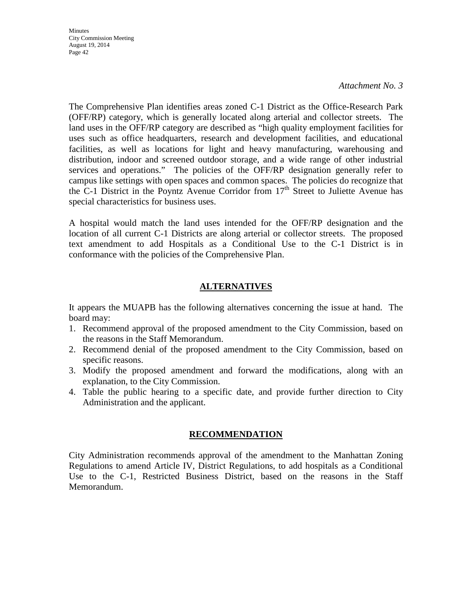**Minutes** City Commission Meeting August 19, 2014 Page 42

#### *Attachment No. 3*

The Comprehensive Plan identifies areas zoned C-1 District as the Office-Research Park (OFF/RP) category, which is generally located along arterial and collector streets. The land uses in the OFF/RP category are described as "high quality employment facilities for uses such as office headquarters, research and development facilities, and educational facilities, as well as locations for light and heavy manufacturing, warehousing and distribution, indoor and screened outdoor storage, and a wide range of other industrial services and operations." The policies of the OFF/RP designation generally refer to campus like settings with open spaces and common spaces. The policies do recognize that the C-1 District in the Poyntz Avenue Corridor from  $17<sup>th</sup>$  Street to Juliette Avenue has special characteristics for business uses.

A hospital would match the land uses intended for the OFF/RP designation and the location of all current C-1 Districts are along arterial or collector streets. The proposed text amendment to add Hospitals as a Conditional Use to the C-1 District is in conformance with the policies of the Comprehensive Plan.

# **ALTERNATIVES**

It appears the MUAPB has the following alternatives concerning the issue at hand. The board may:

- 1. Recommend approval of the proposed amendment to the City Commission, based on the reasons in the Staff Memorandum.
- 2. Recommend denial of the proposed amendment to the City Commission, based on specific reasons.
- 3. Modify the proposed amendment and forward the modifications, along with an explanation, to the City Commission.
- 4. Table the public hearing to a specific date, and provide further direction to City Administration and the applicant.

## **RECOMMENDATION**

City Administration recommends approval of the amendment to the Manhattan Zoning Regulations to amend Article IV, District Regulations, to add hospitals as a Conditional Use to the C-1, Restricted Business District, based on the reasons in the Staff Memorandum.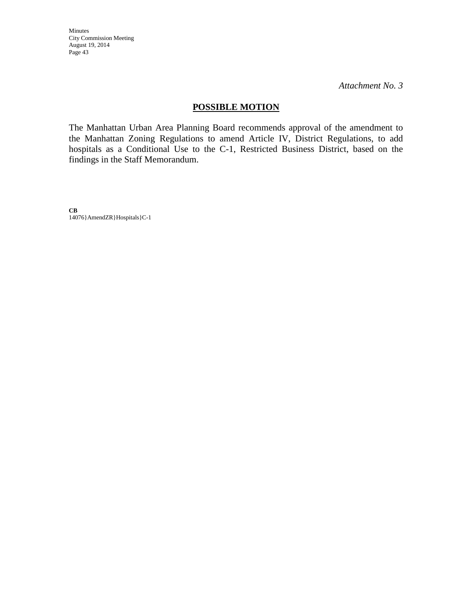Minutes City Commission Meeting August 19, 2014 Page 43

*Attachment No. 3*

## **POSSIBLE MOTION**

The Manhattan Urban Area Planning Board recommends approval of the amendment to the Manhattan Zoning Regulations to amend Article IV, District Regulations, to add hospitals as a Conditional Use to the C-1, Restricted Business District, based on the findings in the Staff Memorandum.

**CB** 14076}AmendZR}Hospitals}C-1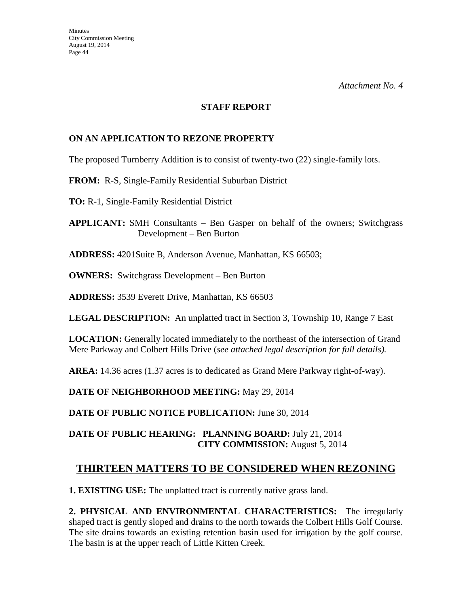#### **STAFF REPORT**

# **ON AN APPLICATION TO REZONE PROPERTY**

The proposed Turnberry Addition is to consist of twenty-two (22) single-family lots.

### **FROM:** R-S, Single-Family Residential Suburban District

**TO:** R-1, Single-Family Residential District

**APPLICANT:** SMH Consultants – Ben Gasper on behalf of the owners; Switchgrass Development – Ben Burton

**ADDRESS:** 4201Suite B, Anderson Avenue, Manhattan, KS 66503;

**OWNERS:** Switchgrass Development – Ben Burton

**ADDRESS:** 3539 Everett Drive, Manhattan, KS 66503

**LEGAL DESCRIPTION:** An unplatted tract in Section 3, Township 10, Range 7 East

**LOCATION:** Generally located immediately to the northeast of the intersection of Grand Mere Parkway and Colbert Hills Drive (*see attached legal description for full details).* 

**AREA:** 14.36 acres (1.37 acres is to dedicated as Grand Mere Parkway right-of-way).

**DATE OF NEIGHBORHOOD MEETING:** May 29, 2014

DATE OF PUBLIC NOTICE PUBLICATION: June 30, 2014

## **DATE OF PUBLIC HEARING: PLANNING BOARD:** July 21, 2014 **CITY COMMISSION:** August 5, 2014

# **THIRTEEN MATTERS TO BE CONSIDERED WHEN REZONING**

**1. EXISTING USE:** The unplatted tract is currently native grass land.

**2. PHYSICAL AND ENVIRONMENTAL CHARACTERISTICS:** The irregularly shaped tract is gently sloped and drains to the north towards the Colbert Hills Golf Course. The site drains towards an existing retention basin used for irrigation by the golf course. The basin is at the upper reach of Little Kitten Creek.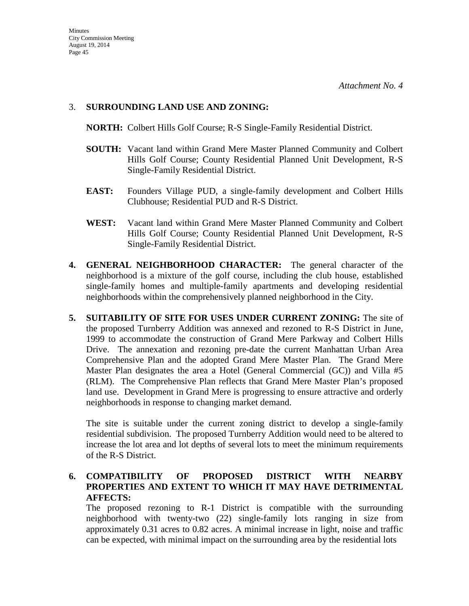### 3. **SURROUNDING LAND USE AND ZONING:**

**NORTH:** Colbert Hills Golf Course; R-S Single-Family Residential District.

- **SOUTH:** Vacant land within Grand Mere Master Planned Community and Colbert Hills Golf Course; County Residential Planned Unit Development, R-S Single-Family Residential District.
- **EAST:** Founders Village PUD, a single-family development and Colbert Hills Clubhouse; Residential PUD and R-S District.
- **WEST:** Vacant land within Grand Mere Master Planned Community and Colbert Hills Golf Course; County Residential Planned Unit Development, R-S Single-Family Residential District.
- **4. GENERAL NEIGHBORHOOD CHARACTER:** The general character of the neighborhood is a mixture of the golf course, including the club house, established single-family homes and multiple-family apartments and developing residential neighborhoods within the comprehensively planned neighborhood in the City.
- **5. SUITABILITY OF SITE FOR USES UNDER CURRENT ZONING:** The site of the proposed Turnberry Addition was annexed and rezoned to R-S District in June, 1999 to accommodate the construction of Grand Mere Parkway and Colbert Hills Drive. The annexation and rezoning pre-date the current Manhattan Urban Area Comprehensive Plan and the adopted Grand Mere Master Plan. The Grand Mere Master Plan designates the area a Hotel (General Commercial (GC)) and Villa #5 (RLM). The Comprehensive Plan reflects that Grand Mere Master Plan's proposed land use. Development in Grand Mere is progressing to ensure attractive and orderly neighborhoods in response to changing market demand.

The site is suitable under the current zoning district to develop a single-family residential subdivision. The proposed Turnberry Addition would need to be altered to increase the lot area and lot depths of several lots to meet the minimum requirements of the R-S District.

## **6. COMPATIBILITY OF PROPOSED DISTRICT WITH NEARBY PROPERTIES AND EXTENT TO WHICH IT MAY HAVE DETRIMENTAL AFFECTS:**

The proposed rezoning to R-1 District is compatible with the surrounding neighborhood with twenty-two (22) single-family lots ranging in size from approximately 0.31 acres to 0.82 acres. A minimal increase in light, noise and traffic can be expected, with minimal impact on the surrounding area by the residential lots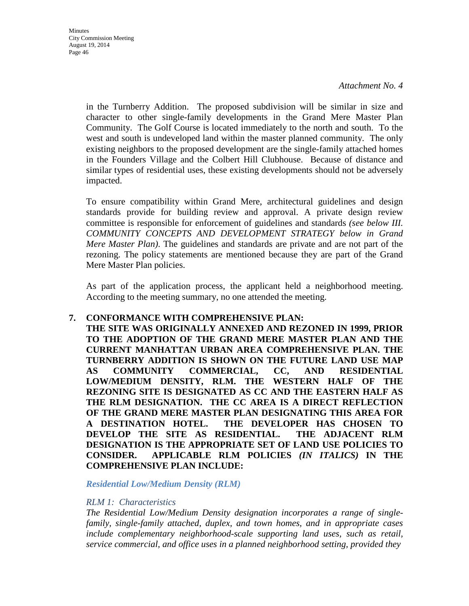in the Turnberry Addition. The proposed subdivision will be similar in size and character to other single-family developments in the Grand Mere Master Plan Community. The Golf Course is located immediately to the north and south. To the west and south is undeveloped land within the master planned community. The only existing neighbors to the proposed development are the single-family attached homes in the Founders Village and the Colbert Hill Clubhouse. Because of distance and similar types of residential uses, these existing developments should not be adversely impacted.

To ensure compatibility within Grand Mere, architectural guidelines and design standards provide for building review and approval. A private design review committee is responsible for enforcement of guidelines and standards *(see below III. COMMUNITY CONCEPTS AND DEVELOPMENT STRATEGY below in Grand Mere Master Plan)*. The guidelines and standards are private and are not part of the rezoning. The policy statements are mentioned because they are part of the Grand Mere Master Plan policies.

As part of the application process, the applicant held a neighborhood meeting. According to the meeting summary, no one attended the meeting.

#### **7. CONFORMANCE WITH COMPREHENSIVE PLAN:**

**THE SITE WAS ORIGINALLY ANNEXED AND REZONED IN 1999, PRIOR TO THE ADOPTION OF THE GRAND MERE MASTER PLAN AND THE CURRENT MANHATTAN URBAN AREA COMPREHENSIVE PLAN. THE TURNBERRY ADDITION IS SHOWN ON THE FUTURE LAND USE MAP AS COMMUNITY COMMERCIAL, CC, AND RESIDENTIAL LOW/MEDIUM DENSITY, RLM. THE WESTERN HALF OF THE REZONING SITE IS DESIGNATED AS CC AND THE EASTERN HALF AS THE RLM DESIGNATION. THE CC AREA IS A DIRECT REFLECTION OF THE GRAND MERE MASTER PLAN DESIGNATING THIS AREA FOR A DESTINATION HOTEL. THE DEVELOPER HAS CHOSEN TO DEVELOP THE SITE AS RESIDENTIAL. THE ADJACENT RLM DESIGNATION IS THE APPROPRIATE SET OF LAND USE POLICIES TO CONSIDER. APPLICABLE RLM POLICIES** *(IN ITALICS)* **IN THE COMPREHENSIVE PLAN INCLUDE:**

*Residential Low/Medium Density (RLM)*

#### *RLM 1: Characteristics*

*The Residential Low/Medium Density designation incorporates a range of singlefamily, single-family attached, duplex, and town homes, and in appropriate cases include complementary neighborhood-scale supporting land uses, such as retail, service commercial, and office uses in a planned neighborhood setting, provided they*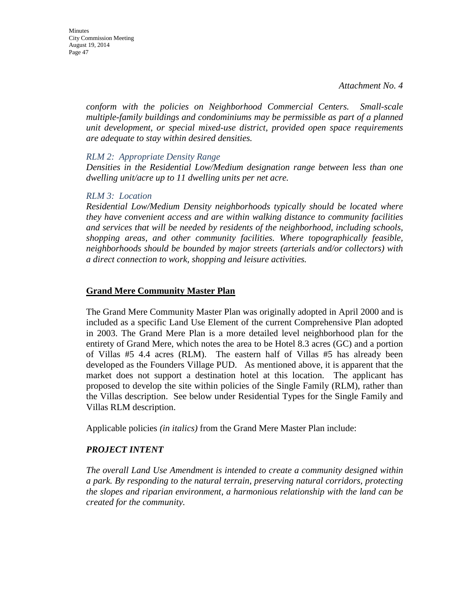*conform with the policies on Neighborhood Commercial Centers. Small-scale multiple-family buildings and condominiums may be permissible as part of a planned unit development, or special mixed-use district, provided open space requirements are adequate to stay within desired densities.* 

#### *RLM 2: Appropriate Density Range*

*Densities in the Residential Low/Medium designation range between less than one dwelling unit/acre up to 11 dwelling units per net acre.* 

#### *RLM 3: Location*

*Residential Low/Medium Density neighborhoods typically should be located where they have convenient access and are within walking distance to community facilities and services that will be needed by residents of the neighborhood, including schools, shopping areas, and other community facilities. Where topographically feasible, neighborhoods should be bounded by major streets (arterials and/or collectors) with a direct connection to work, shopping and leisure activities.*

#### **Grand Mere Community Master Plan**

The Grand Mere Community Master Plan was originally adopted in April 2000 and is included as a specific Land Use Element of the current Comprehensive Plan adopted in 2003. The Grand Mere Plan is a more detailed level neighborhood plan for the entirety of Grand Mere, which notes the area to be Hotel 8.3 acres (GC) and a portion of Villas #5 4.4 acres (RLM). The eastern half of Villas #5 has already been developed as the Founders Village PUD. As mentioned above, it is apparent that the market does not support a destination hotel at this location. The applicant has proposed to develop the site within policies of the Single Family (RLM), rather than the Villas description. See below under Residential Types for the Single Family and Villas RLM description.

Applicable policies *(in italics)* from the Grand Mere Master Plan include:

#### *PROJECT INTENT*

*The overall Land Use Amendment is intended to create a community designed within a park. By responding to the natural terrain, preserving natural corridors, protecting the slopes and riparian environment, a harmonious relationship with the land can be created for the community.*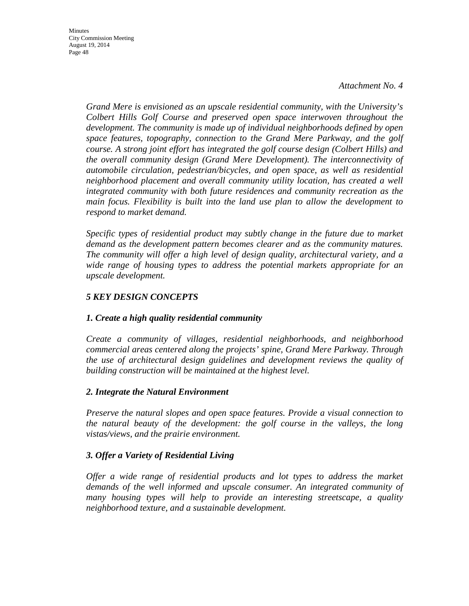**Minutes** City Commission Meeting August 19, 2014 Page 48

> *Grand Mere is envisioned as an upscale residential community, with the University's Colbert Hills Golf Course and preserved open space interwoven throughout the development. The community is made up of individual neighborhoods defined by open space features, topography, connection to the Grand Mere Parkway, and the golf course. A strong joint effort has integrated the golf course design (Colbert Hills) and the overall community design (Grand Mere Development). The interconnectivity of automobile circulation, pedestrian/bicycles, and open space, as well as residential neighborhood placement and overall community utility location, has created a well integrated community with both future residences and community recreation as the main focus. Flexibility is built into the land use plan to allow the development to respond to market demand.*

> *Specific types of residential product may subtly change in the future due to market demand as the development pattern becomes clearer and as the community matures. The community will offer a high level of design quality, architectural variety, and a wide range of housing types to address the potential markets appropriate for an upscale development.*

## *5 KEY DESIGN CONCEPTS*

## *1. Create a high quality residential community*

*Create a community of villages, residential neighborhoods, and neighborhood commercial areas centered along the projects' spine, Grand Mere Parkway. Through the use of architectural design guidelines and development reviews the quality of building construction will be maintained at the highest level.*

#### *2. Integrate the Natural Environment*

*Preserve the natural slopes and open space features. Provide a visual connection to the natural beauty of the development: the golf course in the valleys, the long vistas/views, and the prairie environment.*

#### *3. Offer a Variety of Residential Living*

*Offer a wide range of residential products and lot types to address the market demands of the well informed and upscale consumer. An integrated community of many housing types will help to provide an interesting streetscape, a quality neighborhood texture, and a sustainable development.*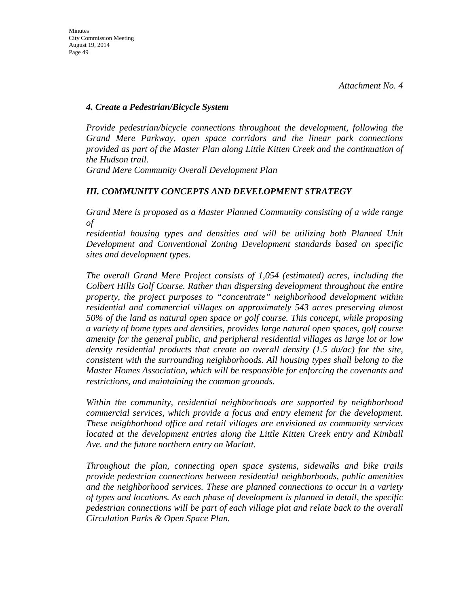#### *4. Create a Pedestrian/Bicycle System*

*Provide pedestrian/bicycle connections throughout the development, following the Grand Mere Parkway, open space corridors and the linear park connections provided as part of the Master Plan along Little Kitten Creek and the continuation of the Hudson trail.*

*Grand Mere Community Overall Development Plan* 

### *III. COMMUNITY CONCEPTS AND DEVELOPMENT STRATEGY*

*Grand Mere is proposed as a Master Planned Community consisting of a wide range of*

*residential housing types and densities and will be utilizing both Planned Unit Development and Conventional Zoning Development standards based on specific sites and development types.*

*The overall Grand Mere Project consists of 1,054 (estimated) acres, including the Colbert Hills Golf Course. Rather than dispersing development throughout the entire property, the project purposes to "concentrate" neighborhood development within residential and commercial villages on approximately 543 acres preserving almost 50% of the land as natural open space or golf course. This concept, while proposing a variety of home types and densities, provides large natural open spaces, golf course amenity for the general public, and peripheral residential villages as large lot or low density residential products that create an overall density (1.5 du/ac) for the site, consistent with the surrounding neighborhoods. All housing types shall belong to the Master Homes Association, which will be responsible for enforcing the covenants and restrictions, and maintaining the common grounds.*

*Within the community, residential neighborhoods are supported by neighborhood commercial services, which provide a focus and entry element for the development. These neighborhood office and retail villages are envisioned as community services located at the development entries along the Little Kitten Creek entry and Kimball Ave. and the future northern entry on Marlatt.*

*Throughout the plan, connecting open space systems, sidewalks and bike trails provide pedestrian connections between residential neighborhoods, public amenities and the neighborhood services. These are planned connections to occur in a variety of types and locations. As each phase of development is planned in detail, the specific pedestrian connections will be part of each village plat and relate back to the overall Circulation Parks & Open Space Plan.*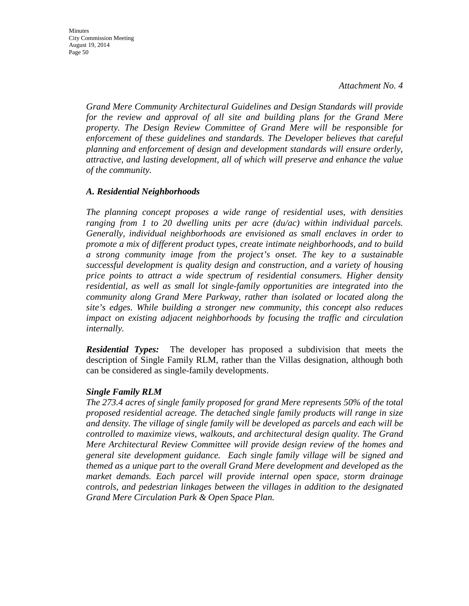*Grand Mere Community Architectural Guidelines and Design Standards will provide*  for the review and approval of all site and building plans for the Grand Mere *property. The Design Review Committee of Grand Mere will be responsible for enforcement of these guidelines and standards. The Developer believes that careful planning and enforcement of design and development standards will ensure orderly, attractive, and lasting development, all of which will preserve and enhance the value of the community.*

#### *A. Residential Neighborhoods*

*The planning concept proposes a wide range of residential uses, with densities ranging from 1 to 20 dwelling units per acre (du/ac) within individual parcels. Generally, individual neighborhoods are envisioned as small enclaves in order to promote a mix of different product types, create intimate neighborhoods, and to build a strong community image from the project's onset. The key to a sustainable successful development is quality design and construction, and a variety of housing price points to attract a wide spectrum of residential consumers. Higher density residential, as well as small lot single-family opportunities are integrated into the community along Grand Mere Parkway, rather than isolated or located along the site's edges. While building a stronger new community, this concept also reduces impact on existing adjacent neighborhoods by focusing the traffic and circulation internally.*

*Residential Types:* The developer has proposed a subdivision that meets the description of Single Family RLM, rather than the Villas designation, although both can be considered as single-family developments.

#### *Single Family RLM*

*The 273.4 acres of single family proposed for grand Mere represents 50% of the total proposed residential acreage. The detached single family products will range in size and density. The village of single family will be developed as parcels and each will be controlled to maximize views, walkouts, and architectural design quality. The Grand Mere Architectural Review Committee will provide design review of the homes and general site development guidance. Each single family village will be signed and themed as a unique part to the overall Grand Mere development and developed as the market demands. Each parcel will provide internal open space, storm drainage controls, and pedestrian linkages between the villages in addition to the designated Grand Mere Circulation Park & Open Space Plan.*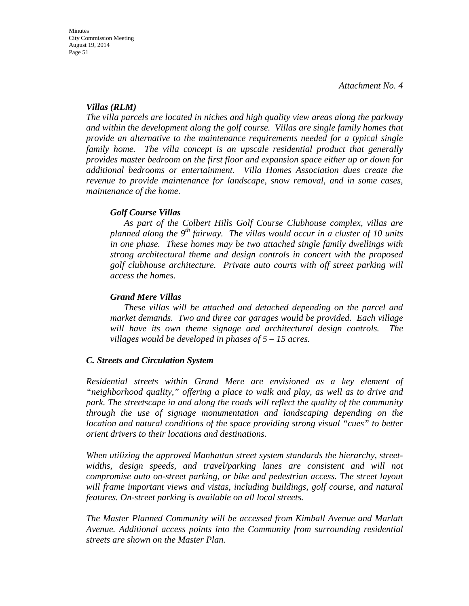#### *Villas (RLM)*

*The villa parcels are located in niches and high quality view areas along the parkway and within the development along the golf course. Villas are single family homes that provide an alternative to the maintenance requirements needed for a typical single family home. The villa concept is an upscale residential product that generally provides master bedroom on the first floor and expansion space either up or down for additional bedrooms or entertainment. Villa Homes Association dues create the revenue to provide maintenance for landscape, snow removal, and in some cases, maintenance of the home.*

#### *Golf Course Villas*

*As part of the Colbert Hills Golf Course Clubhouse complex, villas are planned along the 9th fairway. The villas would occur in a cluster of 10 units in one phase. These homes may be two attached single family dwellings with strong architectural theme and design controls in concert with the proposed golf clubhouse architecture. Private auto courts with off street parking will access the homes.*

#### *Grand Mere Villas*

*These villas will be attached and detached depending on the parcel and market demands. Two and three car garages would be provided. Each village will have its own theme signage and architectural design controls. The villages would be developed in phases of 5 – 15 acres.*

#### *C. Streets and Circulation System*

*Residential streets within Grand Mere are envisioned as a key element of "neighborhood quality," offering a place to walk and play, as well as to drive and park. The streetscape in and along the roads will reflect the quality of the community through the use of signage monumentation and landscaping depending on the location and natural conditions of the space providing strong visual "cues" to better orient drivers to their locations and destinations.*

*When utilizing the approved Manhattan street system standards the hierarchy, streetwidths, design speeds, and travel/parking lanes are consistent and will not compromise auto on-street parking, or bike and pedestrian access. The street layout will frame important views and vistas, including buildings, golf course, and natural features. On-street parking is available on all local streets.*

*The Master Planned Community will be accessed from Kimball Avenue and Marlatt Avenue. Additional access points into the Community from surrounding residential streets are shown on the Master Plan.*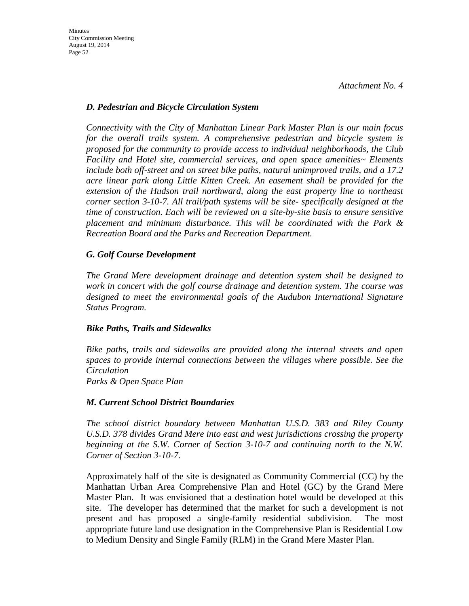### *D. Pedestrian and Bicycle Circulation System*

*Connectivity with the City of Manhattan Linear Park Master Plan is our main focus for the overall trails system. A comprehensive pedestrian and bicycle system is proposed for the community to provide access to individual neighborhoods, the Club Facility and Hotel site, commercial services, and open space amenities~ Elements include both off-street and on street bike paths, natural unimproved trails, and a 17.2 acre linear park along Little Kitten Creek. An easement shall be provided for the extension of the Hudson trail northward, along the east property line to northeast corner section 3-10-7. All trail/path systems will be site- specifically designed at the time of construction. Each will be reviewed on a site-by-site basis to ensure sensitive placement and minimum disturbance. This will be coordinated with the Park & Recreation Board and the Parks and Recreation Department.*

## *G. Golf Course Development*

*The Grand Mere development drainage and detention system shall be designed to work in concert with the golf course drainage and detention system. The course was designed to meet the environmental goals of the Audubon International Signature Status Program.*

#### *Bike Paths, Trails and Sidewalks*

*Bike paths, trails and sidewalks are provided along the internal streets and open spaces to provide internal connections between the villages where possible. See the Circulation Parks & Open Space Plan*

## *M. Current School District Boundaries*

*The school district boundary between Manhattan U.S.D. 383 and Riley County U.S.D. 378 divides Grand Mere into east and west jurisdictions crossing the property beginning at the S.W. Corner of Section 3-10-7 and continuing north to the N.W. Corner of Section 3-10-7.*

Approximately half of the site is designated as Community Commercial (CC) by the Manhattan Urban Area Comprehensive Plan and Hotel (GC) by the Grand Mere Master Plan. It was envisioned that a destination hotel would be developed at this site. The developer has determined that the market for such a development is not present and has proposed a single-family residential subdivision. The most appropriate future land use designation in the Comprehensive Plan is Residential Low to Medium Density and Single Family (RLM) in the Grand Mere Master Plan.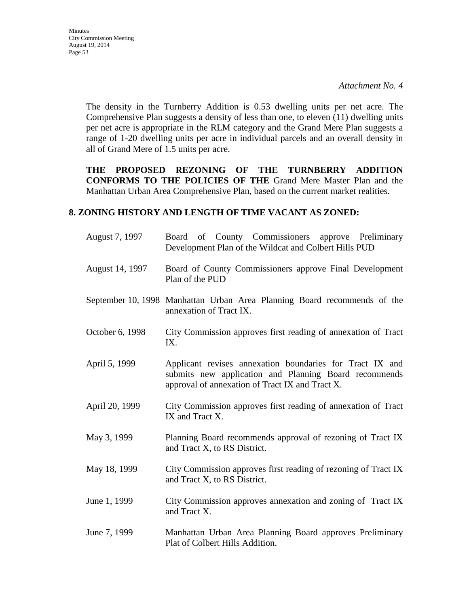Minutes City Commission Meeting August 19, 2014 Page 53

> The density in the Turnberry Addition is 0.53 dwelling units per net acre. The Comprehensive Plan suggests a density of less than one, to eleven (11) dwelling units per net acre is appropriate in the RLM category and the Grand Mere Plan suggests a range of 1-20 dwelling units per acre in individual parcels and an overall density in all of Grand Mere of 1.5 units per acre.

> **THE PROPOSED REZONING OF THE TURNBERRY ADDITION CONFORMS TO THE POLICIES OF THE** Grand Mere Master Plan and the Manhattan Urban Area Comprehensive Plan, based on the current market realities.

#### **8. ZONING HISTORY AND LENGTH OF TIME VACANT AS ZONED:**

| August 7, 1997  | Board of County Commissioners approve Preliminary<br>Development Plan of the Wildcat and Colbert Hills PUD                                                           |
|-----------------|----------------------------------------------------------------------------------------------------------------------------------------------------------------------|
| August 14, 1997 | Board of County Commissioners approve Final Development<br>Plan of the PUD                                                                                           |
|                 | September 10, 1998 Manhattan Urban Area Planning Board recommends of the<br>annexation of Tract IX.                                                                  |
| October 6, 1998 | City Commission approves first reading of annexation of Tract<br>IX.                                                                                                 |
| April 5, 1999   | Applicant revises annexation boundaries for Tract IX and<br>submits new application and Planning Board recommends<br>approval of annexation of Tract IX and Tract X. |
| April 20, 1999  | City Commission approves first reading of annexation of Tract<br>IX and Tract X.                                                                                     |
| May 3, 1999     | Planning Board recommends approval of rezoning of Tract IX<br>and Tract X, to RS District.                                                                           |
| May 18, 1999    | City Commission approves first reading of rezoning of Tract IX<br>and Tract X, to RS District.                                                                       |
| June 1, 1999    | City Commission approves annexation and zoning of Tract IX<br>and Tract X.                                                                                           |
| June 7, 1999    | Manhattan Urban Area Planning Board approves Preliminary<br>Plat of Colbert Hills Addition.                                                                          |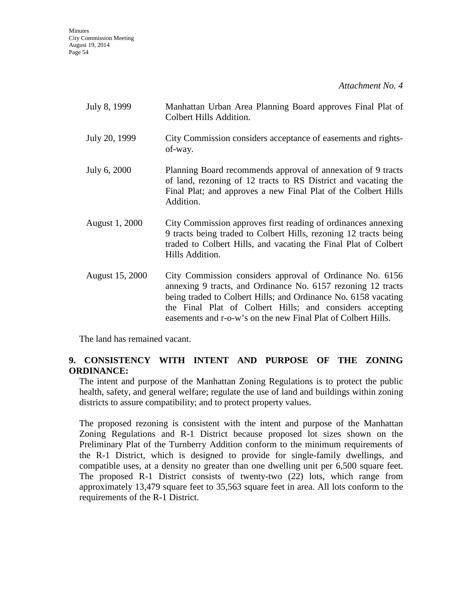**Minutes** City Commission Meeting August 19, 2014 Page 54

*Attachment No. 4*

| July 8, 1999    | Manhattan Urban Area Planning Board approves Final Plat of<br>Colbert Hills Addition.                                                                                                                                                                                                                                   |
|-----------------|-------------------------------------------------------------------------------------------------------------------------------------------------------------------------------------------------------------------------------------------------------------------------------------------------------------------------|
| July 20, 1999   | City Commission considers acceptance of easements and rights-<br>of-way.                                                                                                                                                                                                                                                |
| July 6, 2000    | Planning Board recommends approval of annexation of 9 tracts<br>of land, rezoning of 12 tracts to RS District and vacating the<br>Final Plat; and approves a new Final Plat of the Colbert Hills<br>Addition.                                                                                                           |
| August 1, 2000  | City Commission approves first reading of ordinances annexing<br>9 tracts being traded to Colbert Hills, rezoning 12 tracts being<br>traded to Colbert Hills, and vacating the Final Plat of Colbert<br>Hills Addition.                                                                                                 |
| August 15, 2000 | City Commission considers approval of Ordinance No. 6156<br>annexing 9 tracts, and Ordinance No. 6157 rezoning 12 tracts<br>being traded to Colbert Hills; and Ordinance No. 6158 vacating<br>the Final Plat of Colbert Hills; and considers accepting<br>easements and r-o-w's on the new Final Plat of Colbert Hills. |

The land has remained vacant.

# **9. CONSISTENCY WITH INTENT AND PURPOSE OF THE ZONING ORDINANCE:**

The intent and purpose of the Manhattan Zoning Regulations is to protect the public health, safety, and general welfare; regulate the use of land and buildings within zoning districts to assure compatibility; and to protect property values.

The proposed rezoning is consistent with the intent and purpose of the Manhattan Zoning Regulations and R-1 District because proposed lot sizes shown on the Preliminary Plat of the Turnberry Addition conform to the minimum requirements of the R-1 District, which is designed to provide for single-family dwellings, and compatible uses, at a density no greater than one dwelling unit per 6,500 square feet. The proposed R-1 District consists of twenty-two (22) lots, which range from approximately 13,479 square feet to 35,563 square feet in area. All lots conform to the requirements of the R-1 District.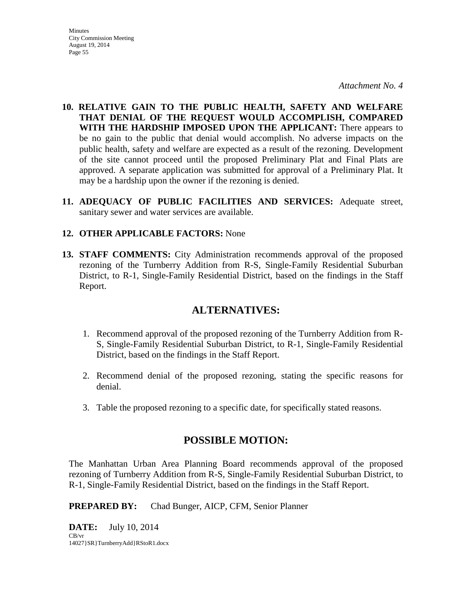**Minutes** City Commission Meeting August 19, 2014 Page 55

*Attachment No. 4*

- **10. RELATIVE GAIN TO THE PUBLIC HEALTH, SAFETY AND WELFARE THAT DENIAL OF THE REQUEST WOULD ACCOMPLISH, COMPARED WITH THE HARDSHIP IMPOSED UPON THE APPLICANT:** There appears to be no gain to the public that denial would accomplish. No adverse impacts on the public health, safety and welfare are expected as a result of the rezoning. Development of the site cannot proceed until the proposed Preliminary Plat and Final Plats are approved. A separate application was submitted for approval of a Preliminary Plat. It may be a hardship upon the owner if the rezoning is denied.
- **11. ADEQUACY OF PUBLIC FACILITIES AND SERVICES:** Adequate street, sanitary sewer and water services are available.

### **12. OTHER APPLICABLE FACTORS:** None

**13. STAFF COMMENTS:** City Administration recommends approval of the proposed rezoning of the Turnberry Addition from R-S, Single-Family Residential Suburban District, to R-1, Single-Family Residential District, based on the findings in the Staff Report.

# **ALTERNATIVES:**

- 1. Recommend approval of the proposed rezoning of the Turnberry Addition from R-S, Single-Family Residential Suburban District, to R-1, Single-Family Residential District, based on the findings in the Staff Report.
- 2. Recommend denial of the proposed rezoning, stating the specific reasons for denial.
- 3. Table the proposed rezoning to a specific date, for specifically stated reasons.

# **POSSIBLE MOTION:**

The Manhattan Urban Area Planning Board recommends approval of the proposed rezoning of Turnberry Addition from R-S, Single-Family Residential Suburban District, to R-1, Single-Family Residential District, based on the findings in the Staff Report.

**PREPARED BY:** Chad Bunger, AICP, CFM, Senior Planner

**DATE:** July 10, 2014 CB/vr 14027}SR}TurnberryAdd}RStoR1.docx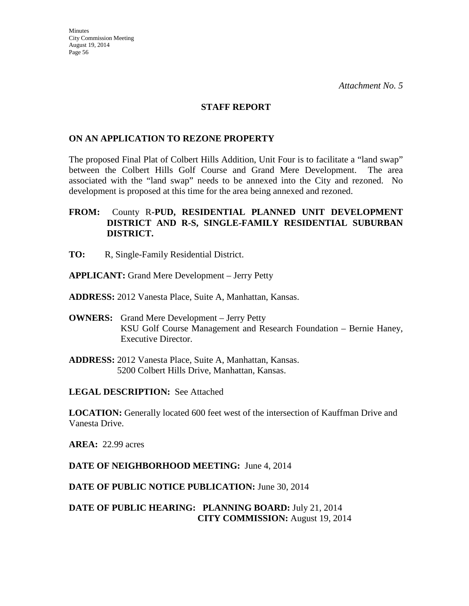#### **STAFF REPORT**

### **ON AN APPLICATION TO REZONE PROPERTY**

The proposed Final Plat of Colbert Hills Addition, Unit Four is to facilitate a "land swap" between the Colbert Hills Golf Course and Grand Mere Development. The area associated with the "land swap" needs to be annexed into the City and rezoned. No development is proposed at this time for the area being annexed and rezoned.

## **FROM:** County R**-PUD, RESIDENTIAL PLANNED UNIT DEVELOPMENT DISTRICT AND R-S, SINGLE-FAMILY RESIDENTIAL SUBURBAN DISTRICT.**

- **TO:** R, Single-Family Residential District.
- **APPLICANT:** Grand Mere Development Jerry Petty
- **ADDRESS:** 2012 Vanesta Place, Suite A, Manhattan, Kansas.
- **OWNERS:** Grand Mere Development Jerry Petty KSU Golf Course Management and Research Foundation – Bernie Haney, Executive Director.
- **ADDRESS:** 2012 Vanesta Place, Suite A, Manhattan, Kansas. 5200 Colbert Hills Drive, Manhattan, Kansas.

**LEGAL DESCRIPTION:** See Attached

**LOCATION:** Generally located 600 feet west of the intersection of Kauffman Drive and Vanesta Drive.

**AREA:** 22.99 acres

**DATE OF NEIGHBORHOOD MEETING:** June 4, 2014

**DATE OF PUBLIC NOTICE PUBLICATION:** June 30, 2014

# **DATE OF PUBLIC HEARING: PLANNING BOARD:** July 21, 2014 **CITY COMMISSION:** August 19, 2014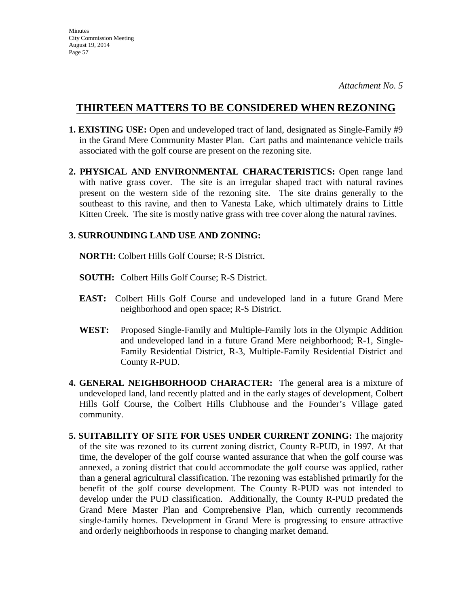- **1. EXISTING USE:** Open and undeveloped tract of land, designated as Single-Family #9 in the Grand Mere Community Master Plan. Cart paths and maintenance vehicle trails associated with the golf course are present on the rezoning site.
- **2. PHYSICAL AND ENVIRONMENTAL CHARACTERISTICS:** Open range land with native grass cover. The site is an irregular shaped tract with natural ravines present on the western side of the rezoning site. The site drains generally to the southeast to this ravine, and then to Vanesta Lake, which ultimately drains to Little Kitten Creek. The site is mostly native grass with tree cover along the natural ravines.

# **3. SURROUNDING LAND USE AND ZONING:**

 **NORTH:** Colbert Hills Golf Course; R-S District.

- **SOUTH:** Colbert Hills Golf Course; R-S District.
- **EAST:** Colbert Hills Golf Course and undeveloped land in a future Grand Mere neighborhood and open space; R-S District.
- **WEST:** Proposed Single-Family and Multiple-Family lots in the Olympic Addition and undeveloped land in a future Grand Mere neighborhood; R-1, Single-Family Residential District, R-3, Multiple-Family Residential District and County R-PUD.
- **4. GENERAL NEIGHBORHOOD CHARACTER:** The general area is a mixture of undeveloped land, land recently platted and in the early stages of development, Colbert Hills Golf Course, the Colbert Hills Clubhouse and the Founder's Village gated community.
- **5. SUITABILITY OF SITE FOR USES UNDER CURRENT ZONING:** The majority of the site was rezoned to its current zoning district, County R-PUD, in 1997. At that time, the developer of the golf course wanted assurance that when the golf course was annexed, a zoning district that could accommodate the golf course was applied, rather than a general agricultural classification. The rezoning was established primarily for the benefit of the golf course development. The County R-PUD was not intended to develop under the PUD classification. Additionally, the County R-PUD predated the Grand Mere Master Plan and Comprehensive Plan, which currently recommends single-family homes. Development in Grand Mere is progressing to ensure attractive and orderly neighborhoods in response to changing market demand.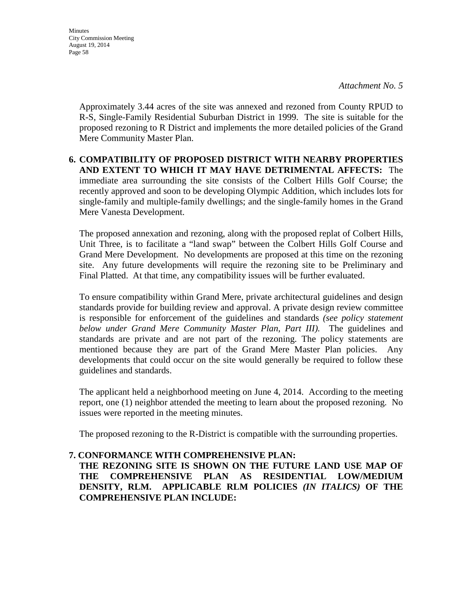**Minutes** City Commission Meeting August 19, 2014 Page 58

> Approximately 3.44 acres of the site was annexed and rezoned from County RPUD to R-S, Single-Family Residential Suburban District in 1999. The site is suitable for the proposed rezoning to R District and implements the more detailed policies of the Grand Mere Community Master Plan.

## **6. COMPATIBILITY OF PROPOSED DISTRICT WITH NEARBY PROPERTIES AND EXTENT TO WHICH IT MAY HAVE DETRIMENTAL AFFECTS:** The immediate area surrounding the site consists of the Colbert Hills Golf Course; the recently approved and soon to be developing Olympic Addition, which includes lots for single-family and multiple-family dwellings; and the single-family homes in the Grand Mere Vanesta Development.

The proposed annexation and rezoning, along with the proposed replat of Colbert Hills, Unit Three, is to facilitate a "land swap" between the Colbert Hills Golf Course and Grand Mere Development. No developments are proposed at this time on the rezoning site. Any future developments will require the rezoning site to be Preliminary and Final Platted. At that time, any compatibility issues will be further evaluated.

To ensure compatibility within Grand Mere, private architectural guidelines and design standards provide for building review and approval. A private design review committee is responsible for enforcement of the guidelines and standards *(see policy statement below under Grand Mere Community Master Plan, Part III).* The guidelines and standards are private and are not part of the rezoning. The policy statements are mentioned because they are part of the Grand Mere Master Plan policies. Any developments that could occur on the site would generally be required to follow these guidelines and standards.

The applicant held a neighborhood meeting on June 4, 2014. According to the meeting report, one (1) neighbor attended the meeting to learn about the proposed rezoning. No issues were reported in the meeting minutes.

The proposed rezoning to the R-District is compatible with the surrounding properties.

## **7. CONFORMANCE WITH COMPREHENSIVE PLAN:**

**THE REZONING SITE IS SHOWN ON THE FUTURE LAND USE MAP OF THE COMPREHENSIVE PLAN AS RESIDENTIAL LOW/MEDIUM DENSITY, RLM. APPLICABLE RLM POLICIES** *(IN ITALICS)* **OF THE COMPREHENSIVE PLAN INCLUDE:**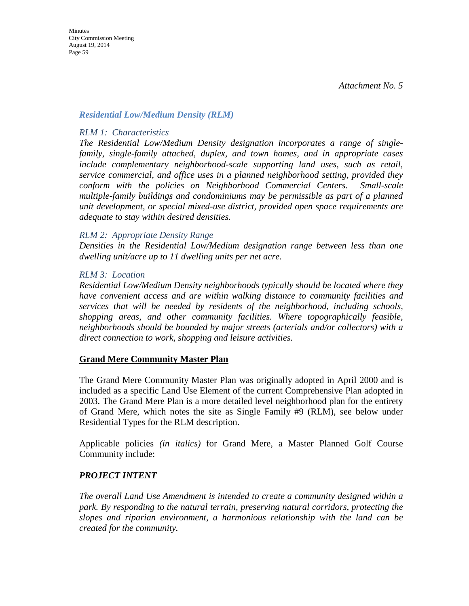#### *Residential Low/Medium Density (RLM)*

#### *RLM 1: Characteristics*

*The Residential Low/Medium Density designation incorporates a range of singlefamily, single-family attached, duplex, and town homes, and in appropriate cases include complementary neighborhood-scale supporting land uses, such as retail, service commercial, and office uses in a planned neighborhood setting, provided they conform with the policies on Neighborhood Commercial Centers. Small-scale multiple-family buildings and condominiums may be permissible as part of a planned unit development, or special mixed-use district, provided open space requirements are adequate to stay within desired densities.* 

#### *RLM 2: Appropriate Density Range*

*Densities in the Residential Low/Medium designation range between less than one dwelling unit/acre up to 11 dwelling units per net acre.* 

#### *RLM 3: Location*

*Residential Low/Medium Density neighborhoods typically should be located where they have convenient access and are within walking distance to community facilities and services that will be needed by residents of the neighborhood, including schools, shopping areas, and other community facilities. Where topographically feasible, neighborhoods should be bounded by major streets (arterials and/or collectors) with a direct connection to work, shopping and leisure activities.* 

#### **Grand Mere Community Master Plan**

The Grand Mere Community Master Plan was originally adopted in April 2000 and is included as a specific Land Use Element of the current Comprehensive Plan adopted in 2003. The Grand Mere Plan is a more detailed level neighborhood plan for the entirety of Grand Mere, which notes the site as Single Family #9 (RLM), see below under Residential Types for the RLM description.

Applicable policies *(in italics)* for Grand Mere, a Master Planned Golf Course Community include:

#### *PROJECT INTENT*

*The overall Land Use Amendment is intended to create a community designed within a park. By responding to the natural terrain, preserving natural corridors, protecting the slopes and riparian environment, a harmonious relationship with the land can be created for the community.*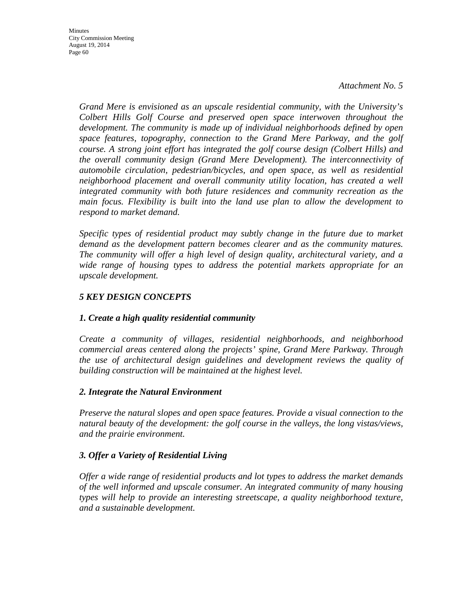*Grand Mere is envisioned as an upscale residential community, with the University's Colbert Hills Golf Course and preserved open space interwoven throughout the development. The community is made up of individual neighborhoods defined by open space features, topography, connection to the Grand Mere Parkway, and the golf course. A strong joint effort has integrated the golf course design (Colbert Hills) and the overall community design (Grand Mere Development). The interconnectivity of automobile circulation, pedestrian/bicycles, and open space, as well as residential neighborhood placement and overall community utility location, has created a well integrated community with both future residences and community recreation as the main focus. Flexibility is built into the land use plan to allow the development to respond to market demand.*

*Specific types of residential product may subtly change in the future due to market demand as the development pattern becomes clearer and as the community matures. The community will offer a high level of design quality, architectural variety, and a wide range of housing types to address the potential markets appropriate for an upscale development.*

# *5 KEY DESIGN CONCEPTS*

## *1. Create a high quality residential community*

*Create a community of villages, residential neighborhoods, and neighborhood commercial areas centered along the projects' spine, Grand Mere Parkway. Through the use of architectural design guidelines and development reviews the quality of building construction will be maintained at the highest level.*

## *2. Integrate the Natural Environment*

*Preserve the natural slopes and open space features. Provide a visual connection to the natural beauty of the development: the golf course in the valleys, the long vistas/views, and the prairie environment.*

## *3. Offer a Variety of Residential Living*

*Offer a wide range of residential products and lot types to address the market demands of the well informed and upscale consumer. An integrated community of many housing types will help to provide an interesting streetscape, a quality neighborhood texture, and a sustainable development.*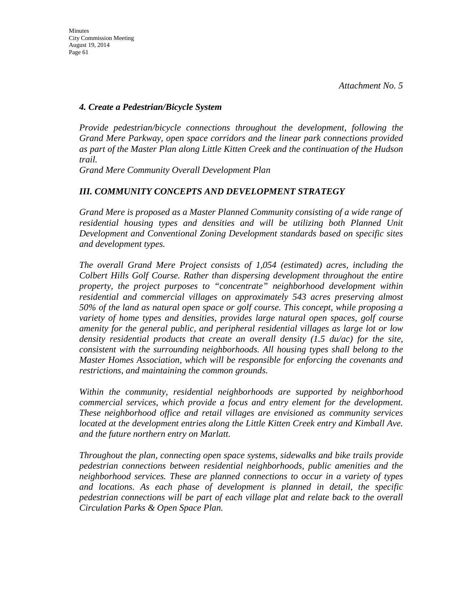#### *4. Create a Pedestrian/Bicycle System*

*Provide pedestrian/bicycle connections throughout the development, following the Grand Mere Parkway, open space corridors and the linear park connections provided as part of the Master Plan along Little Kitten Creek and the continuation of the Hudson trail.*

*Grand Mere Community Overall Development Plan* 

## *III. COMMUNITY CONCEPTS AND DEVELOPMENT STRATEGY*

*Grand Mere is proposed as a Master Planned Community consisting of a wide range of residential housing types and densities and will be utilizing both Planned Unit Development and Conventional Zoning Development standards based on specific sites and development types.*

*The overall Grand Mere Project consists of 1,054 (estimated) acres, including the Colbert Hills Golf Course. Rather than dispersing development throughout the entire property, the project purposes to "concentrate" neighborhood development within residential and commercial villages on approximately 543 acres preserving almost 50% of the land as natural open space or golf course. This concept, while proposing a variety of home types and densities, provides large natural open spaces, golf course amenity for the general public, and peripheral residential villages as large lot or low density residential products that create an overall density (1.5 du/ac) for the site, consistent with the surrounding neighborhoods. All housing types shall belong to the Master Homes Association, which will be responsible for enforcing the covenants and restrictions, and maintaining the common grounds.*

*Within the community, residential neighborhoods are supported by neighborhood commercial services, which provide a focus and entry element for the development. These neighborhood office and retail villages are envisioned as community services located at the development entries along the Little Kitten Creek entry and Kimball Ave. and the future northern entry on Marlatt.*

*Throughout the plan, connecting open space systems, sidewalks and bike trails provide pedestrian connections between residential neighborhoods, public amenities and the neighborhood services. These are planned connections to occur in a variety of types and locations. As each phase of development is planned in detail, the specific pedestrian connections will be part of each village plat and relate back to the overall Circulation Parks & Open Space Plan.*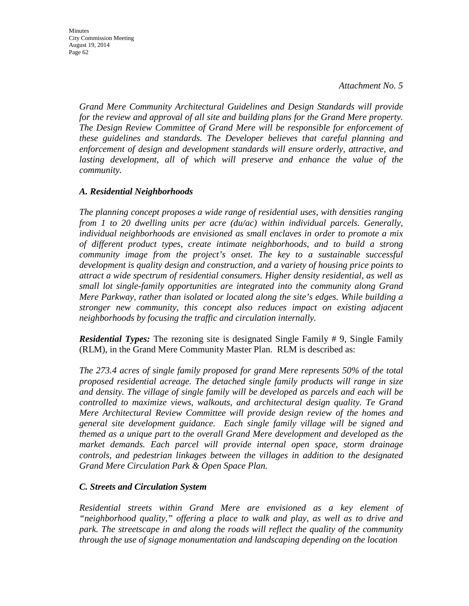Minutes City Commission Meeting August 19, 2014 Page 62

> *Grand Mere Community Architectural Guidelines and Design Standards will provide for the review and approval of all site and building plans for the Grand Mere property. The Design Review Committee of Grand Mere will be responsible for enforcement of these guidelines and standards. The Developer believes that careful planning and enforcement of design and development standards will ensure orderly, attractive, and*  lasting development, all of which will preserve and enhance the value of the *community.*

#### *A. Residential Neighborhoods*

*The planning concept proposes a wide range of residential uses, with densities ranging from 1 to 20 dwelling units per acre (du/ac) within individual parcels. Generally, individual neighborhoods are envisioned as small enclaves in order to promote a mix of different product types, create intimate neighborhoods, and to build a strong community image from the project's onset. The key to a sustainable successful development is quality design and construction, and a variety of housing price points to attract a wide spectrum of residential consumers. Higher density residential, as well as small lot single-family opportunities are integrated into the community along Grand Mere Parkway, rather than isolated or located along the site's edges. While building a stronger new community, this concept also reduces impact on existing adjacent neighborhoods by focusing the traffic and circulation internally.*

*Residential Types:* The rezoning site is designated Single Family # 9, Single Family (RLM), in the Grand Mere Community Master Plan. RLM is described as:

*The 273.4 acres of single family proposed for grand Mere represents 50% of the total proposed residential acreage. The detached single family products will range in size and density. The village of single family will be developed as parcels and each will be controlled to maximize views, walkouts, and architectural design quality. Te Grand Mere Architectural Review Committee will provide design review of the homes and general site development guidance. Each single family village will be signed and themed as a unique part to the overall Grand Mere development and developed as the market demands. Each parcel will provide internal open space, storm drainage controls, and pedestrian linkages between the villages in addition to the designated Grand Mere Circulation Park & Open Space Plan.*

#### *C. Streets and Circulation System*

*Residential streets within Grand Mere are envisioned as a key element of "neighborhood quality," offering a place to walk and play, as well as to drive and park. The streetscape in and along the roads will reflect the quality of the community through the use of signage monumentation and landscaping depending on the location*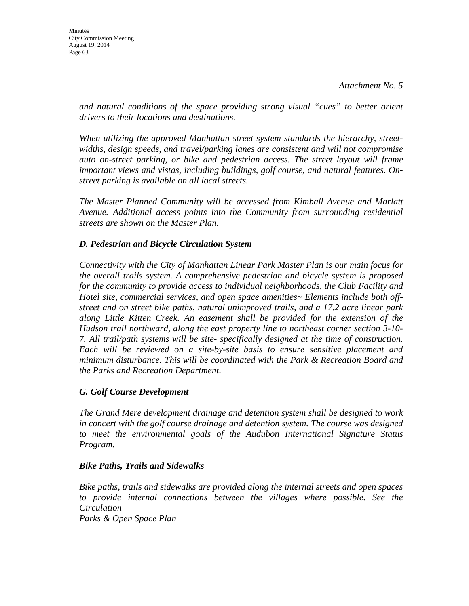*and natural conditions of the space providing strong visual "cues" to better orient drivers to their locations and destinations.*

*When utilizing the approved Manhattan street system standards the hierarchy, streetwidths, design speeds, and travel/parking lanes are consistent and will not compromise auto on-street parking, or bike and pedestrian access. The street layout will frame important views and vistas, including buildings, golf course, and natural features. Onstreet parking is available on all local streets.*

*The Master Planned Community will be accessed from Kimball Avenue and Marlatt Avenue. Additional access points into the Community from surrounding residential streets are shown on the Master Plan.*

## *D. Pedestrian and Bicycle Circulation System*

*Connectivity with the City of Manhattan Linear Park Master Plan is our main focus for the overall trails system. A comprehensive pedestrian and bicycle system is proposed for the community to provide access to individual neighborhoods, the Club Facility and Hotel site, commercial services, and open space amenities~ Elements include both offstreet and on street bike paths, natural unimproved trails, and a 17.2 acre linear park along Little Kitten Creek. An easement shall be provided for the extension of the Hudson trail northward, along the east property line to northeast corner section 3-10- 7. All trail/path systems will be site- specifically designed at the time of construction. Each will be reviewed on a site-by-site basis to ensure sensitive placement and minimum disturbance. This will be coordinated with the Park & Recreation Board and the Parks and Recreation Department.*

## *G. Golf Course Development*

*The Grand Mere development drainage and detention system shall be designed to work in concert with the golf course drainage and detention system. The course was designed to meet the environmental goals of the Audubon International Signature Status Program.*

## *Bike Paths, Trails and Sidewalks*

*Bike paths, trails and sidewalks are provided along the internal streets and open spaces to provide internal connections between the villages where possible. See the Circulation Parks & Open Space Plan*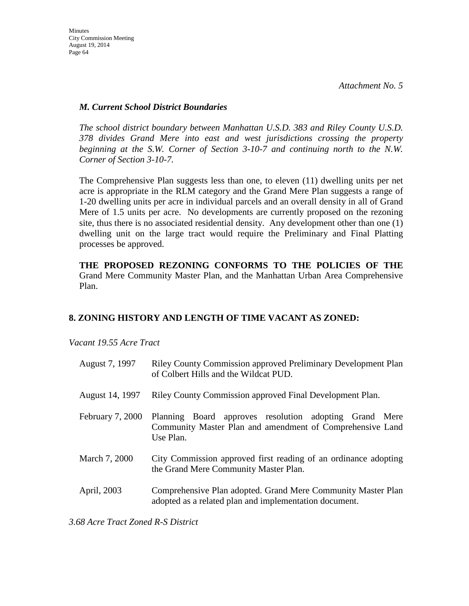## *M. Current School District Boundaries*

*The school district boundary between Manhattan U.S.D. 383 and Riley County U.S.D. 378 divides Grand Mere into east and west jurisdictions crossing the property beginning at the S.W. Corner of Section 3-10-7 and continuing north to the N.W. Corner of Section 3-10-7.*

The Comprehensive Plan suggests less than one, to eleven (11) dwelling units per net acre is appropriate in the RLM category and the Grand Mere Plan suggests a range of 1-20 dwelling units per acre in individual parcels and an overall density in all of Grand Mere of 1.5 units per acre. No developments are currently proposed on the rezoning site, thus there is no associated residential density. Any development other than one (1) dwelling unit on the large tract would require the Preliminary and Final Platting processes be approved.

**THE PROPOSED REZONING CONFORMS TO THE POLICIES OF THE**  Grand Mere Community Master Plan, and the Manhattan Urban Area Comprehensive Plan.

# **8. ZONING HISTORY AND LENGTH OF TIME VACANT AS ZONED:**

*Vacant 19.55 Acre Tract*

| August 7, 1997   | Riley County Commission approved Preliminary Development Plan<br>of Colbert Hills and the Wildcat PUD.                           |
|------------------|----------------------------------------------------------------------------------------------------------------------------------|
| August 14, 1997  | Riley County Commission approved Final Development Plan.                                                                         |
| February 7, 2000 | Planning Board approves resolution adopting Grand Mere<br>Community Master Plan and amendment of Comprehensive Land<br>Use Plan. |
| March 7, 2000    | City Commission approved first reading of an ordinance adopting<br>the Grand Mere Community Master Plan.                         |
| April, 2003      | Comprehensive Plan adopted. Grand Mere Community Master Plan<br>adopted as a related plan and implementation document.           |

*3.68 Acre Tract Zoned R-S District*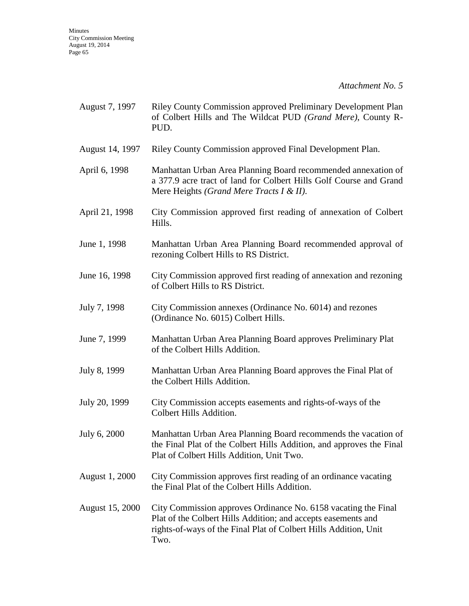| August 7, 1997         | <b>Riley County Commission approved Preliminary Development Plan</b><br>of Colbert Hills and The Wildcat PUD (Grand Mere), County R-<br>PUD.                                                                |
|------------------------|-------------------------------------------------------------------------------------------------------------------------------------------------------------------------------------------------------------|
| August 14, 1997        | Riley County Commission approved Final Development Plan.                                                                                                                                                    |
| April 6, 1998          | Manhattan Urban Area Planning Board recommended annexation of<br>a 377.9 acre tract of land for Colbert Hills Golf Course and Grand<br>Mere Heights (Grand Mere Tracts I & II).                             |
| April 21, 1998         | City Commission approved first reading of annexation of Colbert<br>Hills.                                                                                                                                   |
| June 1, 1998           | Manhattan Urban Area Planning Board recommended approval of<br>rezoning Colbert Hills to RS District.                                                                                                       |
| June 16, 1998          | City Commission approved first reading of annexation and rezoning<br>of Colbert Hills to RS District.                                                                                                       |
| July 7, 1998           | City Commission annexes (Ordinance No. 6014) and rezones<br>(Ordinance No. 6015) Colbert Hills.                                                                                                             |
| June 7, 1999           | Manhattan Urban Area Planning Board approves Preliminary Plat<br>of the Colbert Hills Addition.                                                                                                             |
| July 8, 1999           | Manhattan Urban Area Planning Board approves the Final Plat of<br>the Colbert Hills Addition.                                                                                                               |
| July 20, 1999          | City Commission accepts easements and rights-of-ways of the<br>Colbert Hills Addition.                                                                                                                      |
| July 6, 2000           | Manhattan Urban Area Planning Board recommends the vacation of<br>the Final Plat of the Colbert Hills Addition, and approves the Final<br>Plat of Colbert Hills Addition, Unit Two.                         |
| August 1, 2000         | City Commission approves first reading of an ordinance vacating<br>the Final Plat of the Colbert Hills Addition.                                                                                            |
| <b>August 15, 2000</b> | City Commission approves Ordinance No. 6158 vacating the Final<br>Plat of the Colbert Hills Addition; and accepts easements and<br>rights-of-ways of the Final Plat of Colbert Hills Addition, Unit<br>Two. |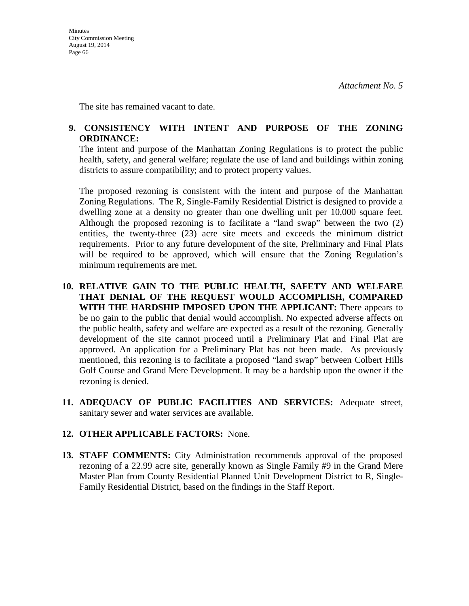The site has remained vacant to date.

## **9. CONSISTENCY WITH INTENT AND PURPOSE OF THE ZONING ORDINANCE:**

The intent and purpose of the Manhattan Zoning Regulations is to protect the public health, safety, and general welfare; regulate the use of land and buildings within zoning districts to assure compatibility; and to protect property values.

The proposed rezoning is consistent with the intent and purpose of the Manhattan Zoning Regulations. The R, Single-Family Residential District is designed to provide a dwelling zone at a density no greater than one dwelling unit per 10,000 square feet. Although the proposed rezoning is to facilitate a "land swap" between the two (2) entities, the twenty-three (23) acre site meets and exceeds the minimum district requirements. Prior to any future development of the site, Preliminary and Final Plats will be required to be approved, which will ensure that the Zoning Regulation's minimum requirements are met.

- **10. RELATIVE GAIN TO THE PUBLIC HEALTH, SAFETY AND WELFARE THAT DENIAL OF THE REQUEST WOULD ACCOMPLISH, COMPARED WITH THE HARDSHIP IMPOSED UPON THE APPLICANT:** There appears to be no gain to the public that denial would accomplish. No expected adverse affects on the public health, safety and welfare are expected as a result of the rezoning. Generally development of the site cannot proceed until a Preliminary Plat and Final Plat are approved. An application for a Preliminary Plat has not been made. As previously mentioned, this rezoning is to facilitate a proposed "land swap" between Colbert Hills Golf Course and Grand Mere Development. It may be a hardship upon the owner if the rezoning is denied.
- **11. ADEQUACY OF PUBLIC FACILITIES AND SERVICES:** Adequate street, sanitary sewer and water services are available.

## **12. OTHER APPLICABLE FACTORS:** None.

**13. STAFF COMMENTS:** City Administration recommends approval of the proposed rezoning of a 22.99 acre site, generally known as Single Family #9 in the Grand Mere Master Plan from County Residential Planned Unit Development District to R, Single-Family Residential District, based on the findings in the Staff Report.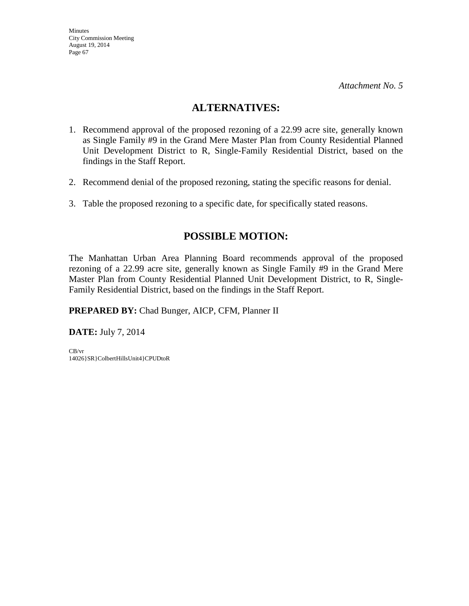# **ALTERNATIVES:**

- 1. Recommend approval of the proposed rezoning of a 22.99 acre site, generally known as Single Family #9 in the Grand Mere Master Plan from County Residential Planned Unit Development District to R, Single-Family Residential District, based on the findings in the Staff Report.
- 2. Recommend denial of the proposed rezoning, stating the specific reasons for denial.
- 3. Table the proposed rezoning to a specific date, for specifically stated reasons.

# **POSSIBLE MOTION:**

The Manhattan Urban Area Planning Board recommends approval of the proposed rezoning of a 22.99 acre site, generally known as Single Family #9 in the Grand Mere Master Plan from County Residential Planned Unit Development District, to R, Single-Family Residential District, based on the findings in the Staff Report.

**PREPARED BY:** Chad Bunger, AICP, CFM, Planner II

**DATE:** July 7, 2014

CB/vr 14026}SR}ColbertHillsUnit4}CPUDtoR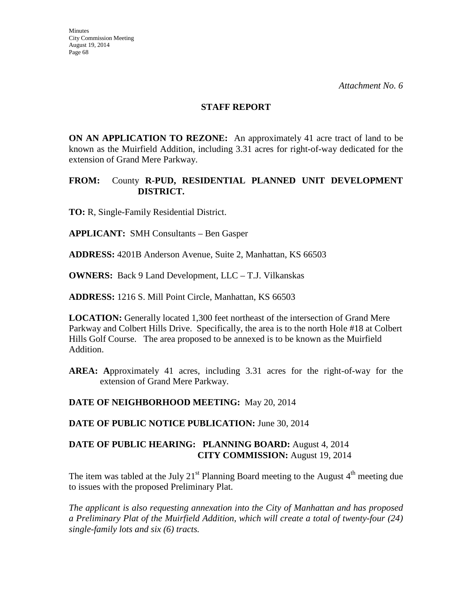#### **STAFF REPORT**

**ON AN APPLICATION TO REZONE:** An approximately 41 acre tract of land to be known as the Muirfield Addition, including 3.31 acres for right-of-way dedicated for the extension of Grand Mere Parkway.

## **FROM:** County **R-PUD, RESIDENTIAL PLANNED UNIT DEVELOPMENT DISTRICT.**

**TO:** R, Single-Family Residential District.

**APPLICANT:** SMH Consultants – Ben Gasper

**ADDRESS:** 4201B Anderson Avenue, Suite 2, Manhattan, KS 66503

**OWNERS:** Back 9 Land Development, LLC – T.J. Vilkanskas

**ADDRESS:** 1216 S. Mill Point Circle, Manhattan, KS 66503

**LOCATION:** Generally located 1,300 feet northeast of the intersection of Grand Mere Parkway and Colbert Hills Drive. Specifically, the area is to the north Hole #18 at Colbert Hills Golf Course. The area proposed to be annexed is to be known as the Muirfield Addition.

**AREA: A**pproximately 41 acres, including 3.31 acres for the right-of-way for the extension of Grand Mere Parkway.

**DATE OF NEIGHBORHOOD MEETING:** May 20, 2014

**DATE OF PUBLIC NOTICE PUBLICATION:** June 30, 2014

## **DATE OF PUBLIC HEARING: PLANNING BOARD:** August 4, 2014 **CITY COMMISSION:** August 19, 2014

The item was tabled at the July 21<sup>st</sup> Planning Board meeting to the August  $4<sup>th</sup>$  meeting due to issues with the proposed Preliminary Plat.

*The applicant is also requesting annexation into the City of Manhattan and has proposed a Preliminary Plat of the Muirfield Addition*, *which will create a total of twenty-four (24) single-family lots and six (6) tracts.*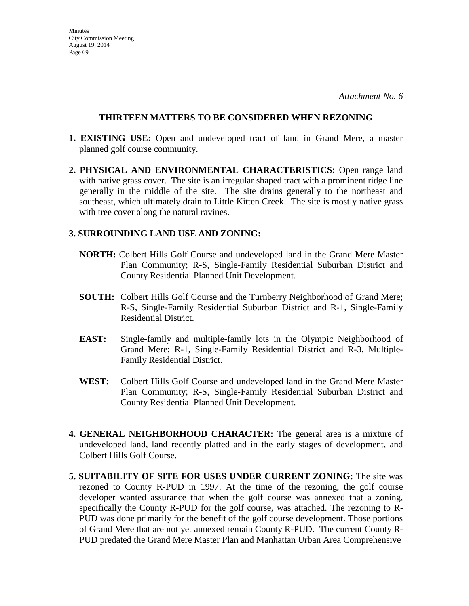**Minutes** City Commission Meeting August 19, 2014 Page 69

*Attachment No. 6*

## **THIRTEEN MATTERS TO BE CONSIDERED WHEN REZONING**

- **1. EXISTING USE:** Open and undeveloped tract of land in Grand Mere, a master planned golf course community.
- **2. PHYSICAL AND ENVIRONMENTAL CHARACTERISTICS:** Open range land with native grass cover. The site is an irregular shaped tract with a prominent ridge line generally in the middle of the site. The site drains generally to the northeast and southeast, which ultimately drain to Little Kitten Creek. The site is mostly native grass with tree cover along the natural ravines.

### **3. SURROUNDING LAND USE AND ZONING:**

- **NORTH:** Colbert Hills Golf Course and undeveloped land in the Grand Mere Master Plan Community; R-S, Single-Family Residential Suburban District and County Residential Planned Unit Development.
- **SOUTH:** Colbert Hills Golf Course and the Turnberry Neighborhood of Grand Mere; R-S, Single-Family Residential Suburban District and R-1, Single-Family Residential District.
- **EAST:** Single-family and multiple-family lots in the Olympic Neighborhood of Grand Mere; R-1, Single-Family Residential District and R-3, Multiple-Family Residential District.
- **WEST:** Colbert Hills Golf Course and undeveloped land in the Grand Mere Master Plan Community; R-S, Single-Family Residential Suburban District and County Residential Planned Unit Development.
- **4. GENERAL NEIGHBORHOOD CHARACTER:** The general area is a mixture of undeveloped land, land recently platted and in the early stages of development, and Colbert Hills Golf Course.
- **5. SUITABILITY OF SITE FOR USES UNDER CURRENT ZONING:** The site was rezoned to County R-PUD in 1997. At the time of the rezoning, the golf course developer wanted assurance that when the golf course was annexed that a zoning, specifically the County R-PUD for the golf course, was attached. The rezoning to R-PUD was done primarily for the benefit of the golf course development. Those portions of Grand Mere that are not yet annexed remain County R-PUD. The current County R-PUD predated the Grand Mere Master Plan and Manhattan Urban Area Comprehensive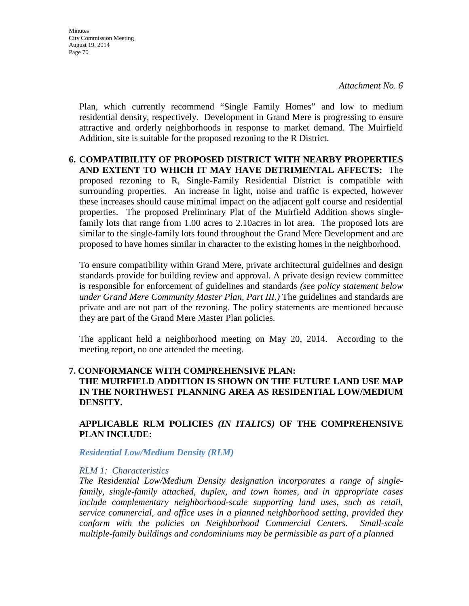Plan, which currently recommend "Single Family Homes" and low to medium residential density, respectively. Development in Grand Mere is progressing to ensure attractive and orderly neighborhoods in response to market demand. The Muirfield Addition, site is suitable for the proposed rezoning to the R District.

## **6. COMPATIBILITY OF PROPOSED DISTRICT WITH NEARBY PROPERTIES AND EXTENT TO WHICH IT MAY HAVE DETRIMENTAL AFFECTS:** The proposed rezoning to R, Single-Family Residential District is compatible with surrounding properties. An increase in light, noise and traffic is expected, however these increases should cause minimal impact on the adjacent golf course and residential properties. The proposed Preliminary Plat of the Muirfield Addition shows singlefamily lots that range from 1.00 acres to 2.10acres in lot area. The proposed lots are similar to the single-family lots found throughout the Grand Mere Development and are proposed to have homes similar in character to the existing homes in the neighborhood.

To ensure compatibility within Grand Mere, private architectural guidelines and design standards provide for building review and approval. A private design review committee is responsible for enforcement of guidelines and standards *(see policy statement below under Grand Mere Community Master Plan, Part III.)* The guidelines and standards are private and are not part of the rezoning. The policy statements are mentioned because they are part of the Grand Mere Master Plan policies.

The applicant held a neighborhood meeting on May 20, 2014. According to the meeting report, no one attended the meeting.

## **7. CONFORMANCE WITH COMPREHENSIVE PLAN: THE MUIRFIELD ADDITION IS SHOWN ON THE FUTURE LAND USE MAP IN THE NORTHWEST PLANNING AREA AS RESIDENTIAL LOW/MEDIUM DENSITY.**

## **APPLICABLE RLM POLICIES** *(IN ITALICS)* **OF THE COMPREHENSIVE PLAN INCLUDE:**

*Residential Low/Medium Density (RLM)*

#### *RLM 1: Characteristics*

*The Residential Low/Medium Density designation incorporates a range of singlefamily, single-family attached, duplex, and town homes, and in appropriate cases include complementary neighborhood-scale supporting land uses, such as retail, service commercial, and office uses in a planned neighborhood setting, provided they conform with the policies on Neighborhood Commercial Centers. Small-scale multiple-family buildings and condominiums may be permissible as part of a planned*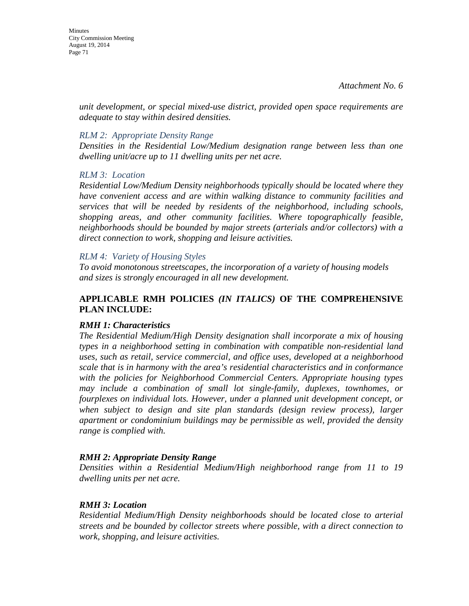Minutes City Commission Meeting August 19, 2014 Page 71

> *unit development, or special mixed-use district, provided open space requirements are adequate to stay within desired densities.*

### *RLM 2: Appropriate Density Range*

*Densities in the Residential Low/Medium designation range between less than one dwelling unit/acre up to 11 dwelling units per net acre.* 

#### *RLM 3: Location*

*Residential Low/Medium Density neighborhoods typically should be located where they have convenient access and are within walking distance to community facilities and services that will be needed by residents of the neighborhood, including schools, shopping areas, and other community facilities. Where topographically feasible, neighborhoods should be bounded by major streets (arterials and/or collectors) with a direct connection to work, shopping and leisure activities.* 

### *RLM 4: Variety of Housing Styles*

*To avoid monotonous streetscapes, the incorporation of a variety of housing models and sizes is strongly encouraged in all new development.* 

## **APPLICABLE RMH POLICIES** *(IN ITALICS)* **OF THE COMPREHENSIVE PLAN INCLUDE:**

## *RMH 1: Characteristics*

*The Residential Medium/High Density designation shall incorporate a mix of housing types in a neighborhood setting in combination with compatible non-residential land uses, such as retail, service commercial, and office uses, developed at a neighborhood scale that is in harmony with the area's residential characteristics and in conformance with the policies for Neighborhood Commercial Centers. Appropriate housing types may include a combination of small lot single-family, duplexes, townhomes, or fourplexes on individual lots. However, under a planned unit development concept, or when subject to design and site plan standards (design review process), larger apartment or condominium buildings may be permissible as well, provided the density range is complied with.* 

#### *RMH 2: Appropriate Density Range*

*Densities within a Residential Medium/High neighborhood range from 11 to 19 dwelling units per net acre.* 

#### *RMH 3: Location*

*Residential Medium/High Density neighborhoods should be located close to arterial streets and be bounded by collector streets where possible, with a direct connection to work, shopping, and leisure activities.*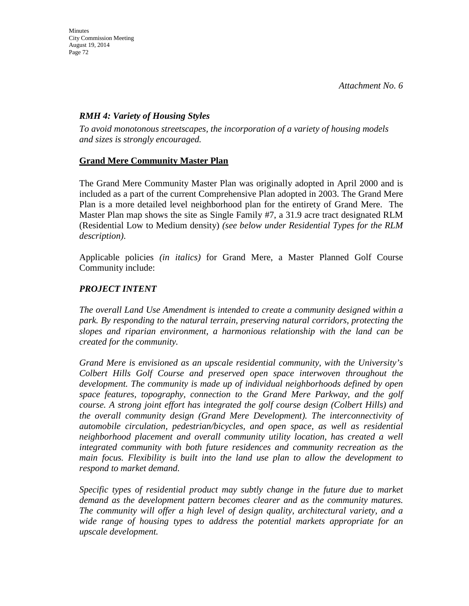## *RMH 4: Variety of Housing Styles*

*To avoid monotonous streetscapes, the incorporation of a variety of housing models and sizes is strongly encouraged.*

# **Grand Mere Community Master Plan**

The Grand Mere Community Master Plan was originally adopted in April 2000 and is included as a part of the current Comprehensive Plan adopted in 2003. The Grand Mere Plan is a more detailed level neighborhood plan for the entirety of Grand Mere. The Master Plan map shows the site as Single Family #7, a 31.9 acre tract designated RLM (Residential Low to Medium density) *(see below under Residential Types for the RLM description)*.

Applicable policies *(in italics)* for Grand Mere, a Master Planned Golf Course Community include:

# *PROJECT INTENT*

*The overall Land Use Amendment is intended to create a community designed within a park. By responding to the natural terrain, preserving natural corridors, protecting the slopes and riparian environment, a harmonious relationship with the land can be created for the community.*

*Grand Mere is envisioned as an upscale residential community, with the University's Colbert Hills Golf Course and preserved open space interwoven throughout the development. The community is made up of individual neighborhoods defined by open space features, topography, connection to the Grand Mere Parkway, and the golf course. A strong joint effort has integrated the golf course design (Colbert Hills) and the overall community design (Grand Mere Development). The interconnectivity of automobile circulation, pedestrian/bicycles, and open space, as well as residential neighborhood placement and overall community utility location, has created a well integrated community with both future residences and community recreation as the main focus. Flexibility is built into the land use plan to allow the development to respond to market demand.*

*Specific types of residential product may subtly change in the future due to market demand as the development pattern becomes clearer and as the community matures. The community will offer a high level of design quality, architectural variety, and a wide range of housing types to address the potential markets appropriate for an upscale development.*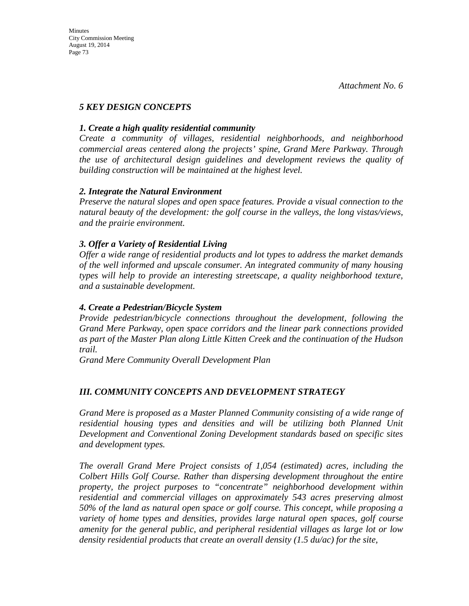# *5 KEY DESIGN CONCEPTS*

### *1. Create a high quality residential community*

*Create a community of villages, residential neighborhoods, and neighborhood commercial areas centered along the projects' spine, Grand Mere Parkway. Through the use of architectural design guidelines and development reviews the quality of building construction will be maintained at the highest level.*

### *2. Integrate the Natural Environment*

*Preserve the natural slopes and open space features. Provide a visual connection to the natural beauty of the development: the golf course in the valleys, the long vistas/views, and the prairie environment.*

### *3. Offer a Variety of Residential Living*

*Offer a wide range of residential products and lot types to address the market demands of the well informed and upscale consumer. An integrated community of many housing types will help to provide an interesting streetscape, a quality neighborhood texture, and a sustainable development.*

### *4. Create a Pedestrian/Bicycle System*

*Provide pedestrian/bicycle connections throughout the development, following the Grand Mere Parkway, open space corridors and the linear park connections provided as part of the Master Plan along Little Kitten Creek and the continuation of the Hudson trail.*

*Grand Mere Community Overall Development Plan* 

### *III. COMMUNITY CONCEPTS AND DEVELOPMENT STRATEGY*

*Grand Mere is proposed as a Master Planned Community consisting of a wide range of residential housing types and densities and will be utilizing both Planned Unit Development and Conventional Zoning Development standards based on specific sites and development types.*

*The overall Grand Mere Project consists of 1,054 (estimated) acres, including the Colbert Hills Golf Course. Rather than dispersing development throughout the entire property, the project purposes to "concentrate" neighborhood development within residential and commercial villages on approximately 543 acres preserving almost 50% of the land as natural open space or golf course. This concept, while proposing a variety of home types and densities, provides large natural open spaces, golf course amenity for the general public, and peripheral residential villages as large lot or low density residential products that create an overall density (1.5 du/ac) for the site,*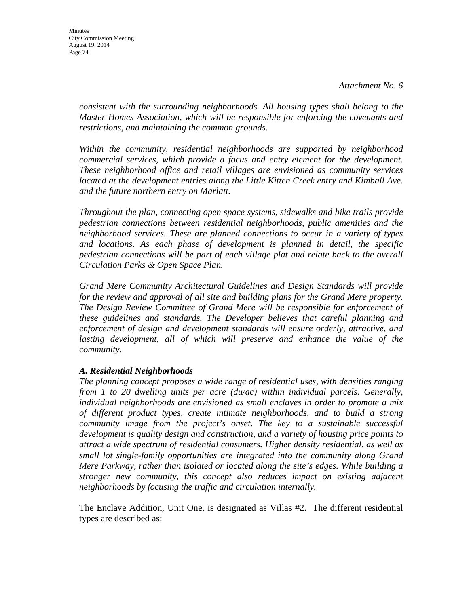*consistent with the surrounding neighborhoods. All housing types shall belong to the Master Homes Association, which will be responsible for enforcing the covenants and restrictions, and maintaining the common grounds.*

*Within the community, residential neighborhoods are supported by neighborhood commercial services, which provide a focus and entry element for the development. These neighborhood office and retail villages are envisioned as community services*  located at the development entries along the Little Kitten Creek entry and Kimball Ave. *and the future northern entry on Marlatt.*

*Throughout the plan, connecting open space systems, sidewalks and bike trails provide pedestrian connections between residential neighborhoods, public amenities and the neighborhood services. These are planned connections to occur in a variety of types and locations. As each phase of development is planned in detail, the specific pedestrian connections will be part of each village plat and relate back to the overall Circulation Parks & Open Space Plan.*

*Grand Mere Community Architectural Guidelines and Design Standards will provide for the review and approval of all site and building plans for the Grand Mere property. The Design Review Committee of Grand Mere will be responsible for enforcement of these guidelines and standards. The Developer believes that careful planning and enforcement of design and development standards will ensure orderly, attractive, and lasting development, all of which will preserve and enhance the value of the community.*

### *A. Residential Neighborhoods*

*The planning concept proposes a wide range of residential uses, with densities ranging from 1 to 20 dwelling units per acre (du/ac) within individual parcels. Generally, individual neighborhoods are envisioned as small enclaves in order to promote a mix of different product types, create intimate neighborhoods, and to build a strong community image from the project's onset. The key to a sustainable successful development is quality design and construction, and a variety of housing price points to attract a wide spectrum of residential consumers. Higher density residential, as well as small lot single-family opportunities are integrated into the community along Grand Mere Parkway, rather than isolated or located along the site's edges. While building a stronger new community, this concept also reduces impact on existing adjacent neighborhoods by focusing the traffic and circulation internally.*

The Enclave Addition, Unit One, is designated as Villas #2. The different residential types are described as: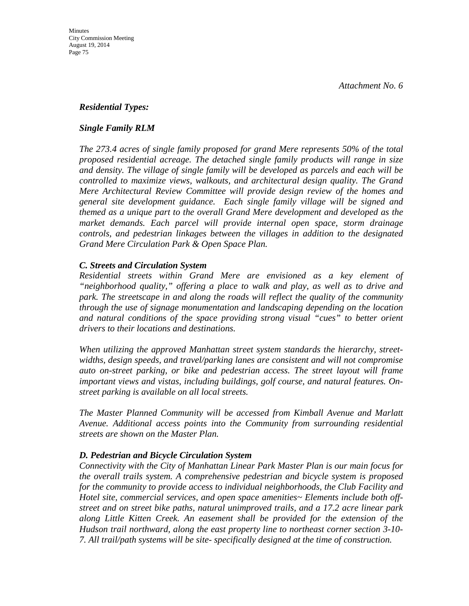### *Residential Types:*

### *Single Family RLM*

*The 273.4 acres of single family proposed for grand Mere represents 50% of the total proposed residential acreage. The detached single family products will range in size and density. The village of single family will be developed as parcels and each will be controlled to maximize views, walkouts, and architectural design quality. The Grand Mere Architectural Review Committee will provide design review of the homes and general site development guidance. Each single family village will be signed and themed as a unique part to the overall Grand Mere development and developed as the market demands. Each parcel will provide internal open space, storm drainage controls, and pedestrian linkages between the villages in addition to the designated Grand Mere Circulation Park & Open Space Plan.*

### *C. Streets and Circulation System*

*Residential streets within Grand Mere are envisioned as a key element of "neighborhood quality," offering a place to walk and play, as well as to drive and park. The streetscape in and along the roads will reflect the quality of the community through the use of signage monumentation and landscaping depending on the location and natural conditions of the space providing strong visual "cues" to better orient drivers to their locations and destinations.*

*When utilizing the approved Manhattan street system standards the hierarchy, streetwidths, design speeds, and travel/parking lanes are consistent and will not compromise auto on-street parking, or bike and pedestrian access. The street layout will frame important views and vistas, including buildings, golf course, and natural features. Onstreet parking is available on all local streets.*

*The Master Planned Community will be accessed from Kimball Avenue and Marlatt Avenue. Additional access points into the Community from surrounding residential streets are shown on the Master Plan.*

### *D. Pedestrian and Bicycle Circulation System*

*Connectivity with the City of Manhattan Linear Park Master Plan is our main focus for the overall trails system. A comprehensive pedestrian and bicycle system is proposed for the community to provide access to individual neighborhoods, the Club Facility and Hotel site, commercial services, and open space amenities~ Elements include both offstreet and on street bike paths, natural unimproved trails, and a 17.2 acre linear park along Little Kitten Creek. An easement shall be provided for the extension of the Hudson trail northward, along the east property line to northeast corner section 3-10- 7. All trail/path systems will be site- specifically designed at the time of construction.*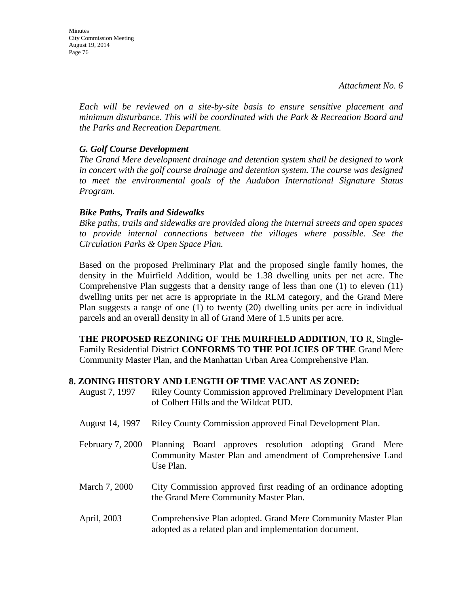*Each will be reviewed on a site-by-site basis to ensure sensitive placement and minimum disturbance. This will be coordinated with the Park & Recreation Board and the Parks and Recreation Department.*

## *G. Golf Course Development*

*The Grand Mere development drainage and detention system shall be designed to work in concert with the golf course drainage and detention system. The course was designed to meet the environmental goals of the Audubon International Signature Status Program.*

### *Bike Paths, Trails and Sidewalks*

*Bike paths, trails and sidewalks are provided along the internal streets and open spaces to provide internal connections between the villages where possible. See the Circulation Parks & Open Space Plan.*

Based on the proposed Preliminary Plat and the proposed single family homes, the density in the Muirfield Addition, would be 1.38 dwelling units per net acre. The Comprehensive Plan suggests that a density range of less than one (1) to eleven (11) dwelling units per net acre is appropriate in the RLM category, and the Grand Mere Plan suggests a range of one (1) to twenty (20) dwelling units per acre in individual parcels and an overall density in all of Grand Mere of 1.5 units per acre.

**THE PROPOSED REZONING OF THE MUIRFIELD ADDITION**, **TO** R, Single-Family Residential District **CONFORMS TO THE POLICIES OF THE** Grand Mere Community Master Plan, and the Manhattan Urban Area Comprehensive Plan.

#### **8. ZONING HISTORY AND LENGTH OF TIME VACANT AS ZONED:**

| August 7, 1997   | <b>Riley County Commission approved Preliminary Development Plan</b><br>of Colbert Hills and the Wildcat PUD.                    |
|------------------|----------------------------------------------------------------------------------------------------------------------------------|
| August 14, 1997  | Riley County Commission approved Final Development Plan.                                                                         |
| February 7, 2000 | Planning Board approves resolution adopting Grand Mere<br>Community Master Plan and amendment of Comprehensive Land<br>Use Plan. |
| March 7, 2000    | City Commission approved first reading of an ordinance adopting<br>the Grand Mere Community Master Plan.                         |
| April, 2003      | Comprehensive Plan adopted. Grand Mere Community Master Plan<br>adopted as a related plan and implementation document.           |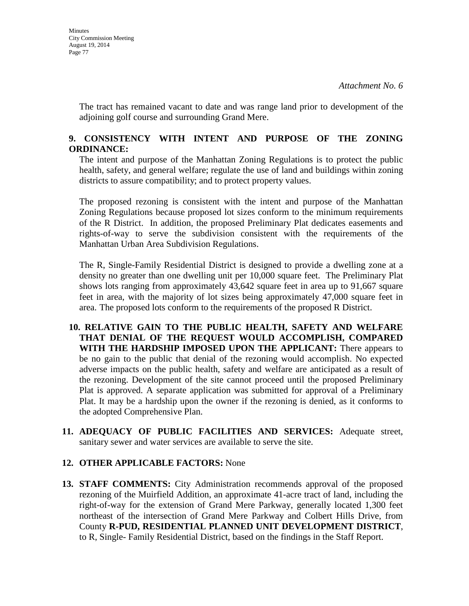The tract has remained vacant to date and was range land prior to development of the adjoining golf course and surrounding Grand Mere.

## **9. CONSISTENCY WITH INTENT AND PURPOSE OF THE ZONING ORDINANCE:**

The intent and purpose of the Manhattan Zoning Regulations is to protect the public health, safety, and general welfare; regulate the use of land and buildings within zoning districts to assure compatibility; and to protect property values.

The proposed rezoning is consistent with the intent and purpose of the Manhattan Zoning Regulations because proposed lot sizes conform to the minimum requirements of the R District. In addition, the proposed Preliminary Plat dedicates easements and rights-of-way to serve the subdivision consistent with the requirements of the Manhattan Urban Area Subdivision Regulations.

The R, Single-Family Residential District is designed to provide a dwelling zone at a density no greater than one dwelling unit per 10,000 square feet. The Preliminary Plat shows lots ranging from approximately 43,642 square feet in area up to 91,667 square feet in area, with the majority of lot sizes being approximately 47,000 square feet in area. The proposed lots conform to the requirements of the proposed R District.

- **10. RELATIVE GAIN TO THE PUBLIC HEALTH, SAFETY AND WELFARE THAT DENIAL OF THE REQUEST WOULD ACCOMPLISH, COMPARED WITH THE HARDSHIP IMPOSED UPON THE APPLICANT:** There appears to be no gain to the public that denial of the rezoning would accomplish. No expected adverse impacts on the public health, safety and welfare are anticipated as a result of the rezoning. Development of the site cannot proceed until the proposed Preliminary Plat is approved. A separate application was submitted for approval of a Preliminary Plat. It may be a hardship upon the owner if the rezoning is denied, as it conforms to the adopted Comprehensive Plan.
- **11. ADEQUACY OF PUBLIC FACILITIES AND SERVICES:** Adequate street, sanitary sewer and water services are available to serve the site.

### **12. OTHER APPLICABLE FACTORS:** None

**13. STAFF COMMENTS:** City Administration recommends approval of the proposed rezoning of the Muirfield Addition, an approximate 41-acre tract of land, including the right-of-way for the extension of Grand Mere Parkway, generally located 1,300 feet northeast of the intersection of Grand Mere Parkway and Colbert Hills Drive, from County **R-PUD, RESIDENTIAL PLANNED UNIT DEVELOPMENT DISTRICT**, to R, Single- Family Residential District, based on the findings in the Staff Report.